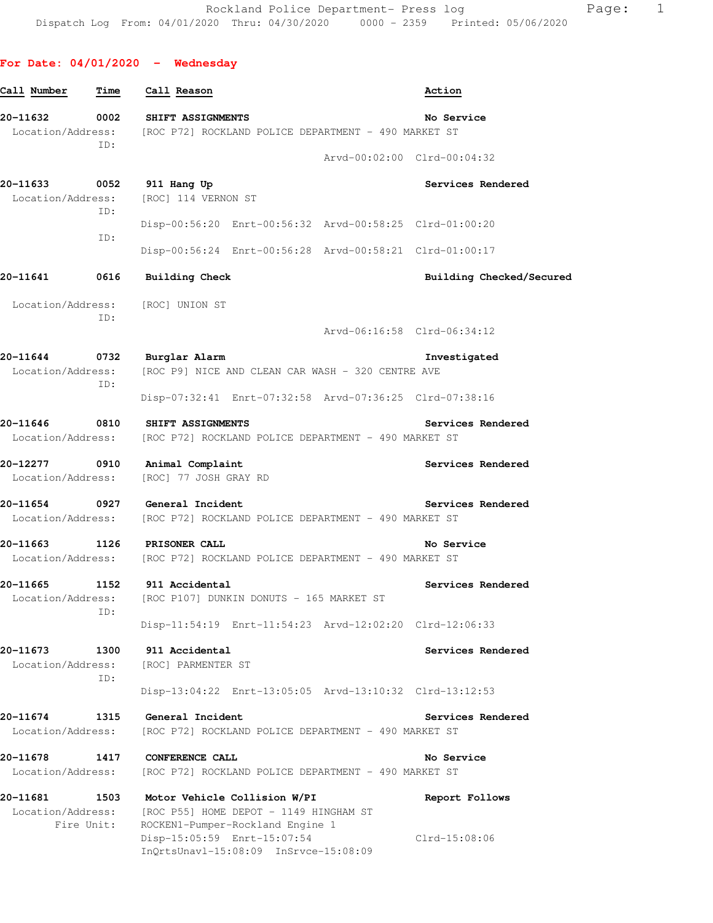## **For Date: 04/01/2020 - Wednesday**

| 0002<br>SHIFT ASSIGNMENTS<br>Location/Address: [ROC P72] ROCKLAND POLICE DEPARTMENT - 490 MARKET ST                                                           | No Service                                                                                                                                                                                                                                                                                                                                                                                                                                                                                                                                               |
|---------------------------------------------------------------------------------------------------------------------------------------------------------------|----------------------------------------------------------------------------------------------------------------------------------------------------------------------------------------------------------------------------------------------------------------------------------------------------------------------------------------------------------------------------------------------------------------------------------------------------------------------------------------------------------------------------------------------------------|
|                                                                                                                                                               |                                                                                                                                                                                                                                                                                                                                                                                                                                                                                                                                                          |
|                                                                                                                                                               | Arvd-00:02:00 Clrd-00:04:32                                                                                                                                                                                                                                                                                                                                                                                                                                                                                                                              |
| 911 Hang Up<br>[ROC] 114 VERNON ST                                                                                                                            | Services Rendered                                                                                                                                                                                                                                                                                                                                                                                                                                                                                                                                        |
|                                                                                                                                                               | Disp-00:56:20 Enrt-00:56:32 Arvd-00:58:25 Clrd-01:00:20                                                                                                                                                                                                                                                                                                                                                                                                                                                                                                  |
|                                                                                                                                                               | Disp-00:56:24 Enrt-00:56:28 Arvd-00:58:21 Clrd-01:00:17                                                                                                                                                                                                                                                                                                                                                                                                                                                                                                  |
| <b>Building Check</b>                                                                                                                                         | Building Checked/Secured                                                                                                                                                                                                                                                                                                                                                                                                                                                                                                                                 |
|                                                                                                                                                               |                                                                                                                                                                                                                                                                                                                                                                                                                                                                                                                                                          |
|                                                                                                                                                               | Arvd-06:16:58 Clrd-06:34:12                                                                                                                                                                                                                                                                                                                                                                                                                                                                                                                              |
| Burglar Alarm                                                                                                                                                 | Investigated                                                                                                                                                                                                                                                                                                                                                                                                                                                                                                                                             |
|                                                                                                                                                               |                                                                                                                                                                                                                                                                                                                                                                                                                                                                                                                                                          |
|                                                                                                                                                               | Disp-07:32:41 Enrt-07:32:58 Arvd-07:36:25 Clrd-07:38:16                                                                                                                                                                                                                                                                                                                                                                                                                                                                                                  |
| [ROC P72] ROCKLAND POLICE DEPARTMENT - 490 MARKET ST                                                                                                          | Services Rendered                                                                                                                                                                                                                                                                                                                                                                                                                                                                                                                                        |
| [ROC] 77 JOSH GRAY RD                                                                                                                                         | Services Rendered                                                                                                                                                                                                                                                                                                                                                                                                                                                                                                                                        |
| [ROC P72] ROCKLAND POLICE DEPARTMENT - 490 MARKET ST                                                                                                          | Services Rendered                                                                                                                                                                                                                                                                                                                                                                                                                                                                                                                                        |
| <b>PRISONER CALL</b>                                                                                                                                          | No Service                                                                                                                                                                                                                                                                                                                                                                                                                                                                                                                                               |
|                                                                                                                                                               | Services Rendered                                                                                                                                                                                                                                                                                                                                                                                                                                                                                                                                        |
|                                                                                                                                                               | Disp-11:54:19 Enrt-11:54:23 Arvd-12:02:20 Clrd-12:06:33                                                                                                                                                                                                                                                                                                                                                                                                                                                                                                  |
| 911 Accidental<br>[ROC] PARMENTER ST                                                                                                                          | Services Rendered                                                                                                                                                                                                                                                                                                                                                                                                                                                                                                                                        |
|                                                                                                                                                               | Disp-13:04:22 Enrt-13:05:05 Arvd-13:10:32 Clrd-13:12:53                                                                                                                                                                                                                                                                                                                                                                                                                                                                                                  |
| General Incident<br>[ROC P72] ROCKLAND POLICE DEPARTMENT - 490 MARKET ST                                                                                      | Services Rendered                                                                                                                                                                                                                                                                                                                                                                                                                                                                                                                                        |
| CONFERENCE CALL<br>[ROC P72] ROCKLAND POLICE DEPARTMENT - 490 MARKET ST                                                                                       | No Service                                                                                                                                                                                                                                                                                                                                                                                                                                                                                                                                               |
| Motor Vehicle Collision W/PI<br>[ROC P55] HOME DEPOT - 1149 HINGHAM ST<br>ROCKEN1-Pumper-Rockland Engine 1<br>Disp-15:05:59 Enrt-15:07:54                     | Report Follows<br>$Clrd-15:08:06$                                                                                                                                                                                                                                                                                                                                                                                                                                                                                                                        |
| ID:<br>ID:<br>ID:<br>Location/Address:<br>ID:<br>ID:<br>Location/Address:<br>ID:<br>Location/Address:<br>Location/Address:<br>Location/Address:<br>Fire Unit: | 0052<br>Location/Address:<br>0616<br>Location/Address: [ROC] UNION ST<br>0732<br>[ROC P9] NICE AND CLEAN CAR WASH - 320 CENTRE AVE<br>0810 SHIFT ASSIGNMENTS<br>Location/Address:<br>20-12277 0910 Animal Complaint<br>Location/Address:<br>20-11654 0927 General Incident<br>Location/Address:<br>20-11663 1126<br>Location/Address: [ROC P72] ROCKLAND POLICE DEPARTMENT - 490 MARKET ST<br>1152 911 Accidental<br>Location/Address: [ROC P107] DUNKIN DONUTS - 165 MARKET ST<br>1300<br>1315<br>1417<br>1503<br>InQrtsUnavl-15:08:09 InSrvce-15:08:09 |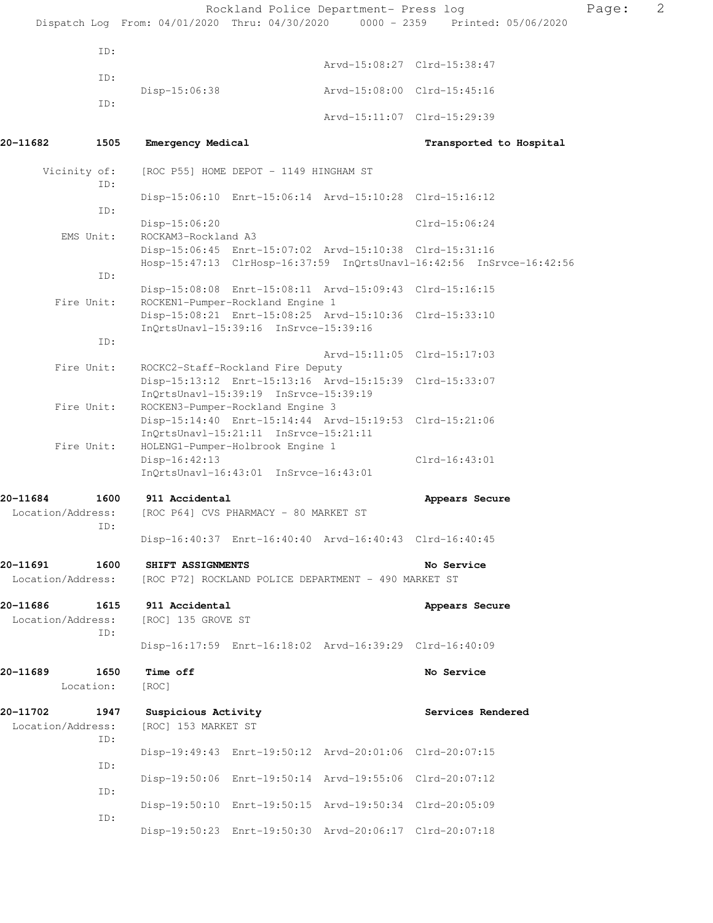|          |                           |                                      |                                        | Rockland Police Department- Press log                   |                                                                                | Page: | $\mathbf{2}$ |
|----------|---------------------------|--------------------------------------|----------------------------------------|---------------------------------------------------------|--------------------------------------------------------------------------------|-------|--------------|
|          |                           |                                      |                                        |                                                         | Dispatch Log From: 04/01/2020 Thru: 04/30/2020 0000 - 2359 Printed: 05/06/2020 |       |              |
|          | ID:                       |                                      |                                        |                                                         | Arvd-15:08:27 Clrd-15:38:47                                                    |       |              |
|          | ID:                       |                                      |                                        |                                                         |                                                                                |       |              |
|          | ID:                       | $Disp-15:06:38$                      |                                        |                                                         | Arvd-15:08:00 Clrd-15:45:16                                                    |       |              |
|          |                           |                                      |                                        |                                                         | Arvd-15:11:07 Clrd-15:29:39                                                    |       |              |
| 20-11682 | 1505                      | Emergency Medical                    |                                        |                                                         | Transported to Hospital                                                        |       |              |
|          | Vicinity of:              |                                      | [ROC P55] HOME DEPOT - 1149 HINGHAM ST |                                                         |                                                                                |       |              |
|          | ID:                       |                                      |                                        | Disp-15:06:10 Enrt-15:06:14 Arvd-15:10:28 Clrd-15:16:12 |                                                                                |       |              |
|          | ID:                       | Disp-15:06:20                        |                                        |                                                         | $Clrd-15:06:24$                                                                |       |              |
|          | EMS Unit:                 | ROCKAM3-Rockland A3                  |                                        |                                                         |                                                                                |       |              |
|          |                           |                                      |                                        | Disp-15:06:45 Enrt-15:07:02 Arvd-15:10:38 Clrd-15:31:16 | Hosp-15:47:13 ClrHosp-16:37:59 InQrtsUnavl-16:42:56 InSrvce-16:42:56           |       |              |
|          | ID:                       |                                      |                                        |                                                         |                                                                                |       |              |
|          | Fire Unit:                |                                      | ROCKEN1-Pumper-Rockland Engine 1       | Disp-15:08:08 Enrt-15:08:11 Arvd-15:09:43 Clrd-15:16:15 |                                                                                |       |              |
|          |                           |                                      | InOrtsUnavl-15:39:16 InSrvce-15:39:16  | Disp-15:08:21 Enrt-15:08:25 Arvd-15:10:36 Clrd-15:33:10 |                                                                                |       |              |
|          | ID:                       |                                      |                                        |                                                         | Arvd-15:11:05 Clrd-15:17:03                                                    |       |              |
|          | Fire Unit:                |                                      | ROCKC2-Staff-Rockland Fire Deputy      |                                                         |                                                                                |       |              |
|          |                           |                                      | InQrtsUnavl-15:39:19 InSrvce-15:39:19  | Disp-15:13:12 Enrt-15:13:16 Arvd-15:15:39 Clrd-15:33:07 |                                                                                |       |              |
|          | Fire Unit:                |                                      | ROCKEN3-Pumper-Rockland Engine 3       |                                                         |                                                                                |       |              |
|          |                           |                                      | InQrtsUnavl-15:21:11 InSrvce-15:21:11  | Disp-15:14:40 Enrt-15:14:44 Arvd-15:19:53 Clrd-15:21:06 |                                                                                |       |              |
|          | Fire Unit:                |                                      | HOLENG1-Pumper-Holbrook Engine 1       |                                                         | $Clrd-16:43:01$                                                                |       |              |
|          |                           | Disp-16:42:13                        | InQrtsUnavl-16:43:01 InSrvce-16:43:01  |                                                         |                                                                                |       |              |
| 20-11684 | 1600                      | 911 Accidental                       |                                        |                                                         | Appears Secure                                                                 |       |              |
|          | Location/Address:<br>ID:  |                                      | [ROC P64] CVS PHARMACY - 80 MARKET ST  |                                                         |                                                                                |       |              |
|          |                           |                                      |                                        | Disp-16:40:37 Enrt-16:40:40 Arvd-16:40:43 Clrd-16:40:45 |                                                                                |       |              |
| 20-11691 | 1600                      | SHIFT ASSIGNMENTS                    |                                        |                                                         | No Service                                                                     |       |              |
|          | Location/Address:         |                                      |                                        | [ROC P72] ROCKLAND POLICE DEPARTMENT - 490 MARKET ST    |                                                                                |       |              |
| 20-11686 | 1615<br>Location/Address: | 911 Accidental<br>[ROC] 135 GROVE ST |                                        |                                                         | Appears Secure                                                                 |       |              |
|          | ID:                       |                                      |                                        | Disp-16:17:59 Enrt-16:18:02 Arvd-16:39:29 Clrd-16:40:09 |                                                                                |       |              |
| 20-11689 | 1650                      | Time off                             |                                        |                                                         | No Service                                                                     |       |              |
|          | Location:                 | [ROC]                                |                                        |                                                         |                                                                                |       |              |
| 20-11702 | 1947                      | Suspicious Activity                  |                                        |                                                         | Services Rendered                                                              |       |              |
|          | Location/Address:<br>ID:  | [ROC] 153 MARKET ST                  |                                        |                                                         |                                                                                |       |              |
|          |                           |                                      |                                        | Disp-19:49:43 Enrt-19:50:12 Arvd-20:01:06 Clrd-20:07:15 |                                                                                |       |              |
|          | ID:                       |                                      |                                        | Disp-19:50:06 Enrt-19:50:14 Arvd-19:55:06 Clrd-20:07:12 |                                                                                |       |              |
|          | ID:                       |                                      |                                        | Disp-19:50:10 Enrt-19:50:15 Arvd-19:50:34 Clrd-20:05:09 |                                                                                |       |              |
|          | ID:                       |                                      |                                        | Disp-19:50:23 Enrt-19:50:30 Arvd-20:06:17 Clrd-20:07:18 |                                                                                |       |              |
|          |                           |                                      |                                        |                                                         |                                                                                |       |              |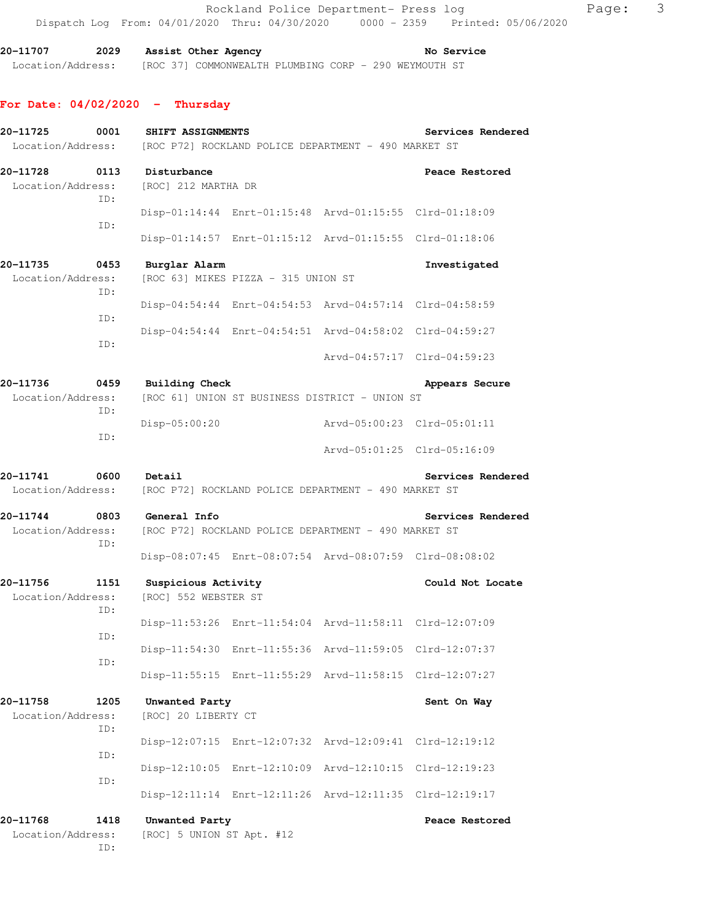**20-11707 2029 Assist Other Agency No Service**  Location/Address: [ROC 37] COMMONWEALTH PLUMBING CORP - 290 WEYMOUTH ST

### **For Date: 04/02/2020 - Thursday**

| 20-11725<br>Location/Address: | 0001        | SHIFT ASSIGNMENTS                           |                                     | [ROC P72] ROCKLAND POLICE DEPARTMENT - 490 MARKET ST    | Services Rendered           |
|-------------------------------|-------------|---------------------------------------------|-------------------------------------|---------------------------------------------------------|-----------------------------|
| 20-11728<br>Location/Address: | 0113<br>ID: | Disturbance<br>[ROC] 212 MARTHA DR          |                                     |                                                         | Peace Restored              |
|                               | ID:         |                                             |                                     | Disp-01:14:44 Enrt-01:15:48 Arvd-01:15:55 Clrd-01:18:09 |                             |
|                               |             |                                             |                                     | Disp-01:14:57 Enrt-01:15:12 Arvd-01:15:55 Clrd-01:18:06 |                             |
| 20-11735<br>Location/Address: | 0453<br>ID: | Burglar Alarm                               | [ROC 63] MIKES PIZZA - 315 UNION ST |                                                         | Investigated                |
|                               | ID:         |                                             |                                     | Disp-04:54:44 Enrt-04:54:53 Arvd-04:57:14 Clrd-04:58:59 |                             |
|                               | ID:         |                                             |                                     | Disp-04:54:44 Enrt-04:54:51 Arvd-04:58:02 Clrd-04:59:27 |                             |
|                               |             |                                             |                                     |                                                         | Arvd-04:57:17 Clrd-04:59:23 |
| 20-11736<br>Location/Address: | 0459<br>ID: | <b>Building Check</b>                       |                                     | [ROC 61] UNION ST BUSINESS DISTRICT - UNION ST          | Appears Secure              |
|                               | ID:         | Disp-05:00:20                               |                                     | Arvd-05:00:23 Clrd-05:01:11                             |                             |
|                               |             |                                             |                                     | Arvd-05:01:25 Clrd-05:16:09                             |                             |
| 20-11741<br>Location/Address: | 0600        | Detail                                      |                                     | [ROC P72] ROCKLAND POLICE DEPARTMENT - 490 MARKET ST    | Services Rendered           |
| 20-11744<br>Location/Address: | 0803<br>ID: | General Info                                |                                     | [ROC P72] ROCKLAND POLICE DEPARTMENT - 490 MARKET ST    | Services Rendered           |
|                               |             |                                             |                                     | Disp-08:07:45 Enrt-08:07:54 Arvd-08:07:59 Clrd-08:08:02 |                             |
| 20-11756<br>Location/Address: | 1151<br>ID: | Suspicious Activity<br>[ROC] 552 WEBSTER ST |                                     |                                                         | Could Not Locate            |
|                               | ID:         |                                             |                                     | Disp-11:53:26 Enrt-11:54:04 Arvd-11:58:11 Clrd-12:07:09 |                             |
|                               | ID:         | Disp-11:54:30                               |                                     | Enrt-11:55:36 Arvd-11:59:05 Clrd-12:07:37               |                             |
|                               |             |                                             |                                     | Disp-11:55:15 Enrt-11:55:29 Arvd-11:58:15 Clrd-12:07:27 |                             |
| 20-11758<br>Location/Address: | 1205<br>ID: | Unwanted Party<br>[ROC] 20 LIBERTY CT       |                                     |                                                         | Sent On Way                 |
|                               | ID:         | Disp-12:07:15                               | Enrt-12:07:32 Arvd-12:09:41         |                                                         | $Clrd-12:19:12$             |
|                               | ID:         | Disp-12:10:05                               |                                     | Enrt-12:10:09 Arvd-12:10:15                             | $Clrd-12:19:23$             |
|                               |             | $Disp-12:11:14$                             |                                     | Enrt-12:11:26 Arvd-12:11:35 Clrd-12:19:17               |                             |
| 20-11768<br>Location/Address: | 1418<br>ID: | Unwanted Party<br>[ROC] 5 UNION ST Apt. #12 |                                     |                                                         | Peace Restored              |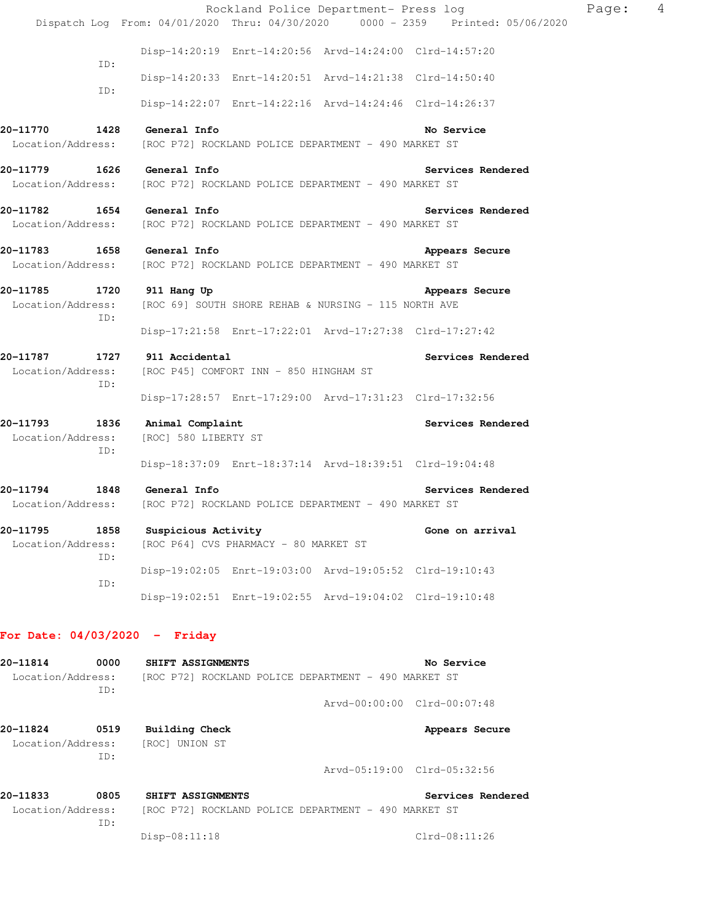|                                                |             |                                                                                                      | Rockland Police Department- Press log                   |                             |                |                   | Page: | $\overline{4}$ |
|------------------------------------------------|-------------|------------------------------------------------------------------------------------------------------|---------------------------------------------------------|-----------------------------|----------------|-------------------|-------|----------------|
|                                                |             | Dispatch Log From: 04/01/2020 Thru: 04/30/2020 0000 - 2359 Printed: 05/06/2020                       |                                                         |                             |                |                   |       |                |
|                                                |             |                                                                                                      | Disp-14:20:19 Enrt-14:20:56 Arvd-14:24:00 Clrd-14:57:20 |                             |                |                   |       |                |
|                                                | ID:         |                                                                                                      | Disp-14:20:33 Enrt-14:20:51 Arvd-14:21:38 Clrd-14:50:40 |                             |                |                   |       |                |
|                                                | ID:         |                                                                                                      | Disp-14:22:07 Enrt-14:22:16 Arvd-14:24:46 Clrd-14:26:37 |                             |                |                   |       |                |
|                                                |             | 20-11770 1428 General Info                                                                           |                                                         |                             | No Service     |                   |       |                |
| Location/Address:                              |             | [ROC P72] ROCKLAND POLICE DEPARTMENT - 490 MARKET ST                                                 |                                                         |                             |                |                   |       |                |
| Location/Address:                              |             | 20-11779 1626 General Info<br>[ROC P72] ROCKLAND POLICE DEPARTMENT - 490 MARKET ST                   |                                                         |                             |                | Services Rendered |       |                |
| Location/Address:                              |             | 20-11782   1654   General Info<br>[ROC P72] ROCKLAND POLICE DEPARTMENT - 490 MARKET ST               |                                                         |                             |                | Services Rendered |       |                |
| Location/Address:                              |             | 20-11783 1658 General Info<br>[ROC P72] ROCKLAND POLICE DEPARTMENT - 490 MARKET ST                   |                                                         |                             | Appears Secure |                   |       |                |
| 20-11785 1720 911 Hang Up<br>Location/Address: | ID:         | [ROC 69] SOUTH SHORE REHAB & NURSING - 115 NORTH AVE                                                 |                                                         |                             | Appears Secure |                   |       |                |
|                                                |             |                                                                                                      | Disp-17:21:58 Enrt-17:22:01 Arvd-17:27:38 Clrd-17:27:42 |                             |                |                   |       |                |
| Location/Address:                              | ID:         | 20-11787 1727 911 Accidental<br>[ROC P45] COMFORT INN - 850 HINGHAM ST                               |                                                         |                             |                | Services Rendered |       |                |
|                                                |             |                                                                                                      | Disp-17:28:57 Enrt-17:29:00 Arvd-17:31:23 Clrd-17:32:56 |                             |                |                   |       |                |
| 20-11793 1836<br>Location/Address:             | ID:         | Animal Complaint<br>[ROC] 580 LIBERTY ST                                                             |                                                         |                             |                | Services Rendered |       |                |
|                                                |             |                                                                                                      | Disp-18:37:09 Enrt-18:37:14 Arvd-18:39:51 Clrd-19:04:48 |                             |                |                   |       |                |
|                                                |             | 20-11794 1848 General Info<br>Location/Address: [ROC P72] ROCKLAND POLICE DEPARTMENT - 490 MARKET ST |                                                         |                             |                | Services Rendered |       |                |
| 20-11795<br>Location/Address:                  | 1858<br>ID: | Suspicious Activity                                                                                  | [ROC P64] CVS PHARMACY - 80 MARKET ST                   |                             |                | Gone on arrival   |       |                |
|                                                |             |                                                                                                      | Disp-19:02:05 Enrt-19:03:00 Arvd-19:05:52 Clrd-19:10:43 |                             |                |                   |       |                |
|                                                | ID:         |                                                                                                      | Disp-19:02:51 Enrt-19:02:55 Arvd-19:04:02 Clrd-19:10:48 |                             |                |                   |       |                |
| For Date: $04/03/2020 -$ Friday                |             |                                                                                                      |                                                         |                             |                |                   |       |                |
| 20-11814<br>Location/Address:                  | 0000<br>ID: | SHIFT ASSIGNMENTS                                                                                    | [ROC P72] ROCKLAND POLICE DEPARTMENT - 490 MARKET ST    |                             | No Service     |                   |       |                |
|                                                |             |                                                                                                      |                                                         | Arvd-00:00:00 Clrd-00:07:48 |                |                   |       |                |
| 20-11824<br>Location/Address:                  | 0519<br>ID: | <b>Building Check</b><br>[ROC] UNION ST                                                              |                                                         |                             |                | Appears Secure    |       |                |
|                                                |             |                                                                                                      |                                                         | Arvd-05:19:00 Clrd-05:32:56 |                |                   |       |                |
| 20-11833                                       | 0805        | SHIFT ASSIGNMENTS                                                                                    |                                                         |                             |                | Services Rendered |       |                |

 Location/Address: [ROC P72] ROCKLAND POLICE DEPARTMENT - 490 MARKET ST ID:

Disp-08:11:18 Clrd-08:11:26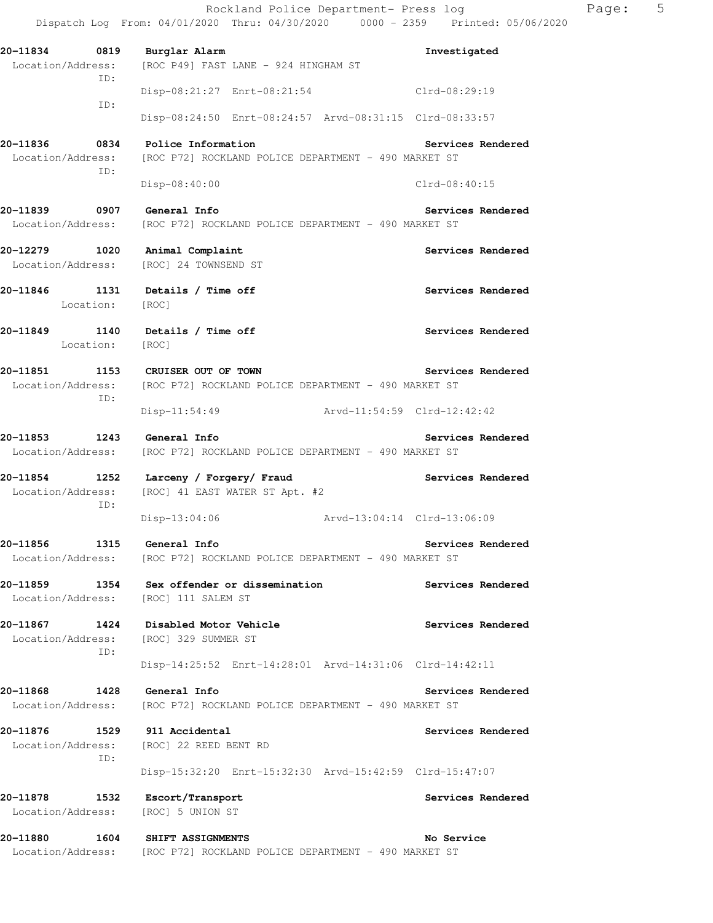Rockland Police Department- Press log Fage: 5 Dispatch Log From: 04/01/2020 Thru: 04/30/2020 0000 - 2359 Printed: 05/06/2020 **20-11834 0819 Burglar Alarm Investigated**  Location/Address: [ROC P49] FAST LANE - 924 HINGHAM ST ID: Disp-08:21:27 Enrt-08:21:54 Clrd-08:29:19 ID: Disp-08:24:50 Enrt-08:24:57 Arvd-08:31:15 Clrd-08:33:57 **20-11836 0834 Police Information Services Rendered**  Location/Address: [ROC P72] ROCKLAND POLICE DEPARTMENT - 490 MARKET ST ID: Disp-08:40:00 Clrd-08:40:15 **20-11839 0907 General Info Services Rendered**  Location/Address: [ROC P72] ROCKLAND POLICE DEPARTMENT - 490 MARKET ST **20-12279 1020 Animal Complaint Services Rendered**  Location/Address: [ROC] 24 TOWNSEND ST **20-11846 1131 Details / Time off Services Rendered**  Location: [ROC] **20-11849 1140 Details / Time off Services Rendered**  Location: [ROC] **20-11851 1153 CRUISER OUT OF TOWN Services Rendered**  Location/Address: [ROC P72] ROCKLAND POLICE DEPARTMENT - 490 MARKET ST ID: Disp-11:54:49 Arvd-11:54:59 Clrd-12:42:42 **20-11853 1243 General Info Services Rendered**  Location/Address: [ROC P72] ROCKLAND POLICE DEPARTMENT - 490 MARKET ST **20-11854 1252 Larceny / Forgery/ Fraud Services Rendered**  Location/Address: [ROC] 41 EAST WATER ST Apt. #2 ID: Disp-13:04:06 Arvd-13:04:14 Clrd-13:06:09 **20-11856 1315 General Info Services Rendered**  Location/Address: [ROC P72] ROCKLAND POLICE DEPARTMENT - 490 MARKET ST **20-11859 1354 Sex offender or dissemination Services Rendered**  Location/Address: [ROC] 111 SALEM ST 20-11867 1424 Disabled Motor Vehicle **1988 120 Services Rendered** Location/Address: [ROC] 329 SUMMER ST ID: Disp-14:25:52 Enrt-14:28:01 Arvd-14:31:06 Clrd-14:42:11 **20-11868 1428 General Info Services Rendered**  Location/Address: [ROC P72] ROCKLAND POLICE DEPARTMENT - 490 MARKET ST **20-11876 1529 911 Accidental Services Rendered**  Location/Address: [ROC] 22 REED BENT RD ID: Disp-15:32:20 Enrt-15:32:30 Arvd-15:42:59 Clrd-15:47:07 **20-11878 1532 Escort/Transport Services Rendered**  Location/Address: [ROC] 5 UNION ST **20-11880 1604 SHIFT ASSIGNMENTS No Service**  Location/Address: [ROC P72] ROCKLAND POLICE DEPARTMENT - 490 MARKET ST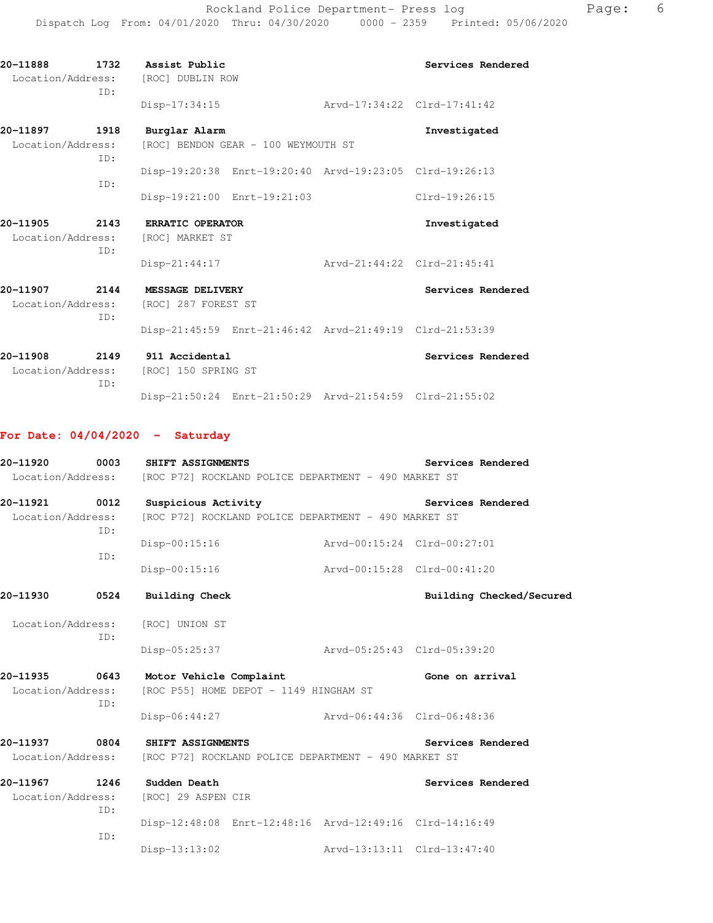| 20-11888<br>Location/Address: | 1732<br>ID: | Assist Public<br>[ROC] DUBLIN ROW                    |                                                         |                             | Services Rendered |
|-------------------------------|-------------|------------------------------------------------------|---------------------------------------------------------|-----------------------------|-------------------|
|                               |             | Disp-17:34:15                                        |                                                         | Arvd-17:34:22 Clrd-17:41:42 |                   |
| 20-11897<br>Location/Address: | 1918<br>ID: | Burglar Alarm<br>[ROC] BENDON GEAR - 100 WEYMOUTH ST |                                                         |                             | Investigated      |
|                               | TD:         |                                                      | Disp-19:20:38 Enrt-19:20:40 Arvd-19:23:05 Clrd-19:26:13 |                             |                   |
|                               |             |                                                      | Disp-19:21:00 Enrt-19:21:03                             |                             | Clrd-19:26:15     |
| 20-11905<br>Location/Address: | 2143<br>TD: | <b>ERRATIC OPERATOR</b><br>[ROC] MARKET ST           |                                                         |                             | Investigated      |
| 20-11907                      | 2144        | $Disp-21:44:17$<br>MESSAGE DELIVERY                  |                                                         | Arvd-21:44:22 Clrd-21:45:41 | Services Rendered |
| Location/Address:             | TD:         | [ROC] 287 FOREST ST                                  |                                                         |                             |                   |
|                               |             |                                                      | Disp-21:45:59 Enrt-21:46:42 Arvd-21:49:19 Clrd-21:53:39 |                             |                   |

20-11908 2149 911 Accidental **Rendered Services Rendered**  Location/Address: [ROC] 150 SPRING ST ID: Disp-21:50:24 Enrt-21:50:29 Arvd-21:54:59 Clrd-21:55:02

### **For Date: 04/04/2020 - Saturday**

| 20-11920                           |             | 0003 SHIFT ASSIGNMENTS<br>Location/Address: [ROC P72] ROCKLAND POLICE DEPARTMENT - 490 MARKET ST          |                             | Services Rendered           |
|------------------------------------|-------------|-----------------------------------------------------------------------------------------------------------|-----------------------------|-----------------------------|
| 20-11921 0012<br>Location/Address: | TD:         | Suspicious Activity<br>[ROC P72] ROCKLAND POLICE DEPARTMENT - 490 MARKET ST                               |                             | Services Rendered           |
|                                    | ID:         | Disp-00:15:16                                                                                             | Arvd-00:15:24 Clrd-00:27:01 |                             |
|                                    |             | $Disp-00:15:16$                                                                                           | Arvd-00:15:28 Clrd-00:41:20 |                             |
| 20-11930                           | 0524        | <b>Building Check</b>                                                                                     |                             | Building Checked/Secured    |
|                                    | TD:         | Location/Address: [ROC] UNION ST                                                                          |                             |                             |
|                                    |             | Disp-05:25:37                                                                                             | Arvd-05:25:43 Clrd-05:39:20 |                             |
| 20-11935                           | 0643<br>TD: | Motor Vehicle Complaint<br>Location/Address: [ROC P55] HOME DEPOT - 1149 HINGHAM ST                       |                             | Gone on arrival             |
|                                    |             | Disp-06:44:27                                                                                             | Arvd-06:44:36 Clrd-06:48:36 |                             |
|                                    |             | 20-11937 0804 SHIFT ASSIGNMENTS<br>Location/Address: [ROC P72] ROCKLAND POLICE DEPARTMENT - 490 MARKET ST |                             | Services Rendered           |
|                                    | TD:         | 20-11967 1246 Sudden Death<br>Location/Address: [ROC] 29 ASPEN CIR                                        |                             | Services Rendered           |
|                                    | ID:         | Disp-12:48:08 Enrt-12:48:16 Arvd-12:49:16 Clrd-14:16:49                                                   |                             |                             |
|                                    |             | $Disp-13:13:02$                                                                                           |                             | Arvd-13:13:11 Clrd-13:47:40 |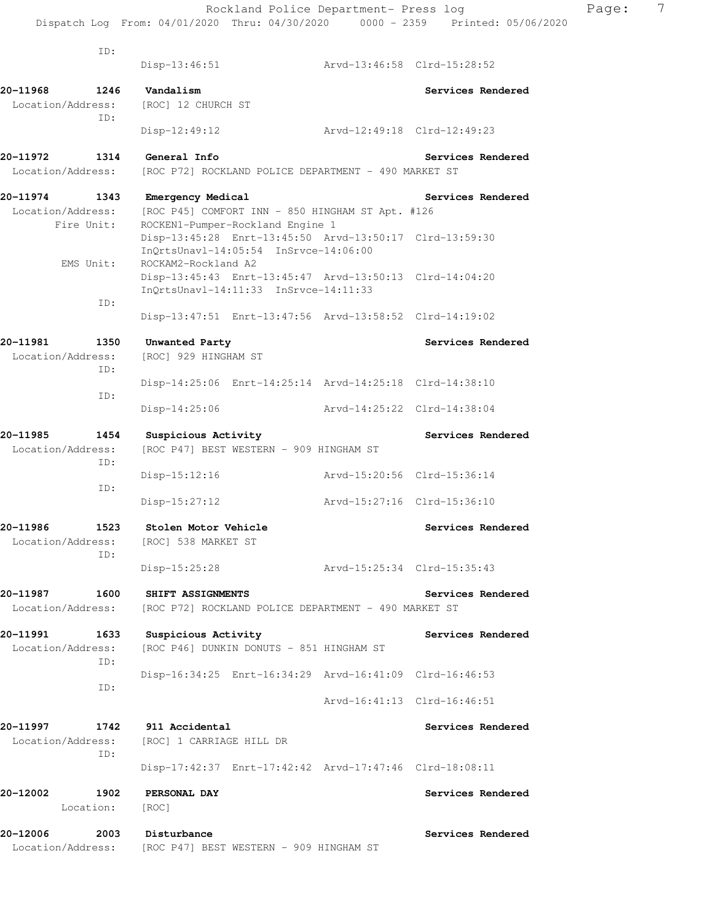Dispatch Log From: 04/01/2020 Thru: 04/30/2020 0000 - 2359 Printed: 05/06/2020 ID: Disp-13:46:51 Arvd-13:46:58 Clrd-15:28:52 20-11968 1246 Vandalism **Services Rendered** Location/Address: [ROC] 12 CHURCH ST ID: Disp-12:49:12 Arvd-12:49:18 Clrd-12:49:23 **20-11972 1314 General Info Services Rendered**  Location/Address: [ROC P72] ROCKLAND POLICE DEPARTMENT - 490 MARKET ST **20-11974 1343 Emergency Medical Services Rendered**  Location/Address: [ROC P45] COMFORT INN - 850 HINGHAM ST Apt. #126 Fire Unit: ROCKEN1-Pumper-Rockland Engine 1 Disp-13:45:28 Enrt-13:45:50 Arvd-13:50:17 Clrd-13:59:30 InQrtsUnavl-14:05:54 InSrvce-14:06:00 EMS Unit: ROCKAM2-Rockland A2 Disp-13:45:43 Enrt-13:45:47 Arvd-13:50:13 Clrd-14:04:20 InQrtsUnavl-14:11:33 InSrvce-14:11:33 ID: Disp-13:47:51 Enrt-13:47:56 Arvd-13:58:52 Clrd-14:19:02 20-11981 1350 Unwanted Party **Services Rendered** Books and the Services Rendered Location/Address: [ROC] 929 HINGHAM ST ID: Disp-14:25:06 Enrt-14:25:14 Arvd-14:25:18 Clrd-14:38:10 ID: Disp-14:25:06 Arvd-14:25:22 Clrd-14:38:04 **20-11985 1454 Suspicious Activity Services Rendered**  Location/Address: [ROC P47] BEST WESTERN - 909 HINGHAM ST ID: Disp-15:12:16 Arvd-15:20:56 Clrd-15:36:14 ID: Disp-15:27:12 Arvd-15:27:16 Clrd-15:36:10 **20-11986 1523 Stolen Motor Vehicle Services Rendered**  Location/Address: [ROC] 538 MARKET ST ID: Disp-15:25:28 Arvd-15:25:34 Clrd-15:35:43 **20-11987 1600 SHIFT ASSIGNMENTS Services Rendered**  Location/Address: [ROC P72] ROCKLAND POLICE DEPARTMENT - 490 MARKET ST **20-11991 1633 Suspicious Activity Services Rendered**  Location/Address: [ROC P46] DUNKIN DONUTS - 851 HINGHAM ST ID: Disp-16:34:25 Enrt-16:34:29 Arvd-16:41:09 Clrd-16:46:53 ID: Arvd-16:41:13 Clrd-16:46:51 **20-11997 1742 911 Accidental Services Rendered**  Location/Address: [ROC] 1 CARRIAGE HILL DR ID: Disp-17:42:37 Enrt-17:42:42 Arvd-17:47:46 Clrd-18:08:11 **20-12002 1902 PERSONAL DAY Services Rendered**  Location: [ROC] **20-12006 2003 Disturbance Services Rendered** 

Location/Address: [ROC P47] BEST WESTERN - 909 HINGHAM ST

Rockland Police Department- Press log Rage: 7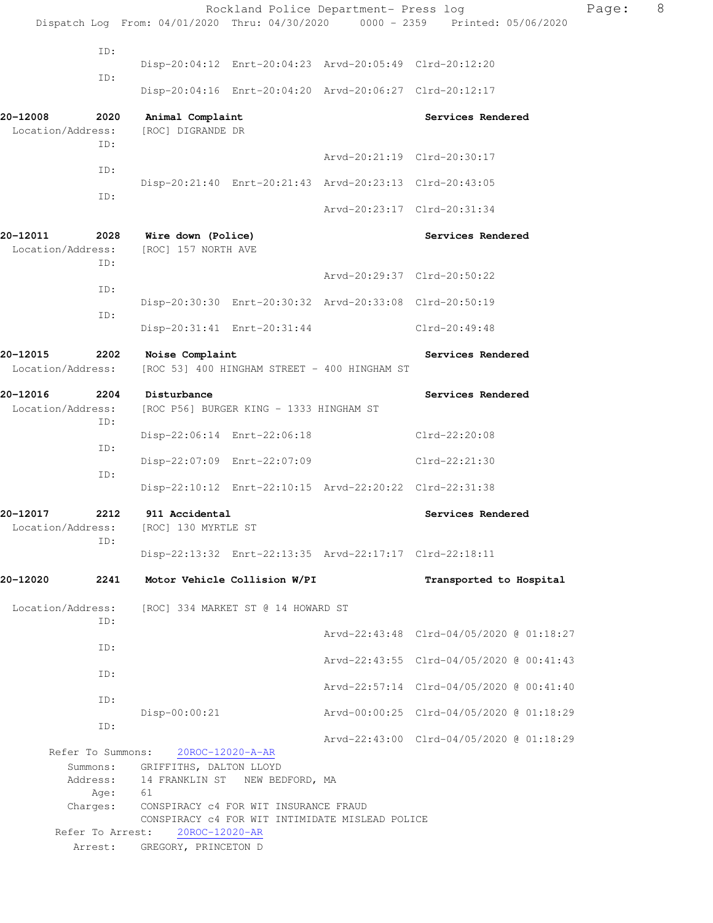|                               |                   |                                               |                                         | Rockland Police Department- Press log                   |                                                                                | Page: | 8 |
|-------------------------------|-------------------|-----------------------------------------------|-----------------------------------------|---------------------------------------------------------|--------------------------------------------------------------------------------|-------|---|
|                               |                   |                                               |                                         |                                                         | Dispatch Log From: 04/01/2020 Thru: 04/30/2020 0000 - 2359 Printed: 05/06/2020 |       |   |
|                               | ID:               |                                               |                                         | Disp-20:04:12 Enrt-20:04:23 Arvd-20:05:49 Clrd-20:12:20 |                                                                                |       |   |
|                               | ID:               |                                               |                                         |                                                         |                                                                                |       |   |
|                               |                   |                                               |                                         | Disp-20:04:16 Enrt-20:04:20 Arvd-20:06:27 Clrd-20:12:17 |                                                                                |       |   |
| 20-12008<br>Location/Address: | 2020              | Animal Complaint<br>[ROC] DIGRANDE DR         |                                         |                                                         | Services Rendered                                                              |       |   |
|                               | ID:               |                                               |                                         |                                                         |                                                                                |       |   |
|                               | ID:               |                                               |                                         |                                                         | Arvd-20:21:19 Clrd-20:30:17                                                    |       |   |
|                               | ID:               |                                               |                                         | Disp-20:21:40 Enrt-20:21:43 Arvd-20:23:13 Clrd-20:43:05 |                                                                                |       |   |
|                               |                   |                                               |                                         |                                                         | Arvd-20:23:17 Clrd-20:31:34                                                    |       |   |
| 20-12011<br>Location/Address: | 2028              | Wire down (Police)<br>[ROC] 157 NORTH AVE     |                                         |                                                         | Services Rendered                                                              |       |   |
|                               | ID:               |                                               |                                         |                                                         | Arvd-20:29:37 Clrd-20:50:22                                                    |       |   |
|                               | ID:               |                                               |                                         |                                                         |                                                                                |       |   |
|                               | ID:               |                                               |                                         | Disp-20:30:30 Enrt-20:30:32 Arvd-20:33:08 Clrd-20:50:19 |                                                                                |       |   |
|                               |                   |                                               | Disp-20:31:41 Enrt-20:31:44             |                                                         | Clrd-20:49:48                                                                  |       |   |
| 20-12015<br>Location/Address: | 2202              | Noise Complaint                               |                                         | [ROC 53] 400 HINGHAM STREET - 400 HINGHAM ST            | Services Rendered                                                              |       |   |
| 20-12016                      | 2204              | Disturbance                                   |                                         |                                                         | Services Rendered                                                              |       |   |
| Location/Address:<br>ID:      |                   |                                               | [ROC P56] BURGER KING - 1333 HINGHAM ST |                                                         |                                                                                |       |   |
|                               |                   |                                               | Disp-22:06:14 Enrt-22:06:18             |                                                         | Clrd-22:20:08                                                                  |       |   |
|                               | ID:               |                                               | Disp-22:07:09 Enrt-22:07:09             |                                                         | Clrd-22:21:30                                                                  |       |   |
|                               | ID:               |                                               |                                         | Disp-22:10:12 Enrt-22:10:15 Arvd-22:20:22 Clrd-22:31:38 |                                                                                |       |   |
| 20-12017                      | 2212              | 911 Accidental                                |                                         |                                                         | Services Rendered                                                              |       |   |
| Location/Address:             | ID:               | [ROC] 130 MYRTLE ST                           |                                         |                                                         |                                                                                |       |   |
|                               |                   |                                               |                                         | Disp-22:13:32 Enrt-22:13:35 Arvd-22:17:17 Clrd-22:18:11 |                                                                                |       |   |
| 20-12020                      | 2241              |                                               | Motor Vehicle Collision W/PI            |                                                         | Transported to Hospital                                                        |       |   |
| Location/Address:             |                   |                                               | [ROC] 334 MARKET ST @ 14 HOWARD ST      |                                                         |                                                                                |       |   |
|                               | ID:               |                                               |                                         |                                                         | Arvd-22:43:48 Clrd-04/05/2020 @ 01:18:27                                       |       |   |
|                               | ID:               |                                               |                                         |                                                         | Arvd-22:43:55 Clrd-04/05/2020 @ 00:41:43                                       |       |   |
|                               | ID:               |                                               |                                         |                                                         | Arvd-22:57:14 Clrd-04/05/2020 @ 00:41:40                                       |       |   |
|                               | ID:               |                                               |                                         |                                                         |                                                                                |       |   |
|                               | ID:               | Disp-00:00:21                                 |                                         |                                                         | Arvd-00:00:25 Clrd-04/05/2020 @ 01:18:29                                       |       |   |
|                               | Refer To Summons: |                                               | 20ROC-12020-A-AR                        |                                                         | Arvd-22:43:00 Clrd-04/05/2020 @ 01:18:29                                       |       |   |
|                               | Summons:          | GRIFFITHS, DALTON LLOYD                       |                                         |                                                         |                                                                                |       |   |
|                               | Age:              | Address: 14 FRANKLIN ST NEW BEDFORD, MA<br>61 |                                         |                                                         |                                                                                |       |   |
|                               | Charges:          |                                               | CONSPIRACY c4 FOR WIT INSURANCE FRAUD   |                                                         |                                                                                |       |   |
|                               | Refer To Arrest:  | 20ROC-12020-AR                                |                                         | CONSPIRACY c4 FOR WIT INTIMIDATE MISLEAD POLICE         |                                                                                |       |   |
|                               | Arrest:           | GREGORY, PRINCETON D                          |                                         |                                                         |                                                                                |       |   |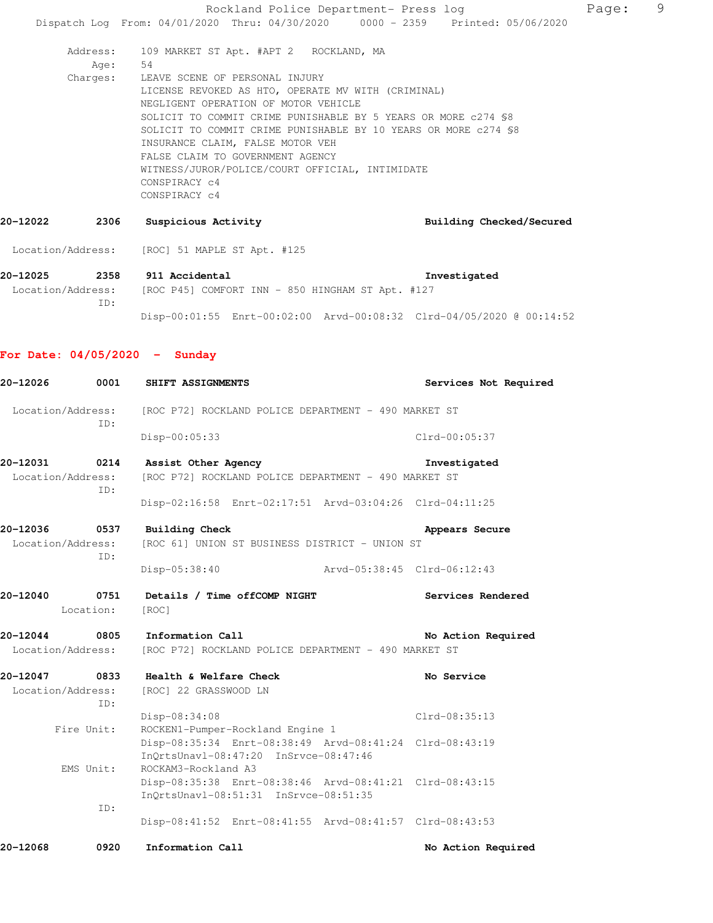Rockland Police Department- Press log Page: 9 Dispatch Log From: 04/01/2020 Thru: 04/30/2020 0000 - 2359 Printed: 05/06/2020 Address: 109 MARKET ST Apt. #APT 2 ROCKLAND, MA Age: 54 Charges: LEAVE SCENE OF PERSONAL INJURY LICENSE REVOKED AS HTO, OPERATE MV WITH (CRIMINAL) NEGLIGENT OPERATION OF MOTOR VEHICLE SOLICIT TO COMMIT CRIME PUNISHABLE BY 5 YEARS OR MORE c274 §8 SOLICIT TO COMMIT CRIME PUNISHABLE BY 10 YEARS OR MORE c274 §8 INSURANCE CLAIM, FALSE MOTOR VEH FALSE CLAIM TO GOVERNMENT AGENCY WITNESS/JUROR/POLICE/COURT OFFICIAL, INTIMIDATE CONSPIRACY c4 CONSPIRACY c4 **20-12022 2306 Suspicious Activity Building Checked/Secured**  Location/Address: [ROC] 51 MAPLE ST Apt. #125 **20-12025 2358 911 Accidental Investigated**  Location/Address: [ROC P45] COMFORT INN - 850 HINGHAM ST Apt. #127 ID: Disp-00:01:55 Enrt-00:02:00 Arvd-00:08:32 Clrd-04/05/2020 @ 00:14:52 **For Date: 04/05/2020 - Sunday 20-12026 0001 SHIFT ASSIGNMENTS Services Not Required** 

 Location/Address: [ROC P72] ROCKLAND POLICE DEPARTMENT - 490 MARKET ST ID: Disp-00:05:33 Clrd-00:05:37 **20-12031 0214 Assist Other Agency Investigated**  Location/Address: [ROC P72] ROCKLAND POLICE DEPARTMENT - 490 MARKET ST ID: Disp-02:16:58 Enrt-02:17:51 Arvd-03:04:26 Clrd-04:11:25 **20-12036 0537 Building Check Appears Secure**  Location/Address: [ROC 61] UNION ST BUSINESS DISTRICT - UNION ST ID: Disp-05:38:40 Arvd-05:38:45 Clrd-06:12:43 **20-12040 0751 Details / Time offCOMP NIGHT Services Rendered**  Location: [ROC] **20-12044 0805 Information Call No Action Required**  Location/Address: [ROC P72] ROCKLAND POLICE DEPARTMENT - 490 MARKET ST **20-12047 0833 Health & Welfare Check No Service**  Location/Address: [ROC] 22 GRASSWOOD LN ID: Disp-08:34:08 Clrd-08:35:13 Fire Unit: ROCKEN1-Pumper-Rockland Engine 1 Disp-08:35:34 Enrt-08:38:49 Arvd-08:41:24 Clrd-08:43:19 InQrtsUnavl-08:47:20 InSrvce-08:47:46 EMS Unit: ROCKAM3-Rockland A3 Disp-08:35:38 Enrt-08:38:46 Arvd-08:41:21 Clrd-08:43:15 InQrtsUnavl-08:51:31 InSrvce-08:51:35 ID: Disp-08:41:52 Enrt-08:41:55 Arvd-08:41:57 Clrd-08:43:53

20-12068 0920 Information Call **1986 120 Required** No Action Required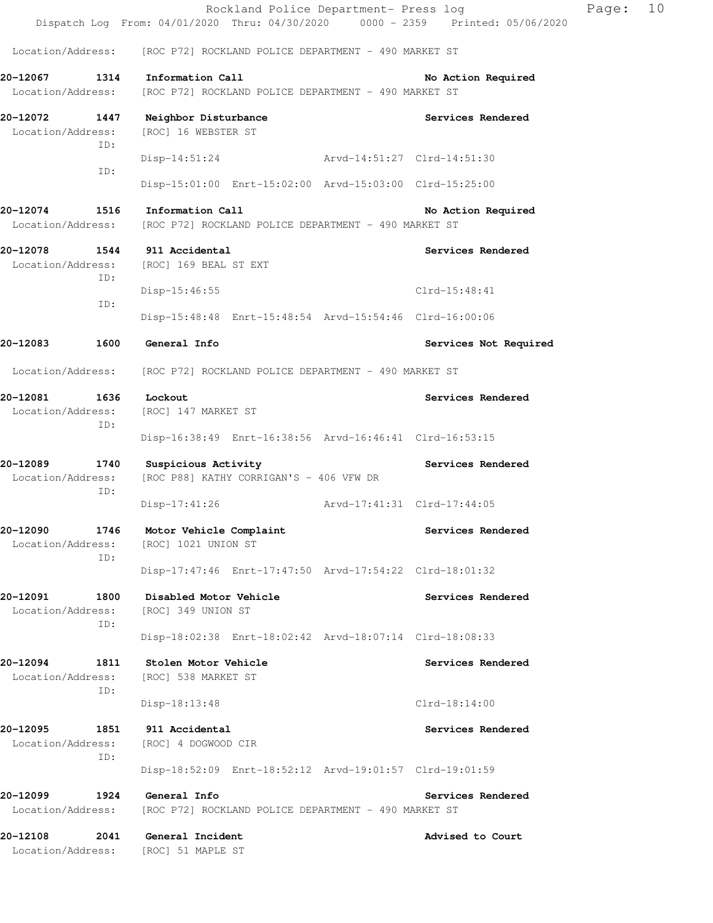|                                       |             | Rockland Police Department- Press log<br>Dispatch Log From: 04/01/2020 Thru: 04/30/2020 0000 - 2359 Printed: 05/06/2020 |                             |                       | Page: | 10 |
|---------------------------------------|-------------|-------------------------------------------------------------------------------------------------------------------------|-----------------------------|-----------------------|-------|----|
|                                       |             | Location/Address: [ROC P72] ROCKLAND POLICE DEPARTMENT - 490 MARKET ST                                                  |                             |                       |       |    |
| Location/Address:                     |             | 20-12067 1314 Information Call<br>[ROC P72] ROCKLAND POLICE DEPARTMENT - 490 MARKET ST                                  |                             | No Action Required    |       |    |
| Location/Address:                     | ID:         | 20-12072 1447 Neighbor Disturbance<br>[ROC] 16 WEBSTER ST                                                               |                             | Services Rendered     |       |    |
|                                       | ID:         | Disp-14:51:24 Arvd-14:51:27 Clrd-14:51:30<br>Disp-15:01:00 Enrt-15:02:00 Arvd-15:03:00 Clrd-15:25:00                    |                             |                       |       |    |
| 20-12074                              |             | 1516 Information Call                                                                                                   |                             | No Action Required    |       |    |
| Location/Address:                     |             | [ROC P72] ROCKLAND POLICE DEPARTMENT - 490 MARKET ST                                                                    |                             |                       |       |    |
| 20-12078<br>Location/Address:         | ID:         | 1544 911 Accidental<br>[ROC] 169 BEAL ST EXT                                                                            |                             | Services Rendered     |       |    |
|                                       | ID:         | Disp-15:46:55                                                                                                           |                             | Clrd-15:48:41         |       |    |
|                                       |             | Disp-15:48:48 Enrt-15:48:54 Arvd-15:54:46 Clrd-16:00:06                                                                 |                             |                       |       |    |
| 20-12083                              | 1600        | General Info                                                                                                            |                             | Services Not Required |       |    |
|                                       |             | Location/Address: [ROC P72] ROCKLAND POLICE DEPARTMENT - 490 MARKET ST                                                  |                             |                       |       |    |
| 20-12081<br>1636<br>Location/Address: | ID:         | Lockout<br>[ROC] 147 MARKET ST                                                                                          |                             | Services Rendered     |       |    |
|                                       |             | Disp-16:38:49 Enrt-16:38:56 Arvd-16:46:41 Clrd-16:53:15                                                                 |                             |                       |       |    |
| 20-12089<br>Location/Address:         | 1740<br>ID: | Suspicious Activity<br>[ROC P88] KATHY CORRIGAN'S - 406 VFW DR                                                          |                             | Services Rendered     |       |    |
|                                       |             | Disp-17:41:26                                                                                                           | Arvd-17:41:31 Clrd-17:44:05 |                       |       |    |
| 20-12090<br>Location/Address:         | 1746<br>ID: | Motor Vehicle Complaint<br>[ROC] 1021 UNION ST                                                                          |                             | Services Rendered     |       |    |
|                                       |             | Disp-17:47:46 Enrt-17:47:50 Arvd-17:54:22 Clrd-18:01:32                                                                 |                             |                       |       |    |
| 20-12091<br>Location/Address:         | 1800<br>ID: | Disabled Motor Vehicle<br>[ROC] 349 UNION ST                                                                            |                             | Services Rendered     |       |    |
|                                       |             | Disp-18:02:38 Enrt-18:02:42 Arvd-18:07:14 Clrd-18:08:33                                                                 |                             |                       |       |    |
| 20-12094<br>Location/Address:         | 1811<br>ID: | Stolen Motor Vehicle<br>[ROC] 538 MARKET ST                                                                             |                             | Services Rendered     |       |    |
|                                       |             | Disp-18:13:48                                                                                                           |                             | $Clrd-18:14:00$       |       |    |
| 20-12095<br>Location/Address:         | 1851<br>ID: | 911 Accidental<br>[ROC] 4 DOGWOOD CIR                                                                                   |                             | Services Rendered     |       |    |
|                                       |             | Disp-18:52:09 Enrt-18:52:12 Arvd-19:01:57 Clrd-19:01:59                                                                 |                             |                       |       |    |
| 20-12099<br>Location/Address:         | 1924        | General Info<br>[ROC P72] ROCKLAND POLICE DEPARTMENT - 490 MARKET ST                                                    |                             | Services Rendered     |       |    |
| 20-12108<br>Location/Address:         | 2041        | General Incident<br>[ROC] 51 MAPLE ST                                                                                   |                             | Advised to Court      |       |    |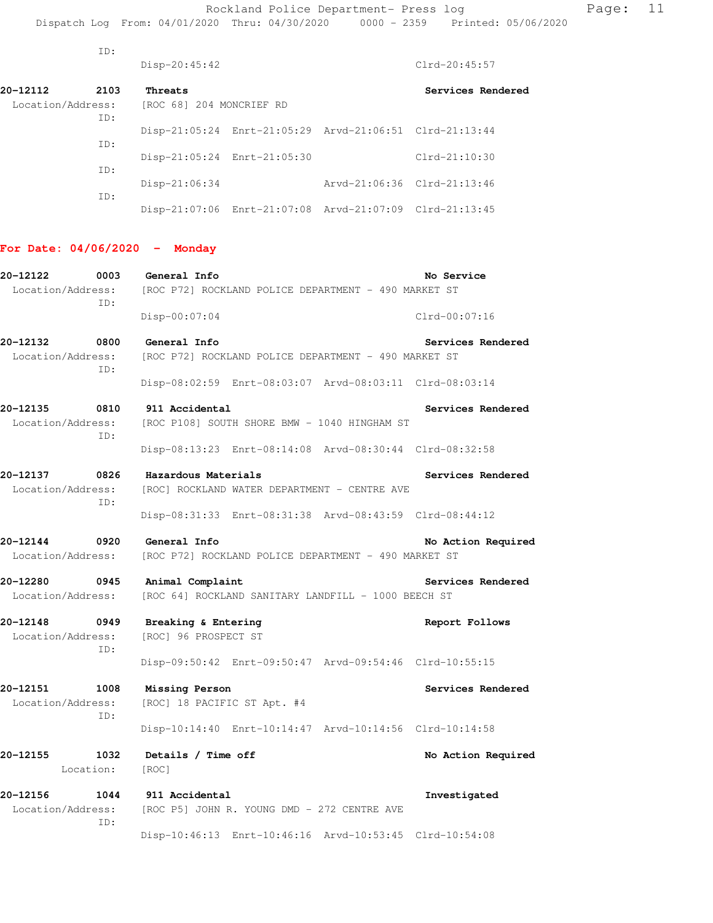ID:

|                                              | Disp-20:45:42                                                                               | Clrd-20:45:57      |
|----------------------------------------------|---------------------------------------------------------------------------------------------|--------------------|
| 20-12112<br>2103<br>Location/Address:        | Threats<br>[ROC 68] 204 MONCRIEF RD                                                         | Services Rendered  |
| ID:                                          | Disp-21:05:24 Enrt-21:05:29 Arvd-21:06:51 Clrd-21:13:44                                     |                    |
| ID:                                          | Disp-21:05:24 Enrt-21:05:30                                                                 | Clrd-21:10:30      |
| ID:                                          | Disp-21:06:34<br>Arvd-21:06:36 Clrd-21:13:46                                                |                    |
| ID:                                          | Disp-21:07:06 Enrt-21:07:08 Arvd-21:07:09 Clrd-21:13:45                                     |                    |
| For Date: $04/06/2020 -$ Monday              |                                                                                             |                    |
| 20-12122<br>ID:                              | 0003 General Info<br>Location/Address: [ROC P72] ROCKLAND POLICE DEPARTMENT - 490 MARKET ST | No Service         |
|                                              | Disp-00:07:04                                                                               | $Clrd-00:07:16$    |
| 20-12132<br>0800<br>Location/Address:<br>ID: | General Info<br>[ROC P72] ROCKLAND POLICE DEPARTMENT - 490 MARKET ST                        | Services Rendered  |
|                                              | Disp-08:02:59 Enrt-08:03:07 Arvd-08:03:11 Clrd-08:03:14                                     |                    |
| 20-12135<br>0810<br>Location/Address:<br>ID: | 911 Accidental<br>[ROC P108] SOUTH SHORE BMW - 1040 HINGHAM ST                              | Services Rendered  |
|                                              | Disp-08:13:23 Enrt-08:14:08 Arvd-08:30:44 Clrd-08:32:58                                     |                    |
| 20-12137<br>0826<br>Location/Address:<br>ID: | Hazardous Materials<br>[ROC] ROCKLAND WATER DEPARTMENT - CENTRE AVE                         | Services Rendered  |
|                                              | Disp-08:31:33 Enrt-08:31:38 Arvd-08:43:59 Clrd-08:44:12                                     |                    |
| 20-12144                                     | 0920 General Info<br>Location/Address: [ROC P72] ROCKLAND POLICE DEPARTMENT - 490 MARKET ST | No Action Required |
| 20-12280<br>0945<br>Location/Address:        | Animal Complaint<br>[ROC 64] ROCKLAND SANITARY LANDFILL - 1000 BEECH ST                     | Services Rendered  |
| 20-12148<br>0949<br>Location/Address:<br>ID: | Breaking & Entering<br>[ROC] 96 PROSPECT ST                                                 | Report Follows     |
|                                              | Disp-09:50:42 Enrt-09:50:47 Arvd-09:54:46 Clrd-10:55:15                                     |                    |
| 20-12151<br>1008<br>Location/Address:<br>ID: | Missing Person<br>[ROC] 18 PACIFIC ST Apt. #4                                               | Services Rendered  |
|                                              | Disp-10:14:40 Enrt-10:14:47 Arvd-10:14:56 Clrd-10:14:58                                     |                    |
| 20–12155<br>1032<br>Location:                | Details / Time off<br>$\lceil \text{ROC} \rceil$                                            | No Action Required |
| 20-12156<br>1044<br>Location/Address:<br>ID: | 911 Accidental<br>[ROC P5] JOHN R. YOUNG DMD - 272 CENTRE AVE                               | Investigated       |
|                                              | Disp-10:46:13 Enrt-10:46:16 Arvd-10:53:45 Clrd-10:54:08                                     |                    |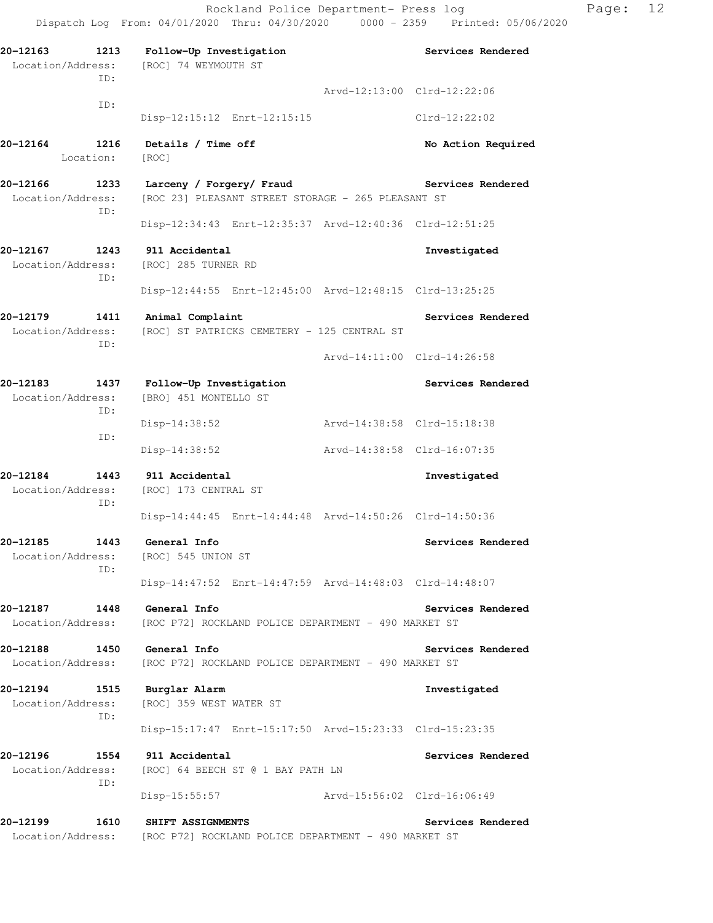**20-12163 1213 Follow-Up Investigation Services Rendered**  Location/Address: [ROC] 74 WEYMOUTH ST ID: Arvd-12:13:00 Clrd-12:22:06 ID: Disp-12:15:12 Enrt-12:15:15 Clrd-12:22:02 20-12164 1216 Details / Time off **No. 2016** No Action Required Location: [ROC] **20-12166 1233 Larceny / Forgery/ Fraud Services Rendered**  Location/Address: [ROC 23] PLEASANT STREET STORAGE - 265 PLEASANT ST ID: Disp-12:34:43 Enrt-12:35:37 Arvd-12:40:36 Clrd-12:51:25 **20-12167 1243 911 Accidental Investigated**  Location/Address: [ROC] 285 TURNER RD ID: Disp-12:44:55 Enrt-12:45:00 Arvd-12:48:15 Clrd-13:25:25 **20-12179 1411 Animal Complaint Services Rendered**  Location/Address: [ROC] ST PATRICKS CEMETERY - 125 CENTRAL ST ID: Arvd-14:11:00 Clrd-14:26:58 **20-12183 1437 Follow-Up Investigation Services Rendered**  Location/Address: [BRO] 451 MONTELLO ST ID: Disp-14:38:52 Arvd-14:38:58 Clrd-15:18:38 ID: Disp-14:38:52 Arvd-14:38:58 Clrd-16:07:35 **20-12184 1443 911 Accidental Investigated**  Location/Address: [ROC] 173 CENTRAL ST ID: Disp-14:44:45 Enrt-14:44:48 Arvd-14:50:26 Clrd-14:50:36 **20-12185 1443 General Info Services Rendered**  Location/Address: [ROC] 545 UNION ST ID: Disp-14:47:52 Enrt-14:47:59 Arvd-14:48:03 Clrd-14:48:07 **20-12187 1448 General Info Services Rendered**  Location/Address: [ROC P72] ROCKLAND POLICE DEPARTMENT - 490 MARKET ST **20-12188 1450 General Info Services Rendered**  Location/Address: [ROC P72] ROCKLAND POLICE DEPARTMENT - 490 MARKET ST **20-12194 1515 Burglar Alarm Investigated**  Location/Address: [ROC] 359 WEST WATER ST ID: Disp-15:17:47 Enrt-15:17:50 Arvd-15:23:33 Clrd-15:23:35 **20-12196 1554 911 Accidental Services Rendered**  Location/Address: [ROC] 64 BEECH ST @ 1 BAY PATH LN ID: Disp-15:55:57 Arvd-15:56:02 Clrd-16:06:49 **20-12199 1610 SHIFT ASSIGNMENTS Services Rendered**  Location/Address: [ROC P72] ROCKLAND POLICE DEPARTMENT - 490 MARKET ST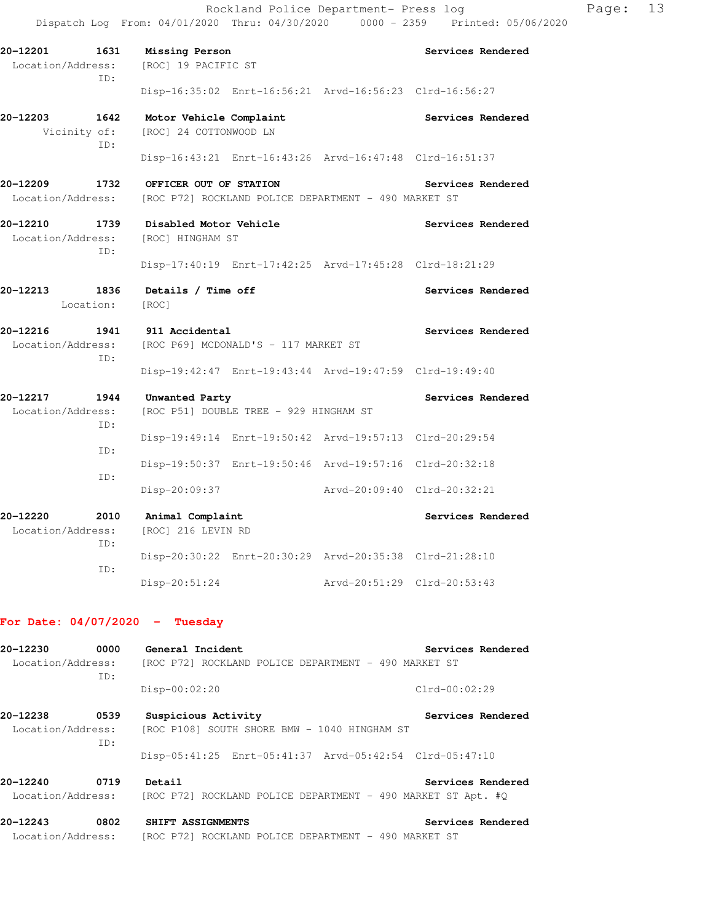**20-12201 1631 Missing Person Services Rendered** 

| Location/Address:<br>TD:                                                           | [ROC] 19 PACIFIC ST                                            |                             |                   |
|------------------------------------------------------------------------------------|----------------------------------------------------------------|-----------------------------|-------------------|
|                                                                                    | Disp-16:35:02 Enrt-16:56:21 Arvd-16:56:23 Clrd-16:56:27        |                             |                   |
| 20-12203<br>1642<br>TD:                                                            | Motor Vehicle Complaint<br>Vicinity of: [ROC] 24 COTTONWOOD LN |                             | Services Rendered |
|                                                                                    | Disp-16:43:21 Enrt-16:43:26 Arvd-16:47:48 Clrd-16:51:37        |                             |                   |
| 20-12209<br>Location/Address: [ROC P72] ROCKLAND POLICE DEPARTMENT - 490 MARKET ST | 1732 OFFICER OUT OF STATION                                    |                             | Services Rendered |
| 20-12210<br>1739<br>Location/Address: [ROC] HINGHAM ST<br>TD:                      | Disabled Motor Vehicle                                         |                             | Services Rendered |
|                                                                                    | Disp-17:40:19 Enrt-17:42:25 Arvd-17:45:28 Clrd-18:21:29        |                             |                   |
| 20-12213<br>1836<br>Location:                                                      | Details / Time off<br>[ROC]                                    |                             | Services Rendered |
| 20-12216<br>Location/Address:<br>TD:                                               | 1941 911 Accidental<br>[ROC P69] MCDONALD'S - 117 MARKET ST    |                             | Services Rendered |
|                                                                                    | Disp-19:42:47 Enrt-19:43:44 Arvd-19:47:59 Clrd-19:49:40        |                             |                   |
| 20-12217<br>1944<br>Location/Address:<br>ID:                                       | Unwanted Party<br>[ROC P51] DOUBLE TREE - 929 HINGHAM ST       |                             | Services Rendered |
| ID:                                                                                | Disp-19:49:14 Enrt-19:50:42 Arvd-19:57:13 Clrd-20:29:54        |                             |                   |
| ID:                                                                                | Disp-19:50:37 Enrt-19:50:46 Arvd-19:57:16 Clrd-20:32:18        |                             |                   |
|                                                                                    | Disp-20:09:37                                                  | Arvd-20:09:40 Clrd-20:32:21 |                   |

| 20-12220          | 2010 | Animal Complaint   |                                                         |                             | Services Rendered |
|-------------------|------|--------------------|---------------------------------------------------------|-----------------------------|-------------------|
| Location/Address: |      | [ROC] 216 LEVIN RD |                                                         |                             |                   |
|                   | TD:  |                    |                                                         |                             |                   |
|                   |      |                    | Disp-20:30:22 Enrt-20:30:29 Arvd-20:35:38 Clrd-21:28:10 |                             |                   |
|                   | TD:  |                    |                                                         |                             |                   |
|                   |      | $Disp-20:51:24$    |                                                         | Arvd-20:51:29 Clrd-20:53:43 |                   |

### **For Date: 04/07/2020 - Tuesday**

| 20-12230          | 0000 | General Incident                                             | Services Rendered |
|-------------------|------|--------------------------------------------------------------|-------------------|
| Location/Address: | ID:  | [ROC P72] ROCKLAND POLICE DEPARTMENT - 490 MARKET ST         |                   |
|                   |      | $Disp-00:02:20$                                              | $Clrd-00:02:29$   |
| 20-12238          | 0539 | Suspicious Activity                                          | Services Rendered |
| Location/Address: | ID:  | [ROC P108] SOUTH SHORE BMW - 1040 HINGHAM ST                 |                   |
|                   |      | Disp-05:41:25 Enrt-05:41:37 Arvd-05:42:54 Clrd-05:47:10      |                   |
| 20-12240          | 0719 | Detail                                                       | Services Rendered |
| Location/Address: |      | [ROC P72] ROCKLAND POLICE DEPARTMENT - 490 MARKET ST Apt. #O |                   |
| 00 10010          | nono | CUTEM ROCTOMENTO                                             | Counters Dondonad |

**20-12243 0802 SHIFT ASSIGNMENTS Services Rendered**  Location/Address: [ROC P72] ROCKLAND POLICE DEPARTMENT - 490 MARKET ST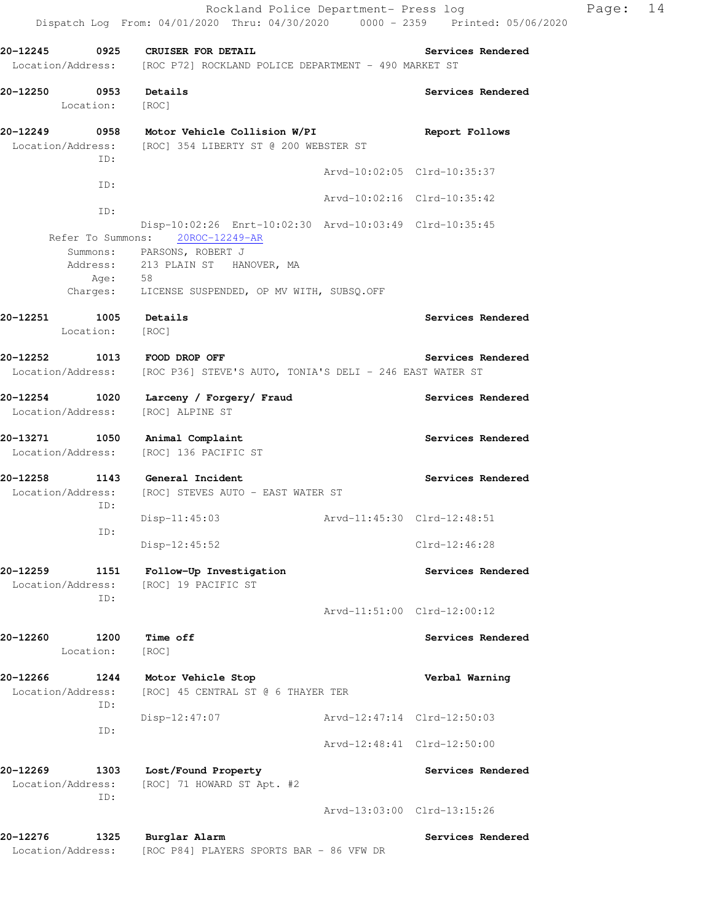|                       |                                 | 20-12245 0925 CRUISER FOR DETAIL                                                            |                             | Services Rendered           |
|-----------------------|---------------------------------|---------------------------------------------------------------------------------------------|-----------------------------|-----------------------------|
|                       |                                 | Location/Address: [ROC P72] ROCKLAND POLICE DEPARTMENT - 490 MARKET ST                      |                             |                             |
| 20-12250 0953 Details |                                 |                                                                                             |                             | Services Rendered           |
|                       | Location: [ROC]                 |                                                                                             |                             |                             |
|                       |                                 | 20-12249 0958 Motor Vehicle Collision W/PI                                                  |                             | Report Follows              |
|                       | ID:                             | Location/Address: [ROC] 354 LIBERTY ST @ 200 WEBSTER ST                                     |                             |                             |
|                       |                                 |                                                                                             |                             | Arvd-10:02:05 Clrd-10:35:37 |
|                       | ID:                             |                                                                                             |                             | Arvd-10:02:16 Clrd-10:35:42 |
|                       | ID:                             |                                                                                             |                             |                             |
|                       |                                 | Disp-10:02:26 Enrt-10:02:30 Arvd-10:03:49 Clrd-10:35:45<br>Refer To Summons: 20ROC-12249-AR |                             |                             |
|                       |                                 | Summons: PARSONS, ROBERT J                                                                  |                             |                             |
|                       |                                 | Address: 213 PLAIN ST HANOVER, MA                                                           |                             |                             |
|                       | Age: 58                         | Charges: LICENSE SUSPENDED, OP MV WITH, SUBSQ.OFF                                           |                             |                             |
|                       |                                 |                                                                                             |                             |                             |
| 20-12251              | 1005 Details<br>Location: [ROC] |                                                                                             |                             | Services Rendered           |
|                       |                                 |                                                                                             |                             |                             |
|                       |                                 | 20-12252 1013 FOOD DROP OFF                                                                 |                             | Services Rendered           |
|                       |                                 | Location/Address: [ROC P36] STEVE'S AUTO, TONIA'S DELI - 246 EAST WATER ST                  |                             |                             |
|                       |                                 | 20-12254 1020 Larceny / Forgery/ Fraud                                                      |                             | Services Rendered           |
|                       |                                 | Location/Address: [ROC] ALPINE ST                                                           |                             |                             |
|                       |                                 | 20-13271 1050 Animal Complaint                                                              |                             | Services Rendered           |
|                       |                                 | Location/Address: [ROC] 136 PACIFIC ST                                                      |                             |                             |
|                       |                                 | 20-12258 1143 General Incident                                                              |                             | Services Rendered           |
|                       |                                 | Location/Address: [ROC] STEVES AUTO - EAST WATER ST                                         |                             |                             |
|                       | ID:                             | $Disp-11:45:03$                                                                             | Arvd-11:45:30 Clrd-12:48:51 |                             |
|                       | ID:                             |                                                                                             |                             |                             |
|                       |                                 | Disp-12:45:52                                                                               |                             | Clrd-12:46:28               |
| 20-12259              | 1151                            | Follow-Up Investigation                                                                     |                             | Services Rendered           |
| Location/Address:     | ID:                             | [ROC] 19 PACIFIC ST                                                                         |                             |                             |
|                       |                                 |                                                                                             |                             | Arvd-11:51:00 Clrd-12:00:12 |
| 20-12260              | 1200                            | Time off                                                                                    |                             |                             |
|                       | Location:                       | [ROC]                                                                                       |                             | Services Rendered           |
| 20-12266              | 1244                            | Motor Vehicle Stop                                                                          |                             | Verbal Warning              |
| Location/Address:     |                                 | [ROC] 45 CENTRAL ST @ 6 THAYER TER                                                          |                             |                             |
|                       | ID:                             | Disp-12:47:07                                                                               |                             | Arvd-12:47:14 Clrd-12:50:03 |
|                       | ID:                             |                                                                                             |                             |                             |
|                       |                                 |                                                                                             |                             | Arvd-12:48:41 Clrd-12:50:00 |

Dispatch Log From: 04/01/2020 Thru: 04/30/2020 0000 - 2359 Printed: 05/06/2020

**20-12269 1303 Lost/Found Property Services Rendered**  Location/Address: [ROC] 71 HOWARD ST Apt. #2 ID: Arvd-13:03:00 Clrd-13:15:26

20-12276 1325 Burglar Alarm **120 Communist Services Rendered** Location/Address: [ROC P84] PLAYERS SPORTS BAR - 86 VFW DR

Rockland Police Department- Press log Page: 14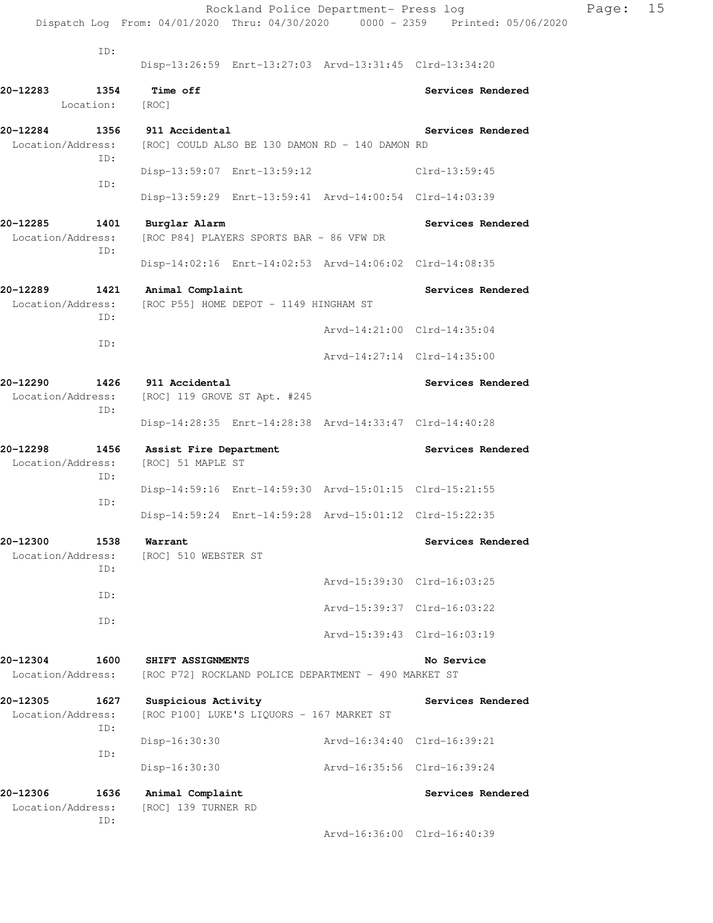|                               |                   |                                                     | Rockland Police Department- Press log                   |                             | Dispatch Log From: 04/01/2020 Thru: 04/30/2020 0000 - 2359 Printed: 05/06/2020 | Page: | 15 |
|-------------------------------|-------------------|-----------------------------------------------------|---------------------------------------------------------|-----------------------------|--------------------------------------------------------------------------------|-------|----|
|                               | ID:               |                                                     | Disp-13:26:59 Enrt-13:27:03 Arvd-13:31:45 Clrd-13:34:20 |                             |                                                                                |       |    |
| 20-12283                      | 1354<br>Location: | <b>Time off</b><br>[ROC]                            |                                                         |                             | Services Rendered                                                              |       |    |
| 20-12284<br>Location/Address: |                   | 1356 911 Accidental                                 | [ROC] COULD ALSO BE 130 DAMON RD - 140 DAMON RD         |                             | Services Rendered                                                              |       |    |
|                               | ID:               |                                                     | Disp-13:59:07 Enrt-13:59:12 Clrd-13:59:45               |                             |                                                                                |       |    |
|                               | ID:               |                                                     | Disp-13:59:29 Enrt-13:59:41 Arvd-14:00:54 Clrd-14:03:39 |                             |                                                                                |       |    |
| 20-12285<br>Location/Address: | 1401<br>ID:       | Burglar Alarm                                       | [ROC P84] PLAYERS SPORTS BAR - 86 VFW DR                |                             | Services Rendered                                                              |       |    |
|                               |                   |                                                     | Disp-14:02:16 Enrt-14:02:53 Arvd-14:06:02 Clrd-14:08:35 |                             |                                                                                |       |    |
| 20-12289<br>Location/Address: | 1421<br>ID:       | Animal Complaint                                    | [ROC P55] HOME DEPOT - 1149 HINGHAM ST                  |                             | Services Rendered                                                              |       |    |
|                               | ID:               |                                                     |                                                         |                             | Arvd-14:21:00 Clrd-14:35:04                                                    |       |    |
|                               |                   |                                                     |                                                         |                             | Arvd-14:27:14 Clrd-14:35:00                                                    |       |    |
| 20-12290<br>Location/Address: | ID:               | 1426 911 Accidental<br>[ROC] 119 GROVE ST Apt. #245 |                                                         |                             | Services Rendered                                                              |       |    |
|                               |                   |                                                     | Disp-14:28:35 Enrt-14:28:38 Arvd-14:33:47 Clrd-14:40:28 |                             |                                                                                |       |    |
| 20-12298<br>Location/Address: | 1456<br>ID:       | Assist Fire Department<br>[ROC] 51 MAPLE ST         |                                                         |                             | Services Rendered                                                              |       |    |
|                               | ID:               |                                                     | Disp-14:59:16 Enrt-14:59:30 Arvd-15:01:15 Clrd-15:21:55 |                             |                                                                                |       |    |
|                               |                   |                                                     | Disp-14:59:24 Enrt-14:59:28 Arvd-15:01:12 Clrd-15:22:35 |                             |                                                                                |       |    |
| 20-12300<br>Location/Address: | 1538<br>ID:       | Warrant<br>[ROC] 510 WEBSTER ST                     |                                                         |                             | Services Rendered                                                              |       |    |
|                               | ID:               |                                                     |                                                         |                             | Arvd-15:39:30 Clrd-16:03:25                                                    |       |    |
|                               | ID:               |                                                     |                                                         |                             | Arvd-15:39:37 Clrd-16:03:22                                                    |       |    |
|                               |                   |                                                     |                                                         |                             | Arvd-15:39:43 Clrd-16:03:19                                                    |       |    |
| 20-12304<br>Location/Address: | 1600              | SHIFT ASSIGNMENTS                                   | [ROC P72] ROCKLAND POLICE DEPARTMENT - 490 MARKET ST    |                             | No Service                                                                     |       |    |
| 20-12305<br>Location/Address: | 1627<br>ID:       | Suspicious Activity                                 | [ROC P100] LUKE'S LIQUORS - 167 MARKET ST               |                             | Services Rendered                                                              |       |    |
|                               | ID:               | Disp-16:30:30                                       |                                                         | Arvd-16:34:40 Clrd-16:39:21 |                                                                                |       |    |
|                               |                   | Disp-16:30:30                                       |                                                         | Arvd-16:35:56 Clrd-16:39:24 |                                                                                |       |    |
| 20-12306<br>Location/Address: | 1636<br>ID:       | Animal Complaint<br>[ROC] 139 TURNER RD             |                                                         |                             | Services Rendered                                                              |       |    |

Arvd-16:36:00 Clrd-16:40:39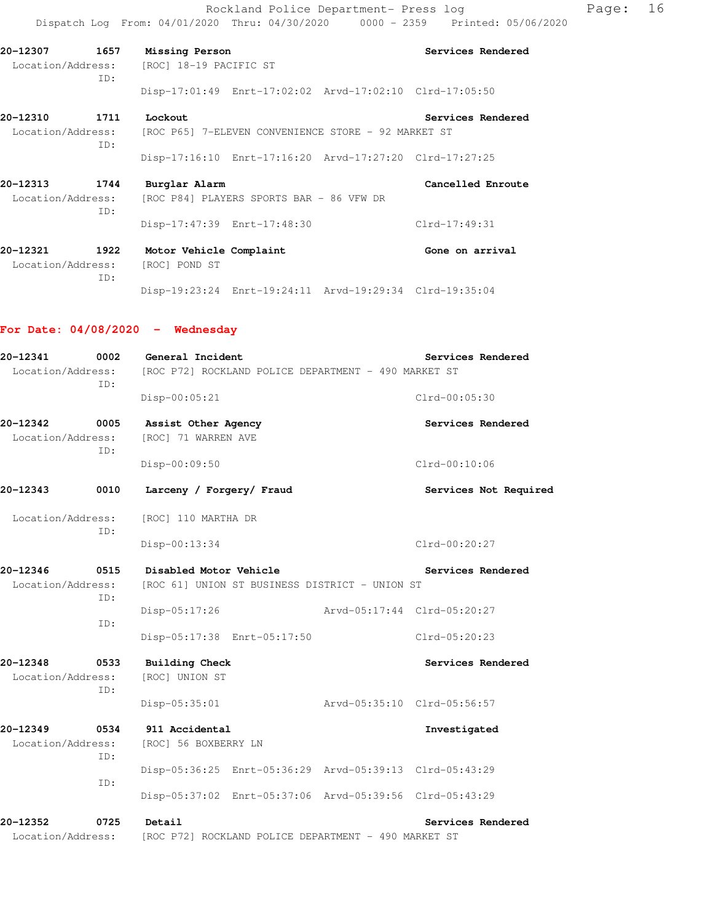Rockland Police Department- Press log entitled Page: 16 Dispatch Log From: 04/01/2020 Thru: 04/30/2020 0000 - 2359 Printed: 05/06/2020

**20-12307 1657 Missing Person Services Rendered**  Location/Address: [ROC] 18-19 PACIFIC ST ID: Disp-17:01:49 Enrt-17:02:02 Arvd-17:02:10 Clrd-17:05:50

**20-12310** 1711 Lockout **1711** Lockout **Services Rendered** Location/Address: [ROC P65] 7-ELEVEN CONVENIENCE STORE - 92 MARKET ST ID:

Disp-17:16:10 Enrt-17:16:20 Arvd-17:27:20 Clrd-17:27:25

**20-12313 1744 Burglar Alarm Cancelled Enroute**  Location/Address: [ROC P84] PLAYERS SPORTS BAR - 86 VFW DR ID: Disp-17:47:39 Enrt-17:48:30 Clrd-17:49:31

**20-12321 1922 Motor Vehicle Complaint Gone on arrival**  Location/Address: [ROC] POND ST ID: Disp-19:23:24 Enrt-19:24:11 Arvd-19:29:34 Clrd-19:35:04

#### **For Date: 04/08/2020 - Wednesday**

| 20-12341                      | 0002        | General Incident                       |                                                         |                             | Services Rendered     |  |
|-------------------------------|-------------|----------------------------------------|---------------------------------------------------------|-----------------------------|-----------------------|--|
| Location/Address:             | ID:         |                                        | [ROC P72] ROCKLAND POLICE DEPARTMENT - 490 MARKET ST    |                             |                       |  |
|                               |             | Disp-00:05:21                          |                                                         |                             | $Clrd-00:05:30$       |  |
| 20-12342                      | 0005        | Assist Other Agency                    |                                                         |                             | Services Rendered     |  |
| Location/Address:             | ID:         | [ROC] 71 WARREN AVE                    |                                                         |                             |                       |  |
|                               |             | Disp-00:09:50                          |                                                         |                             | Clrd-00:10:06         |  |
| 20-12343                      | 0010        | Larceny / Forgery/ Fraud               |                                                         |                             | Services Not Required |  |
| Location/Address:             | ID:         | [ROC] 110 MARTHA DR                    |                                                         |                             |                       |  |
|                               |             | Disp-00:13:34                          |                                                         |                             | Clrd-00:20:27         |  |
| 20-12346                      | 0515        | Disabled Motor Vehicle                 |                                                         |                             | Services Rendered     |  |
| Location/Address:             | ID:         |                                        | [ROC 61] UNION ST BUSINESS DISTRICT - UNION ST          |                             |                       |  |
|                               | ID:         | Disp-05:17:26                          |                                                         | Arvd-05:17:44 Clrd-05:20:27 |                       |  |
|                               |             |                                        | Disp-05:17:38 Enrt-05:17:50                             |                             | $Clrd-05:20:23$       |  |
| 20-12348                      | 0533        | <b>Building Check</b>                  |                                                         |                             | Services Rendered     |  |
| Location/Address:             | ID:         | [ROC] UNION ST                         |                                                         |                             |                       |  |
|                               |             | Disp-05:35:01                          |                                                         | Arvd-05:35:10 Clrd-05:56:57 |                       |  |
| 20-12349<br>Location/Address: | 0534<br>ID: | 911 Accidental<br>[ROC] 56 BOXBERRY LN |                                                         |                             | Investigated          |  |
|                               | ID:         |                                        | Disp-05:36:25 Enrt-05:36:29 Arvd-05:39:13 Clrd-05:43:29 |                             |                       |  |
|                               |             |                                        | Disp-05:37:02 Enrt-05:37:06 Arvd-05:39:56 Clrd-05:43:29 |                             |                       |  |
| 20-12352                      | 0725        | Detail                                 |                                                         |                             | Services Rendered     |  |
| Location/Address:             |             |                                        | [ROC P72] ROCKLAND POLICE DEPARTMENT - 490 MARKET ST    |                             |                       |  |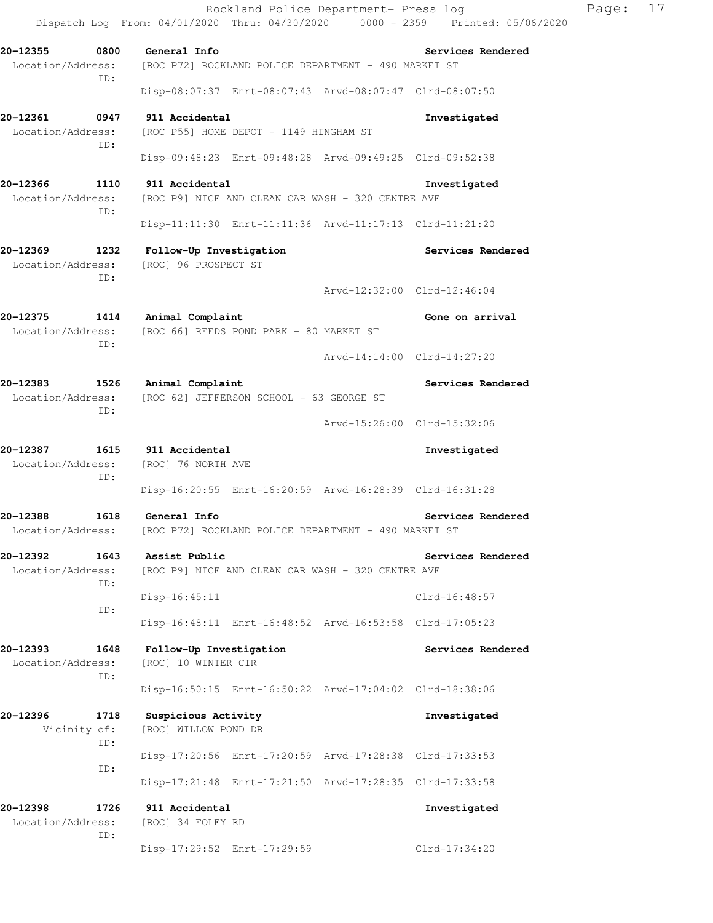Dispatch Log From: 04/01/2020 Thru: 04/30/2020 0000 - 2359 Printed: 05/06/2020 **20-12355 0800 General Info Services Rendered**  Location/Address: [ROC P72] ROCKLAND POLICE DEPARTMENT - 490 MARKET ST ID: Disp-08:07:37 Enrt-08:07:43 Arvd-08:07:47 Clrd-08:07:50 **20-12361 0947 911 Accidental Investigated**  Location/Address: [ROC P55] HOME DEPOT - 1149 HINGHAM ST ID: Disp-09:48:23 Enrt-09:48:28 Arvd-09:49:25 Clrd-09:52:38 **20-12366 1110 911 Accidental Investigated**  Location/Address: [ROC P9] NICE AND CLEAN CAR WASH - 320 CENTRE AVE ID: Disp-11:11:30 Enrt-11:11:36 Arvd-11:17:13 Clrd-11:21:20 **20-12369 1232 Follow-Up Investigation Services Rendered**  Location/Address: [ROC] 96 PROSPECT ST ID: Arvd-12:32:00 Clrd-12:46:04 **20-12375 1414 Animal Complaint Gone on arrival**  Location/Address: [ROC 66] REEDS POND PARK - 80 MARKET ST ID: Arvd-14:14:00 Clrd-14:27:20 **20-12383 1526 Animal Complaint Services Rendered**  Location/Address: [ROC 62] JEFFERSON SCHOOL - 63 GEORGE ST ID: Arvd-15:26:00 Clrd-15:32:06 **20-12387 1615 911 Accidental Investigated**  Location/Address: [ROC] 76 NORTH AVE ID: Disp-16:20:55 Enrt-16:20:59 Arvd-16:28:39 Clrd-16:31:28 **20-12388 1618 General Info Services Rendered**  Location/Address: [ROC P72] ROCKLAND POLICE DEPARTMENT - 490 MARKET ST **20-12392 1643 Assist Public Services Rendered**  Location/Address: [ROC P9] NICE AND CLEAN CAR WASH - 320 CENTRE AVE ID: Disp-16:45:11 Clrd-16:48:57 ID: Disp-16:48:11 Enrt-16:48:52 Arvd-16:53:58 Clrd-17:05:23 **20-12393 1648 Follow-Up Investigation Services Rendered**  Location/Address: [ROC] 10 WINTER CIR ID: Disp-16:50:15 Enrt-16:50:22 Arvd-17:04:02 Clrd-18:38:06 **20-12396 1718 Suspicious Activity Investigated**  Vicinity of: [ROC] WILLOW POND DR ID: Disp-17:20:56 Enrt-17:20:59 Arvd-17:28:38 Clrd-17:33:53 ID: Disp-17:21:48 Enrt-17:21:50 Arvd-17:28:35 Clrd-17:33:58 **20-12398 1726 911 Accidental Investigated**  Location/Address: [ROC] 34 FOLEY RD ID:

Disp-17:29:52 Enrt-17:29:59 Clrd-17:34:20

Rockland Police Department- Press log Page: 17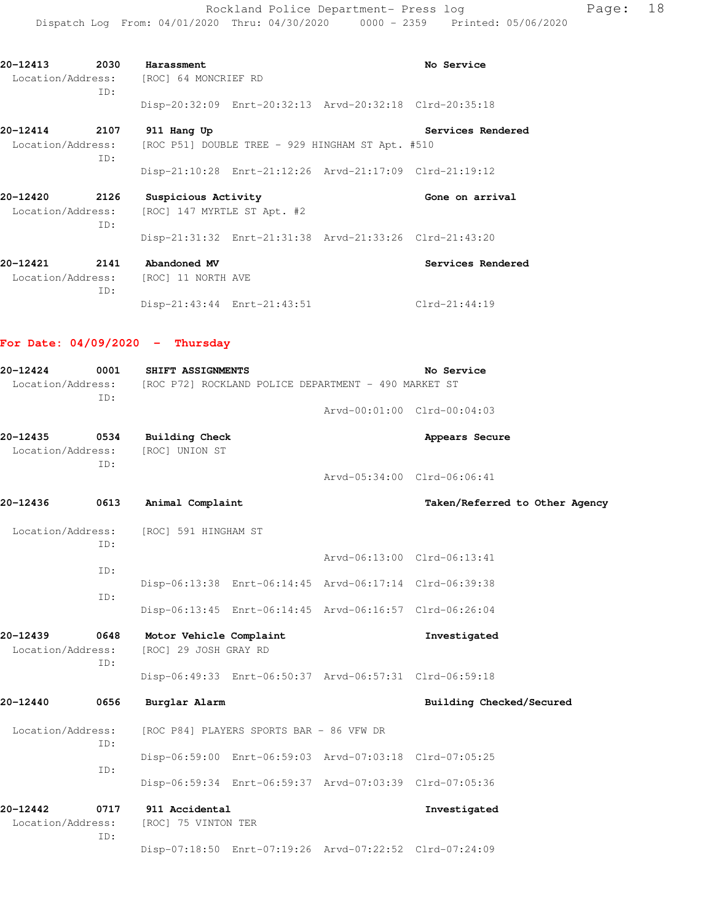Rockland Police Department- Press log entitled Page: 18 Dispatch Log From: 04/01/2020 Thru: 04/30/2020 0000 - 2359 Printed: 05/06/2020

**20-12413** 2030 Harassment **No Service No Service** 

Location/Address: [ROC] 64 MONCRIEF RD

|                               | ID:         |                                                                        |                                                         |                                |
|-------------------------------|-------------|------------------------------------------------------------------------|---------------------------------------------------------|--------------------------------|
|                               |             |                                                                        | Disp-20:32:09 Enrt-20:32:13 Arvd-20:32:18 Clrd-20:35:18 |                                |
| 20-12414<br>Location/Address: | 2107<br>ID: | 911 Hang Up<br>[ROC P51] DOUBLE TREE - 929 HINGHAM ST Apt. #510        |                                                         | Services Rendered              |
|                               |             |                                                                        | Disp-21:10:28 Enrt-21:12:26 Arvd-21:17:09 Clrd-21:19:12 |                                |
| 20-12420<br>Location/Address: | 2126<br>ID: | Suspicious Activity<br>[ROC] 147 MYRTLE ST Apt. #2                     |                                                         | Gone on arrival                |
|                               |             |                                                                        | Disp-21:31:32 Enrt-21:31:38 Arvd-21:33:26 Clrd-21:43:20 |                                |
| 20-12421<br>Location/Address: | 2141<br>ID: | Abandoned MV<br>[ROC] 11 NORTH AVE                                     |                                                         | Services Rendered              |
|                               |             | Disp-21:43:44 Enrt-21:43:51                                            |                                                         | Clrd-21:44:19                  |
|                               |             | For Date: $04/09/2020 -$ Thursday                                      |                                                         |                                |
| 20-12424                      | 0001        | SHIFT ASSIGNMENTS                                                      |                                                         | No Service                     |
|                               | ID:         | Location/Address: [ROC P72] ROCKLAND POLICE DEPARTMENT - 490 MARKET ST |                                                         |                                |
|                               |             |                                                                        |                                                         | Arvd-00:01:00 Clrd-00:04:03    |
| 20-12435<br>Location/Address: | 0534        | <b>Building Check</b><br>[ROC] UNION ST                                |                                                         | Appears Secure                 |
|                               | ID:         |                                                                        |                                                         | Arvd-05:34:00 Clrd-06:06:41    |
| 20-12436                      | 0613        | Animal Complaint                                                       |                                                         | Taken/Referred to Other Agency |
| Location/Address:             | ID:         | [ROC] 591 HINGHAM ST                                                   |                                                         |                                |
|                               | ID:         |                                                                        |                                                         | Arvd-06:13:00 Clrd-06:13:41    |
|                               |             |                                                                        | Disp-06:13:38 Enrt-06:14:45 Arvd-06:17:14 Clrd-06:39:38 |                                |
|                               | ID:         |                                                                        | Disp-06:13:45 Enrt-06:14:45 Arvd-06:16:57 Clrd-06:26:04 |                                |
| 20-12439<br>Location/Address: | 0648<br>ID: | Motor Vehicle Complaint<br>[ROC] 29 JOSH GRAY RD                       |                                                         | Investigated                   |
|                               |             |                                                                        | Disp-06:49:33 Enrt-06:50:37 Arvd-06:57:31 Clrd-06:59:18 |                                |
| 20-12440                      | 0656        | Burglar Alarm                                                          |                                                         | Building Checked/Secured       |
| Location/Address:             | ID:         | [ROC P84] PLAYERS SPORTS BAR - 86 VFW DR                               |                                                         |                                |
|                               | ID:         |                                                                        | Disp-06:59:00 Enrt-06:59:03 Arvd-07:03:18 Clrd-07:05:25 |                                |
|                               |             |                                                                        | Disp-06:59:34 Enrt-06:59:37 Arvd-07:03:39 Clrd-07:05:36 |                                |
| 20-12442<br>Location/Address: | 0717<br>ID: | 911 Accidental<br>[ROC] 75 VINTON TER                                  |                                                         | Investigated                   |
|                               |             |                                                                        | Disp-07:18:50 Enrt-07:19:26 Arvd-07:22:52 Clrd-07:24:09 |                                |
|                               |             |                                                                        |                                                         |                                |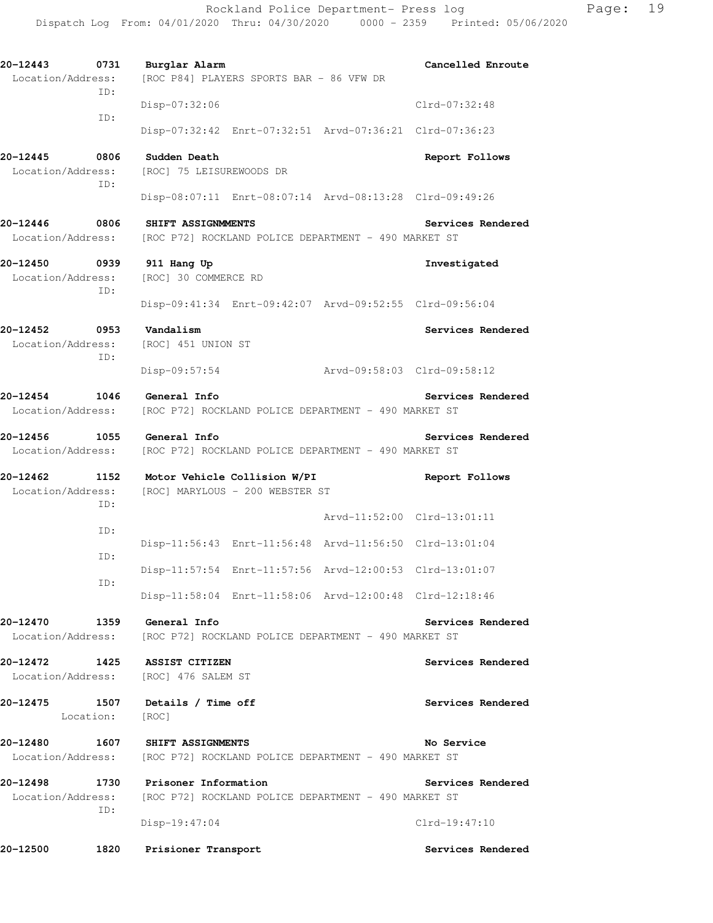**20-12443 0731 Burglar Alarm Cancelled Enroute**  Location/Address: [ROC P84] PLAYERS SPORTS BAR - 86 VFW DR ID: Disp-07:32:06 Clrd-07:32:48 ID: Disp-07:32:42 Enrt-07:32:51 Arvd-07:36:21 Clrd-07:36:23 **20-12445 0806 Sudden Death Report Follows**  Location/Address: [ROC] 75 LEISUREWOODS DR ID: Disp-08:07:11 Enrt-08:07:14 Arvd-08:13:28 Clrd-09:49:26 **20-12446 0806 SHIFT ASSIGNMMENTS Services Rendered**  Location/Address: [ROC P72] ROCKLAND POLICE DEPARTMENT - 490 MARKET ST **20-12450 0939 911 Hang Up Investigated**  Location/Address: [ROC] 30 COMMERCE RD ID: Disp-09:41:34 Enrt-09:42:07 Arvd-09:52:55 Clrd-09:56:04 **20-12452 0953 Vandalism Services Rendered**  Location/Address: [ROC] 451 UNION ST ID: Disp-09:57:54 Arvd-09:58:03 Clrd-09:58:12 **20-12454 1046 General Info Services Rendered**  Location/Address: [ROC P72] ROCKLAND POLICE DEPARTMENT - 490 MARKET ST **20-12456 1055 General Info Services Rendered**  Location/Address: [ROC P72] ROCKLAND POLICE DEPARTMENT - 490 MARKET ST **20-12462 1152 Motor Vehicle Collision W/PI Report Follows**  Location/Address: [ROC] MARYLOUS - 200 WEBSTER ST ID: Arvd-11:52:00 Clrd-13:01:11 ID: Disp-11:56:43 Enrt-11:56:48 Arvd-11:56:50 Clrd-13:01:04 ID: Disp-11:57:54 Enrt-11:57:56 Arvd-12:00:53 Clrd-13:01:07 ID: Disp-11:58:04 Enrt-11:58:06 Arvd-12:00:48 Clrd-12:18:46 **20-12470 1359 General Info Services Rendered**  Location/Address: [ROC P72] ROCKLAND POLICE DEPARTMENT - 490 MARKET ST **20-12472 1425 ASSIST CITIZEN Services Rendered**  Location/Address: [ROC] 476 SALEM ST **20-12475 1507 Details / Time off Services Rendered**  Location: [ROC] **20-12480 1607 SHIFT ASSIGNMENTS No Service**  Location/Address: [ROC P72] ROCKLAND POLICE DEPARTMENT - 490 MARKET ST **20-12498 1730 Prisoner Information Services Rendered**  Location/Address: [ROC P72] ROCKLAND POLICE DEPARTMENT - 490 MARKET ST ID: Disp-19:47:04 Clrd-19:47:10 **20-12500 1820 Prisioner Transport Services Rendered**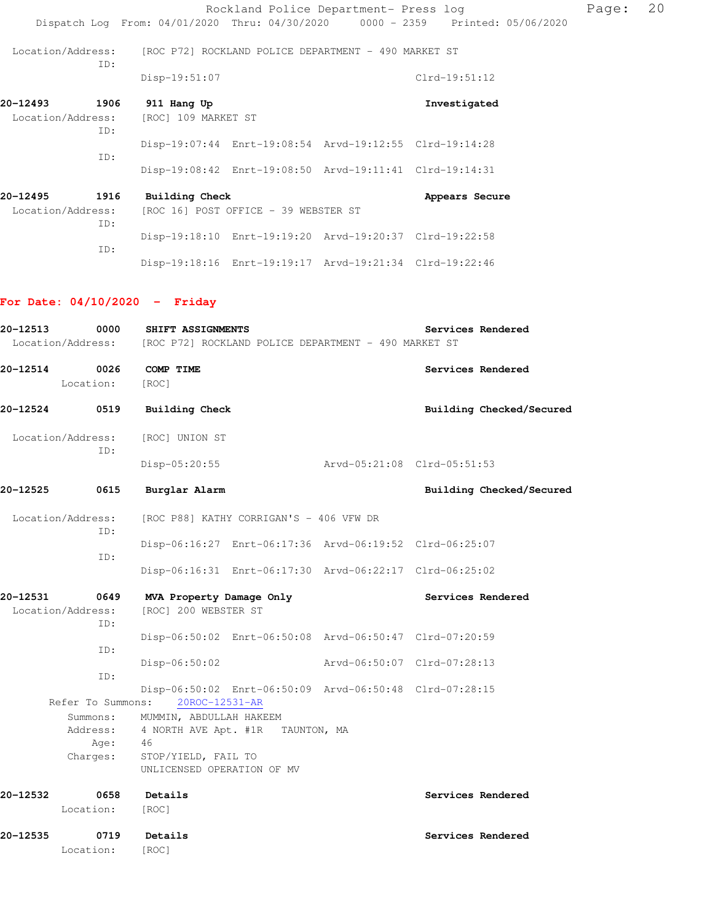|                   |      |                                                                                |                                      | Rockland Police Department- Press log                   |                | Page: | 20 |
|-------------------|------|--------------------------------------------------------------------------------|--------------------------------------|---------------------------------------------------------|----------------|-------|----|
|                   |      | Dispatch Log From: 04/01/2020 Thru: 04/30/2020 0000 - 2359 Printed: 05/06/2020 |                                      |                                                         |                |       |    |
|                   | ID:  | Location/Address: [ROC P72] ROCKLAND POLICE DEPARTMENT - 490 MARKET ST         |                                      |                                                         |                |       |    |
|                   |      | Disp-19:51:07                                                                  |                                      |                                                         | Clrd-19:51:12  |       |    |
| 20-12493          | 1906 | 911 Hang Up                                                                    |                                      |                                                         | Investigated   |       |    |
| Location/Address: | ID:  | [ROC] 109 MARKET ST                                                            |                                      |                                                         |                |       |    |
|                   | ID:  |                                                                                |                                      | Disp-19:07:44 Enrt-19:08:54 Arvd-19:12:55 Clrd-19:14:28 |                |       |    |
|                   |      |                                                                                |                                      | Disp-19:08:42 Enrt-19:08:50 Arvd-19:11:41 Clrd-19:14:31 |                |       |    |
| 20-12495          | 1916 | <b>Building Check</b>                                                          |                                      |                                                         | Appears Secure |       |    |
| Location/Address: | ID:  |                                                                                | [ROC 16] POST OFFICE - 39 WEBSTER ST |                                                         |                |       |    |
|                   | ID:  |                                                                                |                                      | Disp-19:18:10 Enrt-19:19:20 Arvd-19:20:37 Clrd-19:22:58 |                |       |    |
|                   |      |                                                                                |                                      | Disp-19:18:16 Enrt-19:19:17 Arvd-19:21:34 Clrd-19:22:46 |                |       |    |

# **For Date: 04/10/2020 - Friday**

| 20-12513 | 0000                             | SHIFT ASSIGNMENTS<br>Location/Address: [ROC P72] ROCKLAND POLICE DEPARTMENT - 490 MARKET ST |                             | Services Rendered           |
|----------|----------------------------------|---------------------------------------------------------------------------------------------|-----------------------------|-----------------------------|
| 20-12514 | 0026<br>Location:                | COMP TIME<br>[ROC]                                                                          |                             | Services Rendered           |
| 20-12524 | 0519                             | <b>Building Check</b>                                                                       |                             | Building Checked/Secured    |
|          | Location/Address:<br>ID:         | [ROC] UNION ST                                                                              |                             |                             |
|          |                                  | Disp-05:20:55                                                                               | Arvd-05:21:08 Clrd-05:51:53 |                             |
| 20-12525 | 0615                             | Burglar Alarm                                                                               |                             | Building Checked/Secured    |
|          | Location/Address:<br>ID:         | [ROC P88] KATHY CORRIGAN'S - 406 VFW DR                                                     |                             |                             |
|          | ID:                              | Disp-06:16:27 Enrt-06:17:36 Arvd-06:19:52 Clrd-06:25:07                                     |                             |                             |
|          |                                  | Disp-06:16:31 Enrt-06:17:30 Arvd-06:22:17 Clrd-06:25:02                                     |                             |                             |
| 20-12531 | 0649<br>Location/Address:<br>ID: | MVA Property Damage Only<br>[ROC] 200 WEBSTER ST                                            |                             | Services Rendered           |
|          |                                  | Disp-06:50:02 Enrt-06:50:08 Arvd-06:50:47 Clrd-07:20:59                                     |                             |                             |
|          | ID:                              | $Disp-06:50:02$                                                                             |                             | Arvd-06:50:07 Clrd-07:28:13 |
|          | ID:<br>Refer To Summons:         | Disp-06:50:02 Enrt-06:50:09 Arvd-06:50:48 Clrd-07:28:15<br>20ROC-12531-AR                   |                             |                             |
|          | Address:<br>Age:                 | Summons: MUMMIN, ABDULLAH HAKEEM<br>4 NORTH AVE Apt. #1R TAUNTON, MA<br>- 46                |                             |                             |
|          | Charges:                         | STOP/YIELD, FAIL TO<br>UNLICENSED OPERATION OF MV                                           |                             |                             |
| 20-12532 | 0658<br>Location:                | Details<br>[ROC]                                                                            |                             | Services Rendered           |
| 20-12535 | 0719<br>Location:                | Details<br>[ROC]                                                                            |                             | Services Rendered           |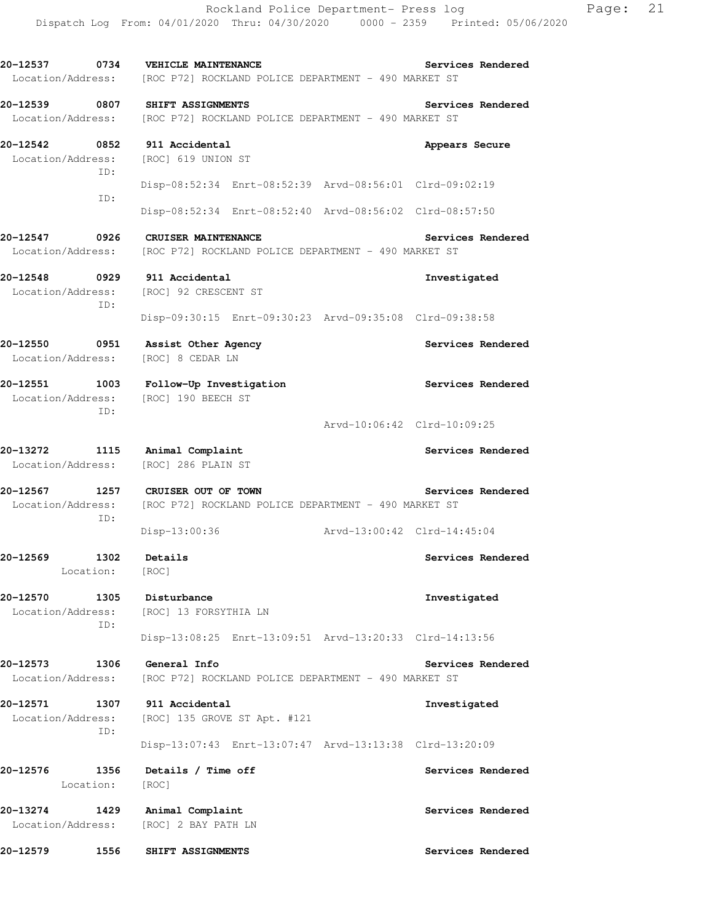**20-12537 0734 VEHICLE MAINTENANCE Services Rendered**  Location/Address: [ROC P72] ROCKLAND POLICE DEPARTMENT - 490 MARKET ST **20-12539 0807 SHIFT ASSIGNMENTS Services Rendered**  Location/Address: [ROC P72] ROCKLAND POLICE DEPARTMENT - 490 MARKET ST **20-12542 0852 911 Accidental Appears Secure**  Location/Address: ID: Disp-08:52:34 Enrt-08:52:39 Arvd-08:56:01 Clrd-09:02:19 ID: Disp-08:52:34 Enrt-08:52:40 Arvd-08:56:02 Clrd-08:57:50 **20-12547 0926 CRUISER MAINTENANCE Services Rendered**  Location/Address: [ROC P72] ROCKLAND POLICE DEPARTMENT - 490 MARKET ST **20-12548 0929 911 Accidental Investigated**  Location/Address: [ROC] 92 CRESCENT ST ID: Disp-09:30:15 Enrt-09:30:23 Arvd-09:35:08 Clrd-09:38:58 **20-12550 0951 Assist Other Agency Services Rendered**  Location/Address: [ROC] 8 CEDAR LN **20-12551 1003 Follow-Up Investigation Services Rendered**  Location/Address: [ROC] 190 BEECH ST ID: Arvd-10:06:42 Clrd-10:09:25 **20-13272 1115 Animal Complaint Services Rendered**  Location/Address: [ROC] 286 PLAIN ST **20-12567 1257 CRUISER OUT OF TOWN Services Rendered**  Location/Address: [ROC P72] ROCKLAND POLICE DEPARTMENT - 490 MARKET ST ID: Disp-13:00:36 Arvd-13:00:42 Clrd-14:45:04 **20-12569 1302 Details Services Rendered**  Location: [ROC] **20-12570 1305 Disturbance Investigated**  Location/Address: [ROC] 13 FORSYTHIA LN ID: Disp-13:08:25 Enrt-13:09:51 Arvd-13:20:33 Clrd-14:13:56 **20-12573 1306 General Info Services Rendered**  Location/Address: [ROC P72] ROCKLAND POLICE DEPARTMENT - 490 MARKET ST **20-12571 1307 911 Accidental Investigated**  Location/Address: [ROC] 135 GROVE ST Apt. #121 ID: Disp-13:07:43 Enrt-13:07:47 Arvd-13:13:38 Clrd-13:20:09 **20-12576 1356 Details / Time off Services Rendered**  Location: [ROC] **20-13274 1429 Animal Complaint Services Rendered**  Location/Address: [ROC] 2 BAY PATH LN **20-12579 1556 SHIFT ASSIGNMENTS Services Rendered**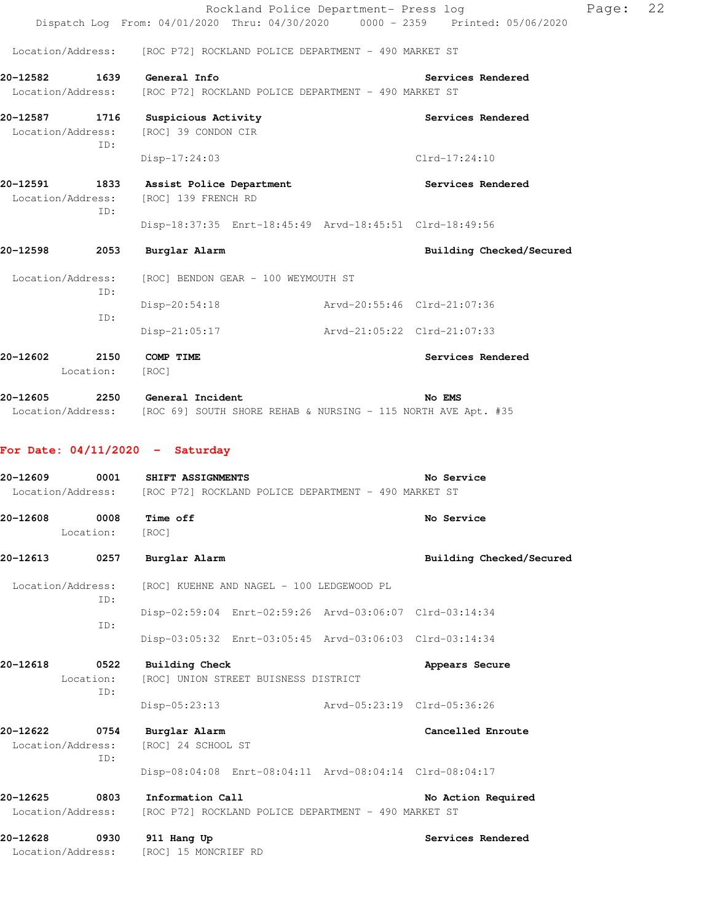|                                                 |                          | Dispatch Log From: 04/01/2020 Thru: 04/30/2020 0000 - 2359 Printed: 05/06/2020                           |                                           | Rockland Police Department- Press log                   |                                    |                          | Page: | 22 |
|-------------------------------------------------|--------------------------|----------------------------------------------------------------------------------------------------------|-------------------------------------------|---------------------------------------------------------|------------------------------------|--------------------------|-------|----|
|                                                 |                          | Location/Address: [ROC P72] ROCKLAND POLICE DEPARTMENT - 490 MARKET ST                                   |                                           |                                                         |                                    |                          |       |    |
| 20-12582 1639 General Info<br>Location/Address: |                          | [ROC P72] ROCKLAND POLICE DEPARTMENT - 490 MARKET ST                                                     |                                           |                                                         | Services Rendered                  |                          |       |    |
| Location/Address:                               | ID:                      | 20-12587 1716 Suspicious Activity<br>[ROC] 39 CONDON CIR<br>$Disp-17:24:03$                              |                                           |                                                         | Services Rendered<br>Clrd-17:24:10 |                          |       |    |
| Location/Address:                               |                          | 20-12591 1833 Assist Police Department<br>[ROC] 139 FRENCH RD                                            |                                           |                                                         | <b>Services Rendered</b>           |                          |       |    |
|                                                 | ID:                      |                                                                                                          |                                           | Disp-18:37:35 Enrt-18:45:49 Arvd-18:45:51 Clrd-18:49:56 |                                    |                          |       |    |
| 20-12598                                        | 2053                     | Burglar Alarm                                                                                            |                                           |                                                         |                                    | Building Checked/Secured |       |    |
| Location/Address:                               |                          |                                                                                                          | [ROC] BENDON GEAR - 100 WEYMOUTH ST       |                                                         |                                    |                          |       |    |
|                                                 | ID:<br>ID:               | Disp-20:54:18                                                                                            |                                           | Arvd-20:55:46 Clrd-21:07:36                             |                                    |                          |       |    |
|                                                 |                          | $Disp-21:05:17$                                                                                          |                                           | Arvd-21:05:22 Clrd-21:07:33                             |                                    |                          |       |    |
| 20-12602                                        | 2150<br>Location:        | COMP TIME<br>[ROC]                                                                                       |                                           |                                                         | Services Rendered                  |                          |       |    |
| 20-12605                                        |                          | 2250 General Incident<br>Location/Address: [ROC 69] SOUTH SHORE REHAB & NURSING - 115 NORTH AVE Apt. #35 |                                           |                                                         | No EMS                             |                          |       |    |
|                                                 |                          | For Date: $04/11/2020 -$ Saturday                                                                        |                                           |                                                         |                                    |                          |       |    |
| 20-12609                                        |                          | 0001 SHIFT ASSIGNMENTS<br>Location/Address: [ROC P72] ROCKLAND POLICE DEPARTMENT - 490 MARKET ST         |                                           |                                                         | No Service                         |                          |       |    |
| 20-12608<br>Location:                           | 0008                     | Time off<br>[ROC]                                                                                        |                                           |                                                         | No Service                         |                          |       |    |
| 20-12613                                        | 0257                     | Burglar Alarm                                                                                            |                                           |                                                         |                                    | Building Checked/Secured |       |    |
| Location/Address:                               |                          |                                                                                                          | [ROC] KUEHNE AND NAGEL - 100 LEDGEWOOD PL |                                                         |                                    |                          |       |    |
|                                                 | ID:                      |                                                                                                          |                                           | Disp-02:59:04 Enrt-02:59:26 Arvd-03:06:07 Clrd-03:14:34 |                                    |                          |       |    |
|                                                 | ID:                      |                                                                                                          |                                           | Disp-03:05:32 Enrt-03:05:45 Arvd-03:06:03 Clrd-03:14:34 |                                    |                          |       |    |
| 20-12618                                        | 0522<br>Location:<br>ID: | <b>Building Check</b>                                                                                    | [ROC] UNION STREET BUISNESS DISTRICT      |                                                         | Appears Secure                     |                          |       |    |
|                                                 |                          | Disp-05:23:13                                                                                            |                                           | Arvd-05:23:19 Clrd-05:36:26                             |                                    |                          |       |    |
| 20-12622<br>Location/Address:                   | 0754<br>ID:              | Burglar Alarm<br>[ROC] 24 SCHOOL ST                                                                      |                                           |                                                         | Cancelled Enroute                  |                          |       |    |
|                                                 |                          |                                                                                                          |                                           | Disp-08:04:08 Enrt-08:04:11 Arvd-08:04:14 Clrd-08:04:17 |                                    |                          |       |    |
| 20-12625<br>Location/Address:                   | 0803                     | Information Call                                                                                         |                                           | [ROC P72] ROCKLAND POLICE DEPARTMENT - 490 MARKET ST    |                                    | No Action Required       |       |    |
| 20-12628<br>Location/Address:                   | 0930                     | 911 Hang Up<br>[ROC] 15 MONCRIEF RD                                                                      |                                           |                                                         |                                    | Services Rendered        |       |    |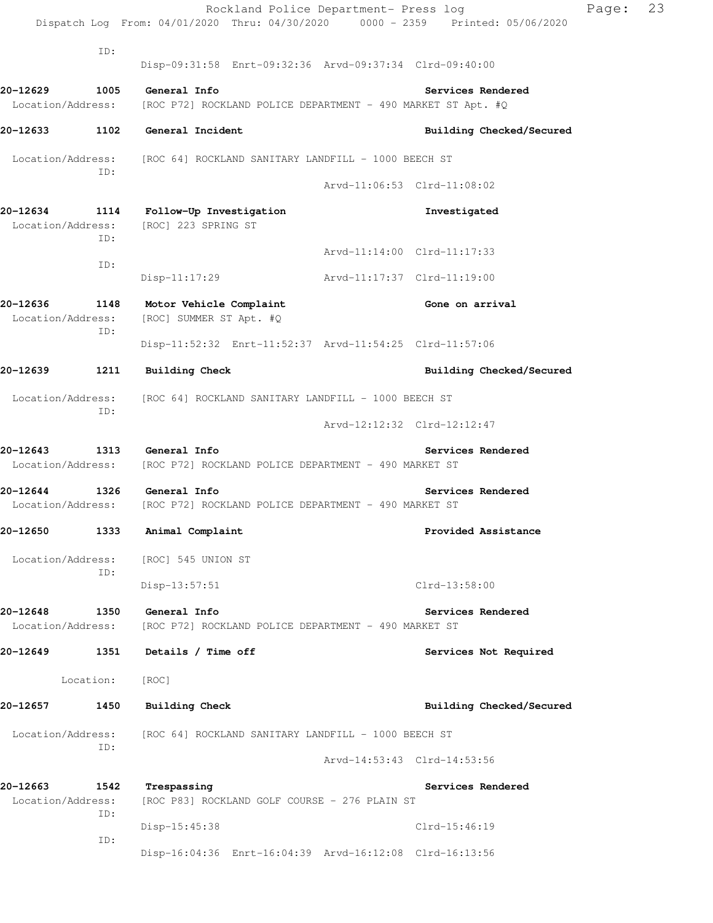|                               |             |                                                                      | Rockland Police Department- Press log<br>Dispatch Log From: 04/01/2020 Thru: 04/30/2020 0000 - 2359 Printed: 05/06/2020 | Page: | 23 |
|-------------------------------|-------------|----------------------------------------------------------------------|-------------------------------------------------------------------------------------------------------------------------|-------|----|
|                               |             |                                                                      |                                                                                                                         |       |    |
|                               | ID:         |                                                                      | Disp-09:31:58 Enrt-09:32:36 Arvd-09:37:34 Clrd-09:40:00                                                                 |       |    |
| 20-12629                      | 1005        | General Info                                                         | Services Rendered                                                                                                       |       |    |
| Location/Address:             |             |                                                                      | [ROC P72] ROCKLAND POLICE DEPARTMENT - 490 MARKET ST Apt. #Q                                                            |       |    |
| 20-12633                      | 1102        | General Incident                                                     | Building Checked/Secured                                                                                                |       |    |
| Location/Address:             | ID:         | [ROC 64] ROCKLAND SANITARY LANDFILL - 1000 BEECH ST                  |                                                                                                                         |       |    |
|                               |             |                                                                      | Arvd-11:06:53 Clrd-11:08:02                                                                                             |       |    |
| 20-12634<br>Location/Address: | 1114<br>ID: | Follow-Up Investigation<br>[ROC] 223 SPRING ST                       | Investigated                                                                                                            |       |    |
|                               | ID:         |                                                                      | Arvd-11:14:00 Clrd-11:17:33                                                                                             |       |    |
|                               |             | $Disp-11:17:29$                                                      | Arvd-11:17:37 Clrd-11:19:00                                                                                             |       |    |
| 20-12636<br>Location/Address: | 1148<br>ID: | Motor Vehicle Complaint<br>[ROC] SUMMER ST Apt. #Q                   | Gone on arrival                                                                                                         |       |    |
|                               |             |                                                                      | Disp-11:52:32 Enrt-11:52:37 Arvd-11:54:25 Clrd-11:57:06                                                                 |       |    |
| 20-12639                      | 1211        | <b>Building Check</b>                                                | Building Checked/Secured                                                                                                |       |    |
| Location/Address:             |             | [ROC 64] ROCKLAND SANITARY LANDFILL - 1000 BEECH ST                  |                                                                                                                         |       |    |
|                               | ID:         |                                                                      | Arvd-12:12:32 Clrd-12:12:47                                                                                             |       |    |
| 20-12643<br>Location/Address: | 1313        | General Info<br>[ROC P72] ROCKLAND POLICE DEPARTMENT - 490 MARKET ST | Services Rendered                                                                                                       |       |    |
| 20-12644                      | 1326        | General Info                                                         | Services Rendered                                                                                                       |       |    |
| Location/Address:             |             | [ROC P72] ROCKLAND POLICE DEPARTMENT - 490 MARKET ST                 |                                                                                                                         |       |    |
| 20-12650                      | 1333        | Animal Complaint                                                     | Provided Assistance                                                                                                     |       |    |
| Location/Address:             | ID:         | [ROC] 545 UNION ST                                                   |                                                                                                                         |       |    |
|                               |             | $Disp-13:57:51$                                                      | $Clrd-13:58:00$                                                                                                         |       |    |
| 20-12648                      | 1350        | General Info                                                         | Services Rendered                                                                                                       |       |    |
| Location/Address:             |             | [ROC P72] ROCKLAND POLICE DEPARTMENT - 490 MARKET ST                 |                                                                                                                         |       |    |
| 20-12649                      | 1351        | Details / Time off                                                   | Services Not Required                                                                                                   |       |    |
|                               | Location:   | [ROC]                                                                |                                                                                                                         |       |    |
| 20-12657                      | 1450        | <b>Building Check</b>                                                | Building Checked/Secured                                                                                                |       |    |
| Location/Address:             | ID:         | [ROC 64] ROCKLAND SANITARY LANDFILL - 1000 BEECH ST                  |                                                                                                                         |       |    |
|                               |             |                                                                      | Arvd-14:53:43 Clrd-14:53:56                                                                                             |       |    |
| 20-12663<br>Location/Address: | 1542<br>ID: | Trespassing<br>[ROC P83] ROCKLAND GOLF COURSE - 276 PLAIN ST         | Services Rendered                                                                                                       |       |    |
|                               |             | Disp-15:45:38                                                        | Clrd-15:46:19                                                                                                           |       |    |
|                               | ID:         |                                                                      | Disp-16:04:36 Enrt-16:04:39 Arvd-16:12:08 Clrd-16:13:56                                                                 |       |    |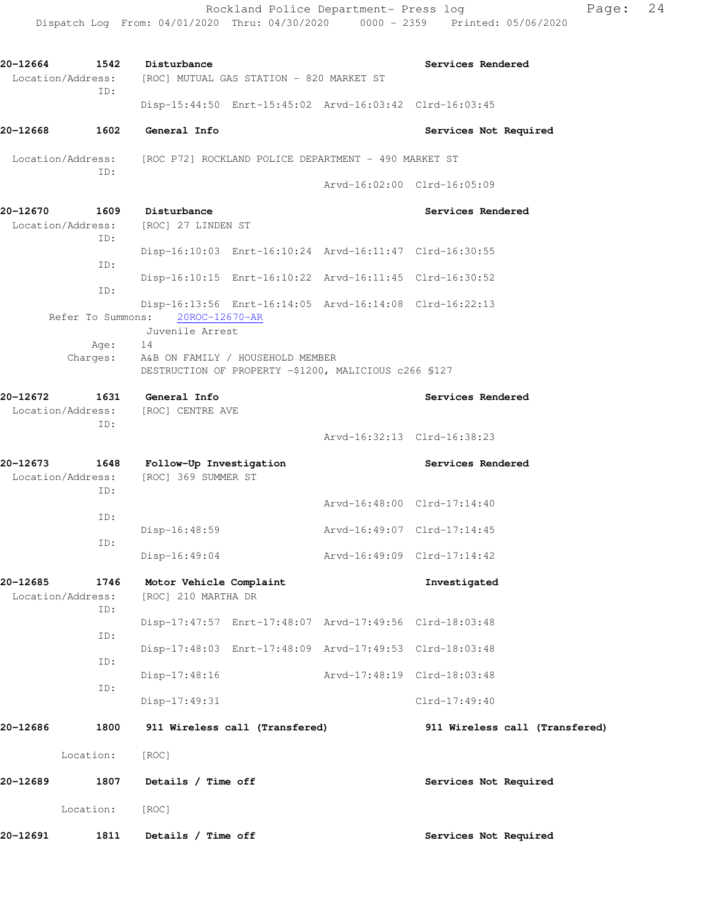Rockland Police Department- Press log entitled and Page: 24 Dispatch Log From: 04/01/2020 Thru: 04/30/2020 0000 - 2359 Printed: 05/06/2020

| 20-12664 | 1542<br>Location/Address:        | Disturbance<br>[ROC] MUTUAL GAS STATION - 820 MARKET ST                                         |                             | Services Rendered              |
|----------|----------------------------------|-------------------------------------------------------------------------------------------------|-----------------------------|--------------------------------|
|          | ID:                              | Disp-15:44:50 Enrt-15:45:02 Arvd-16:03:42 Clrd-16:03:45                                         |                             |                                |
| 20-12668 | 1602                             | General Info                                                                                    |                             | Services Not Required          |
|          | Location/Address:                | [ROC P72] ROCKLAND POLICE DEPARTMENT - 490 MARKET ST                                            |                             |                                |
|          | ID:                              |                                                                                                 | Arvd-16:02:00 Clrd-16:05:09 |                                |
| 20-12670 | Location/Address:<br>ID:         | 1609 Disturbance<br>[ROC] 27 LINDEN ST                                                          |                             | Services Rendered              |
|          | ID:                              | Disp-16:10:03 Enrt-16:10:24 Arvd-16:11:47 Clrd-16:30:55                                         |                             |                                |
|          | ID:                              | Disp-16:10:15 Enrt-16:10:22 Arvd-16:11:45 Clrd-16:30:52                                         |                             |                                |
|          | Refer To Summons:                | Disp-16:13:56 Enrt-16:14:05 Arvd-16:14:08 Clrd-16:22:13<br>20ROC-12670-AR                       |                             |                                |
|          |                                  | Juvenile Arrest                                                                                 |                             |                                |
|          | Age:<br>Charges:                 | 14<br>A&B ON FAMILY / HOUSEHOLD MEMBER<br>DESTRUCTION OF PROPERTY -\$1200, MALICIOUS c266 \$127 |                             |                                |
| 20-12672 | Location/Address:<br>ID:         | 1631 General Info<br>[ROC] CENTRE AVE                                                           |                             | Services Rendered              |
|          |                                  |                                                                                                 | Arvd-16:32:13 Clrd-16:38:23 |                                |
| 20-12673 | 1648<br>Location/Address:<br>ID: | Follow-Up Investigation<br>[ROC] 369 SUMMER ST                                                  |                             | Services Rendered              |
|          | ID:                              |                                                                                                 | Arvd-16:48:00 Clrd-17:14:40 |                                |
|          |                                  | Disp-16:48:59                                                                                   | Arvd-16:49:07 Clrd-17:14:45 |                                |
|          | ID:                              | Disp-16:49:04                                                                                   | Arvd-16:49:09 Clrd-17:14:42 |                                |
| 20-12685 | 1746<br>Location/Address:        | Motor Vehicle Complaint<br>[ROC] 210 MARTHA DR                                                  |                             | Investigated                   |
|          | ID:                              | Disp-17:47:57 Enrt-17:48:07 Arvd-17:49:56 Clrd-18:03:48                                         |                             |                                |
|          | ID:                              | Disp-17:48:03 Enrt-17:48:09 Arvd-17:49:53 Clrd-18:03:48                                         |                             |                                |
|          | ID:                              | Disp-17:48:16                                                                                   | Arvd-17:48:19 Clrd-18:03:48 |                                |
|          | ID:                              | Disp-17:49:31                                                                                   |                             | Clrd-17:49:40                  |
| 20-12686 | 1800                             | 911 Wireless call (Transfered)                                                                  |                             | 911 Wireless call (Transfered) |
|          | Location:                        | [ROC]                                                                                           |                             |                                |
| 20-12689 | 1807                             | Details / Time off                                                                              |                             | Services Not Required          |
|          | Location:                        | [ROC]                                                                                           |                             |                                |
| 20-12691 | 1811                             | Details / Time off                                                                              |                             | Services Not Required          |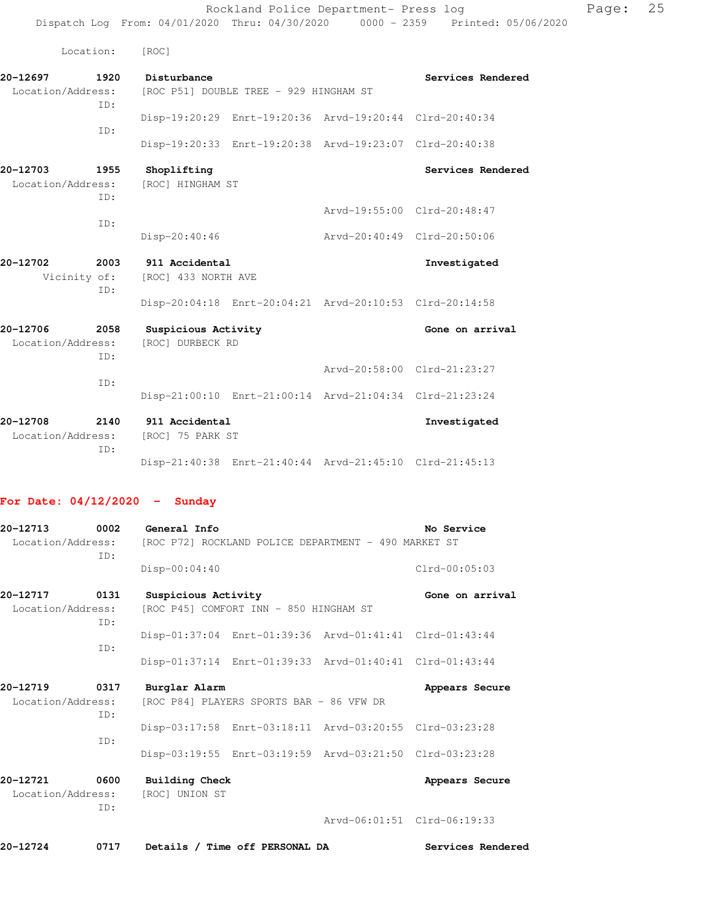Rockland Police Department- Press log Page: 25

Dispatch Log From: 04/01/2020 Thru: 04/30/2020 0000 - 2359 Printed: 05/06/2020

Location: [ROC]

Vicinity of: [ROC] 433 NORTH AVE

| 20-12697          | 1920 | Disturbance                            |                                                         | Services Rendered |
|-------------------|------|----------------------------------------|---------------------------------------------------------|-------------------|
| Location/Address: |      | [ROC P51] DOUBLE TREE - 929 HINGHAM ST |                                                         |                   |
|                   | TD:  |                                        |                                                         |                   |
|                   |      |                                        | Disp-19:20:29 Enrt-19:20:36 Arvd-19:20:44 Clrd-20:40:34 |                   |
|                   | TD:  |                                        |                                                         |                   |
|                   |      |                                        | Disp-19:20:33 Enrt-19:20:38 Arvd-19:23:07 Clrd-20:40:38 |                   |
|                   |      |                                        |                                                         |                   |

| 20-12703          | 1955 | Shoplifting      |                             | Services Rendered |  |
|-------------------|------|------------------|-----------------------------|-------------------|--|
| Location/Address: |      | [ROC] HINGHAM ST |                             |                   |  |
|                   | TD:  |                  |                             |                   |  |
|                   |      |                  | Arvd-19:55:00 Clrd-20:48:47 |                   |  |
|                   | TD:  |                  |                             |                   |  |

|          |      | Disp-20:40:46  | Arvd-20:40:49 Clrd-20:50:06 |              |
|----------|------|----------------|-----------------------------|--------------|
| 20-12702 | 2003 | 911 Accidental |                             | Investigated |

 ID: Disp-20:04:18 Enrt-20:04:21 Arvd-20:10:53 Clrd-20:14:58

## **20-12706 2058 Suspicious Activity Gone on arrival**  Location/Address: [ROC] DURBECK RD ID: Arvd-20:58:00 Clrd-21:23:27 ID: Disp-21:00:10 Enrt-21:00:14 Arvd-21:04:34 Clrd-21:23:24

**20-12708 2140 911 Accidental Investigated**  Location/Address: [ROC] 75 PARK ST ID: Disp-21:40:38 Enrt-21:40:44 Arvd-21:45:10 Clrd-21:45:13

## **For Date: 04/12/2020 - Sunday**

| 20-12713<br>Location/Address: | 0002        | General Info                            |                                          | [ROC P72] ROCKLAND POLICE DEPARTMENT - 490 MARKET ST    | No Service        |
|-------------------------------|-------------|-----------------------------------------|------------------------------------------|---------------------------------------------------------|-------------------|
|                               | TD:         | Disp-00:04:40                           |                                          |                                                         | $Clrd-00:05:03$   |
| 20-12717                      | 0131        | Suspicious Activity                     |                                          |                                                         | Gone on arrival   |
| Location/Address:             | ID:         |                                         | [ROC P45] COMFORT INN - 850 HINGHAM ST   |                                                         |                   |
|                               | ID:         |                                         |                                          | Disp-01:37:04 Enrt-01:39:36 Arvd-01:41:41 Clrd-01:43:44 |                   |
|                               |             |                                         |                                          | Disp-01:37:14 Enrt-01:39:33 Arvd-01:40:41 Clrd-01:43:44 |                   |
| 20-12719                      | 0317        | Burglar Alarm                           |                                          |                                                         | Appears Secure    |
| Location/Address:             | ID:         |                                         | [ROC P84] PLAYERS SPORTS BAR - 86 VFW DR |                                                         |                   |
|                               |             |                                         |                                          | Disp-03:17:58 Enrt-03:18:11 Arvd-03:20:55 Clrd-03:23:28 |                   |
|                               | TD:         |                                         |                                          | Disp-03:19:55 Enrt-03:19:59 Arvd-03:21:50 Clrd-03:23:28 |                   |
| 20-12721<br>Location/Address: | 0600<br>ID: | <b>Building Check</b><br>[ROC] UNION ST |                                          |                                                         | Appears Secure    |
|                               |             |                                         |                                          | Arvd-06:01:51 Clrd-06:19:33                             |                   |
| 20-12724                      | 0717        |                                         | Details / Time off PERSONAL DA           |                                                         | Services Rendered |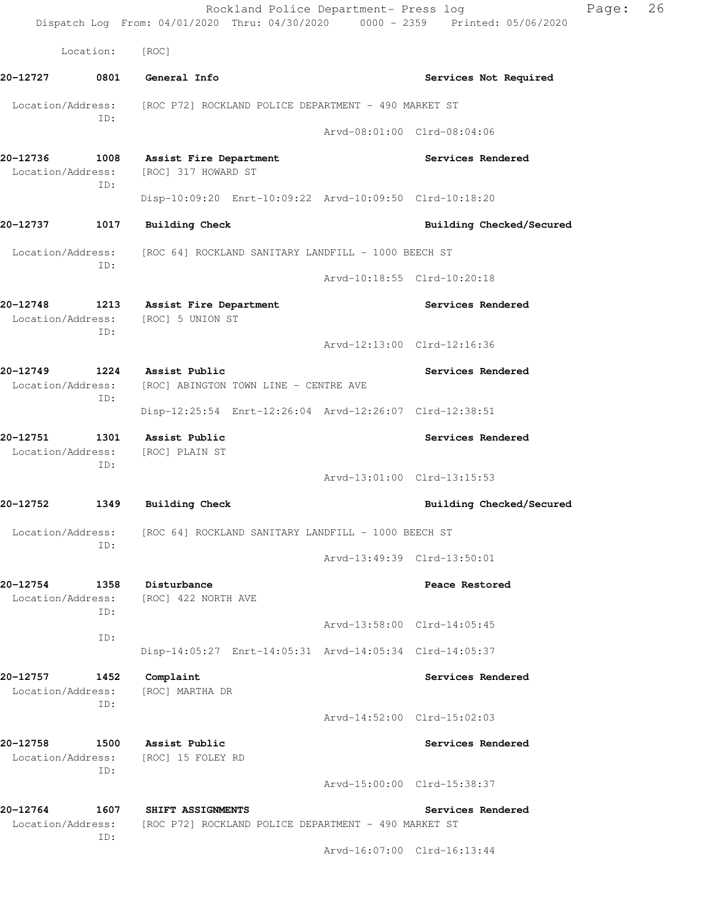|                               |             | Rockland Police Department- Press log<br>Dispatch Log From: 04/01/2020 Thru: 04/30/2020 0000 - 2359 Printed: 05/06/2020 |                             | Page: | 26 |
|-------------------------------|-------------|-------------------------------------------------------------------------------------------------------------------------|-----------------------------|-------|----|
|                               | Location:   | [ROC]                                                                                                                   |                             |       |    |
| 20-12727                      | 0801        | General Info                                                                                                            | Services Not Required       |       |    |
|                               |             | Location/Address: [ROC P72] ROCKLAND POLICE DEPARTMENT - 490 MARKET ST                                                  |                             |       |    |
|                               | ID:         |                                                                                                                         | Arvd-08:01:00 Clrd-08:04:06 |       |    |
| 20-12736<br>Location/Address: | 1008<br>ID: | <b>Assist Fire Department</b><br>[ROC] 317 HOWARD ST                                                                    | Services Rendered           |       |    |
|                               |             | Disp-10:09:20 Enrt-10:09:22 Arvd-10:09:50 Clrd-10:18:20                                                                 |                             |       |    |
| 20-12737                      | 1017        | <b>Building Check</b>                                                                                                   | Building Checked/Secured    |       |    |
|                               | ID:         | Location/Address: [ROC 64] ROCKLAND SANITARY LANDFILL - 1000 BEECH ST                                                   |                             |       |    |
|                               |             |                                                                                                                         | Arvd-10:18:55 Clrd-10:20:18 |       |    |
| 20-12748                      | ID:         | 1213 Assist Fire Department<br>Location/Address: [ROC] 5 UNION ST                                                       | Services Rendered           |       |    |
|                               |             |                                                                                                                         | Arvd-12:13:00 Clrd-12:16:36 |       |    |
| 20-12749                      | ID:         | 1224 Assist Public<br>Location/Address: [ROC] ABINGTON TOWN LINE - CENTRE AVE                                           | Services Rendered           |       |    |
|                               |             | Disp-12:25:54 Enrt-12:26:04 Arvd-12:26:07 Clrd-12:38:51                                                                 |                             |       |    |
| 20-12751<br>Location/Address: | 1301<br>ID: | Assist Public<br>[ROC] PLAIN ST                                                                                         | Services Rendered           |       |    |
|                               |             |                                                                                                                         | Arvd-13:01:00 Clrd-13:15:53 |       |    |
| 20-12752                      | 1349        | <b>Building Check</b>                                                                                                   | Building Checked/Secured    |       |    |
| Location/Address:             | TD:         | [ROC 64] ROCKLAND SANITARY LANDFILL - 1000 BEECH ST                                                                     |                             |       |    |
|                               |             |                                                                                                                         | Arvd-13:49:39 Clrd-13:50:01 |       |    |
| 20-12754<br>Location/Address: | 1358<br>ID: | Disturbance<br>[ROC] 422 NORTH AVE                                                                                      | Peace Restored              |       |    |
|                               | ID:         |                                                                                                                         | Arvd-13:58:00 Clrd-14:05:45 |       |    |
|                               |             | Disp-14:05:27 Enrt-14:05:31 Arvd-14:05:34 Clrd-14:05:37                                                                 |                             |       |    |
| 20-12757<br>Location/Address: | 1452<br>ID: | Complaint<br>[ROC] MARTHA DR                                                                                            | Services Rendered           |       |    |
|                               |             |                                                                                                                         | Arvd-14:52:00 Clrd-15:02:03 |       |    |
| 20-12758<br>Location/Address: | 1500<br>ID: | Assist Public<br>[ROC] 15 FOLEY RD                                                                                      | Services Rendered           |       |    |
|                               |             |                                                                                                                         | Arvd-15:00:00 Clrd-15:38:37 |       |    |
| 20-12764                      | 1607        | SHIFT ASSIGNMENTS                                                                                                       | Services Rendered           |       |    |
| Location/Address:             | ID:         | [ROC P72] ROCKLAND POLICE DEPARTMENT - 490 MARKET ST                                                                    |                             |       |    |
|                               |             |                                                                                                                         | Arvd-16:07:00 Clrd-16:13:44 |       |    |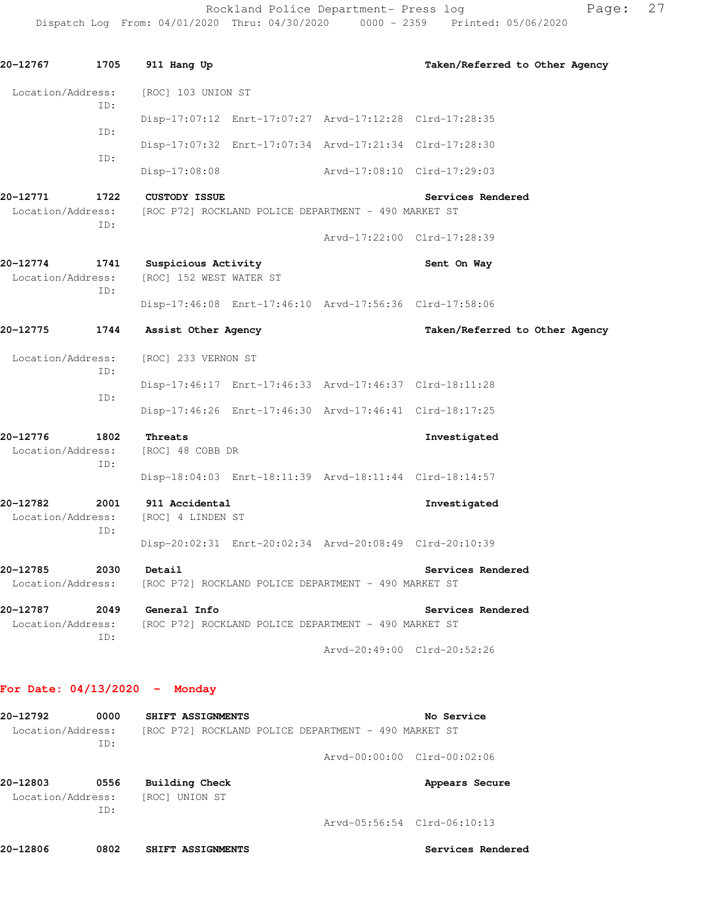Rockland Police Department- Press log Page: 27

Dispatch Log From: 04/01/2020 Thru: 04/30/2020 0000 - 2359 Printed: 05/06/2020

**20-12767 1705 911 Hang Up Taken/Referred to Other Agency** Location/Address: [ROC] 103 UNION ST ID: Disp-17:07:12 Enrt-17:07:27 Arvd-17:12:28 Clrd-17:28:35 ID: Disp-17:07:32 Enrt-17:07:34 Arvd-17:21:34 Clrd-17:28:30 ID: Disp-17:08:08 Arvd-17:08:10 Clrd-17:29:03 **20-12771 1722 CUSTODY ISSUE Services Rendered**  Location/Address: [ROC P72] ROCKLAND POLICE DEPARTMENT - 490 MARKET ST ID: Arvd-17:22:00 Clrd-17:28:39 **20-12774 1741 Suspicious Activity Sent On Way**  Location/Address: [ROC] 152 WEST WATER ST ID: Disp-17:46:08 Enrt-17:46:10 Arvd-17:56:36 Clrd-17:58:06 **20-12775 1744 Assist Other Agency Taken/Referred to Other Agency** Location/Address: [ROC] 233 VERNON ST ID: Disp-17:46:17 Enrt-17:46:33 Arvd-17:46:37 Clrd-18:11:28 ID: Disp-17:46:26 Enrt-17:46:30 Arvd-17:46:41 Clrd-18:17:25 **20-12776 1802 Threats Investigated**  Location/Address: [ROC] 48 COBB DR ID: Disp-18:04:03 Enrt-18:11:39 Arvd-18:11:44 Clrd-18:14:57 **20-12782 2001 911 Accidental Investigated**  Location/Address: [ROC] 4 LINDEN ST ID: Disp-20:02:31 Enrt-20:02:34 Arvd-20:08:49 Clrd-20:10:39 **20-12785 2030 Detail Services Rendered**  Location/Address: [ROC P72] ROCKLAND POLICE DEPARTMENT - 490 MARKET ST **20-12787 2049 General Info Services Rendered**  Location/Address: [ROC P72] ROCKLAND POLICE DEPARTMENT - 490 MARKET ST ID: Arvd-20:49:00 Clrd-20:52:26 **For Date: 04/13/2020 - Monday 20-12792 0000 SHIFT ASSIGNMENTS No Service**  Location/Address: [ROC P72] ROCKLAND POLICE DEPARTMENT - 490 MARKET ST ID: Arvd-00:00:00 Clrd-00:02:06 **20-12803 0556 Building Check Appears Secure**  Location/Address: [ROC] UNION ST ID:

Arvd-05:56:54 Clrd-06:10:13

**20-12806 0802 SHIFT ASSIGNMENTS Services Rendered**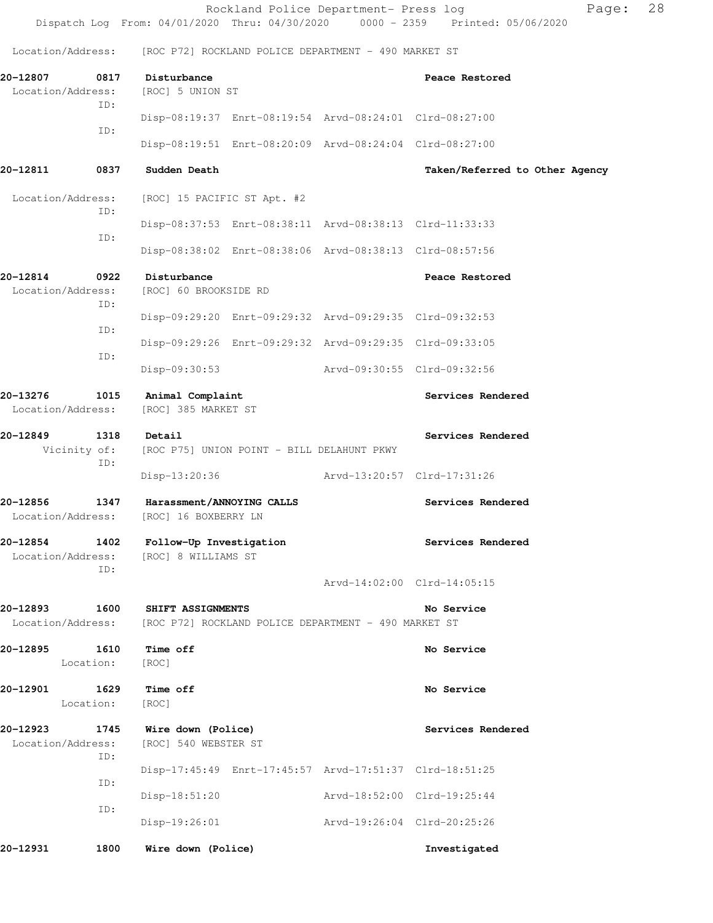|                               |                   |                                                                                                    |                                                         | Dispatch Log From: 04/01/2020 Thru: 04/30/2020 0000 - 2359 Printed: 05/06/2020 |  |
|-------------------------------|-------------------|----------------------------------------------------------------------------------------------------|---------------------------------------------------------|--------------------------------------------------------------------------------|--|
|                               |                   | Location/Address: [ROC P72] ROCKLAND POLICE DEPARTMENT - 490 MARKET ST                             |                                                         |                                                                                |  |
| 20-12807<br>Location/Address: | 0817              | Disturbance<br>[ROC] 5 UNION ST                                                                    |                                                         | Peace Restored                                                                 |  |
|                               | ID:               |                                                                                                    | Disp-08:19:37 Enrt-08:19:54 Arvd-08:24:01 Clrd-08:27:00 |                                                                                |  |
|                               | ID:               |                                                                                                    | Disp-08:19:51 Enrt-08:20:09 Arvd-08:24:04 Clrd-08:27:00 |                                                                                |  |
| 20-12811                      | 0837              | Sudden Death                                                                                       |                                                         | Taken/Referred to Other Agency                                                 |  |
| Location/Address:             | ID:               | [ROC] 15 PACIFIC ST Apt. #2                                                                        |                                                         |                                                                                |  |
|                               | ID:               |                                                                                                    | Disp-08:37:53 Enrt-08:38:11 Arvd-08:38:13 Clrd-11:33:33 |                                                                                |  |
|                               |                   |                                                                                                    | Disp-08:38:02 Enrt-08:38:06 Arvd-08:38:13 Clrd-08:57:56 |                                                                                |  |
| 20-12814<br>Location/Address: | 0922<br>ID:       | Disturbance<br>[ROC] 60 BROOKSIDE RD                                                               |                                                         | Peace Restored                                                                 |  |
|                               | ID:               |                                                                                                    | Disp-09:29:20 Enrt-09:29:32 Arvd-09:29:35 Clrd-09:32:53 |                                                                                |  |
|                               | ID:               |                                                                                                    | Disp-09:29:26 Enrt-09:29:32 Arvd-09:29:35 Clrd-09:33:05 |                                                                                |  |
|                               |                   | Disp-09:30:53                                                                                      | Arvd-09:30:55 Clrd-09:32:56                             |                                                                                |  |
| 20-13276<br>Location/Address: | 1015              | Animal Complaint<br>[ROC] 385 MARKET ST                                                            |                                                         | Services Rendered                                                              |  |
| 20-12849                      | 1318<br>ID:       | Detail<br>Vicinity of: [ROC P75] UNION POINT - BILL DELAHUNT PKWY                                  |                                                         | Services Rendered                                                              |  |
|                               |                   | Disp-13:20:36                                                                                      | Arvd-13:20:57 Clrd-17:31:26                             |                                                                                |  |
| 20-12856                      | 1347              | Harassment/ANNOYING CALLS<br>Location/Address: [ROC] 16 BOXBERRY LN                                |                                                         | Services Rendered                                                              |  |
|                               | ID:               | 20-12854 1402 Follow-Up Investigation<br>Location/Address: [ROC] 8 WILLIAMS ST                     |                                                         | Services Rendered                                                              |  |
|                               |                   |                                                                                                    |                                                         | Arvd-14:02:00 Clrd-14:05:15                                                    |  |
| 20-12893 1600                 |                   | <b>SHIFT ASSIGNMENTS</b><br>Location/Address: [ROC P72] ROCKLAND POLICE DEPARTMENT - 490 MARKET ST |                                                         | No Service                                                                     |  |
| 20-12895 1610                 | Location:         | Time off<br>[ROC]                                                                                  |                                                         | No Service                                                                     |  |
| 20-12901                      | 1629<br>Location: | Time off<br>[ROC]                                                                                  |                                                         | No Service                                                                     |  |
| 20-12923<br>Location/Address: | 1745<br>ID:       | Wire down (Police)<br>[ROC] 540 WEBSTER ST                                                         |                                                         | Services Rendered                                                              |  |
|                               | ID:               |                                                                                                    | Disp-17:45:49 Enrt-17:45:57 Arvd-17:51:37 Clrd-18:51:25 |                                                                                |  |
|                               | ID:               | Disp-18:51:20                                                                                      | Arvd-18:52:00 Clrd-19:25:44                             |                                                                                |  |
|                               |                   | Disp-19:26:01                                                                                      | Arvd-19:26:04 Clrd-20:25:26                             |                                                                                |  |
| 20-12931                      | 1800              | Wire down (Police)                                                                                 |                                                         | Investigated                                                                   |  |

Rockland Police Department- Press log entitled Page: 28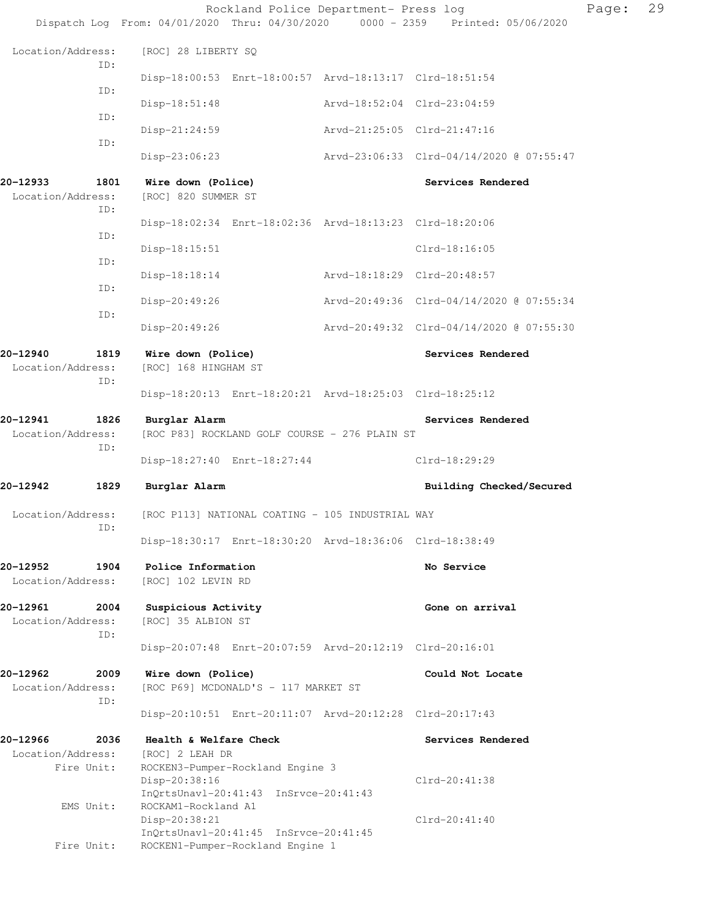|                               |             |                                            | Rockland Police Department- Press log                                     |                             | Dispatch Log From: 04/01/2020 Thru: 04/30/2020 0000 - 2359 Printed: 05/06/2020 | Page: | 29 |
|-------------------------------|-------------|--------------------------------------------|---------------------------------------------------------------------------|-----------------------------|--------------------------------------------------------------------------------|-------|----|
| Location/Address:             |             | [ROC] 28 LIBERTY SQ                        |                                                                           |                             |                                                                                |       |    |
|                               | ID:         |                                            | Disp-18:00:53 Enrt-18:00:57 Arvd-18:13:17 Clrd-18:51:54                   |                             |                                                                                |       |    |
|                               | ID:         | $Disp-18:51:48$                            |                                                                           | Arvd-18:52:04 Clrd-23:04:59 |                                                                                |       |    |
|                               | ID:         | $Disp-21:24:59$                            |                                                                           |                             | Arvd-21:25:05 Clrd-21:47:16                                                    |       |    |
|                               | ID:         | Disp-23:06:23                              |                                                                           |                             | Arvd-23:06:33 Clrd-04/14/2020 @ 07:55:47                                       |       |    |
| 20-12933<br>Location/Address: | 1801        | Wire down (Police)<br>[ROC] 820 SUMMER ST  |                                                                           |                             | Services Rendered                                                              |       |    |
|                               | ID:         |                                            | Disp-18:02:34 Enrt-18:02:36 Arvd-18:13:23 Clrd-18:20:06                   |                             |                                                                                |       |    |
|                               | ID:         | $Disp-18:15:51$                            |                                                                           |                             | $Clrd-18:16:05$                                                                |       |    |
|                               | ID:         | $Disp-18:18:14$                            |                                                                           |                             | Arvd-18:18:29 Clrd-20:48:57                                                    |       |    |
|                               | ID:         | Disp-20:49:26                              |                                                                           |                             | Arvd-20:49:36 Clrd-04/14/2020 @ 07:55:34                                       |       |    |
|                               | ID:         | Disp-20:49:26                              |                                                                           |                             | Arvd-20:49:32 Clrd-04/14/2020 @ 07:55:30                                       |       |    |
| 20-12940<br>Location/Address: | 1819        | Wire down (Police)<br>[ROC] 168 HINGHAM ST |                                                                           |                             | Services Rendered                                                              |       |    |
|                               | ID:         |                                            | Disp-18:20:13 Enrt-18:20:21 Arvd-18:25:03 Clrd-18:25:12                   |                             |                                                                                |       |    |
| 20-12941<br>Location/Address: | 1826        | Burglar Alarm                              | [ROC P83] ROCKLAND GOLF COURSE - 276 PLAIN ST                             |                             | Services Rendered                                                              |       |    |
|                               | ID:         |                                            | Disp-18:27:40 Enrt-18:27:44                                               |                             | Clrd-18:29:29                                                                  |       |    |
| 20-12942                      | 1829        | Burglar Alarm                              |                                                                           |                             | Building Checked/Secured                                                       |       |    |
| Location/Address:             | ID:         |                                            | [ROC P113] NATIONAL COATING - 105 INDUSTRIAL WAY                          |                             |                                                                                |       |    |
|                               |             |                                            | Disp-18:30:17 Enrt-18:30:20 Arvd-18:36:06 Clrd-18:38:49                   |                             |                                                                                |       |    |
| 20–12952<br>Location/Address: | 1904        | Police Information<br>[ROC] 102 LEVIN RD   |                                                                           |                             | No Service                                                                     |       |    |
| 20-12961<br>Location/Address: | 2004<br>ID: | Suspicious Activity<br>[ROC] 35 ALBION ST  |                                                                           |                             | Gone on arrival                                                                |       |    |
|                               |             |                                            | Disp-20:07:48 Enrt-20:07:59 Arvd-20:12:19 Clrd-20:16:01                   |                             |                                                                                |       |    |
| 20–12962<br>Location/Address: | 2009<br>ID: | Wire down (Police)                         | [ROC P69] MCDONALD'S - 117 MARKET ST                                      |                             | Could Not Locate                                                               |       |    |
|                               |             |                                            | Disp-20:10:51 Enrt-20:11:07 Arvd-20:12:28 Clrd-20:17:43                   |                             |                                                                                |       |    |
| 20–12966<br>Location/Address: | 2036        | Health & Welfare Check<br>[ROC] 2 LEAH DR  |                                                                           |                             | Services Rendered                                                              |       |    |
|                               | Fire Unit:  | Disp-20:38:16                              | ROCKEN3-Pumper-Rockland Engine 3<br>InQrtsUnavl-20:41:43 InSrvce-20:41:43 |                             | Clrd-20:41:38                                                                  |       |    |
|                               | EMS Unit:   | ROCKAM1-Rockland A1<br>Disp-20:38:21       | InQrtsUnavl-20:41:45 InSrvce-20:41:45                                     |                             | $Clrd-20:41:40$                                                                |       |    |
|                               | Fire Unit:  |                                            | ROCKEN1-Pumper-Rockland Engine 1                                          |                             |                                                                                |       |    |
|                               |             |                                            |                                                                           |                             |                                                                                |       |    |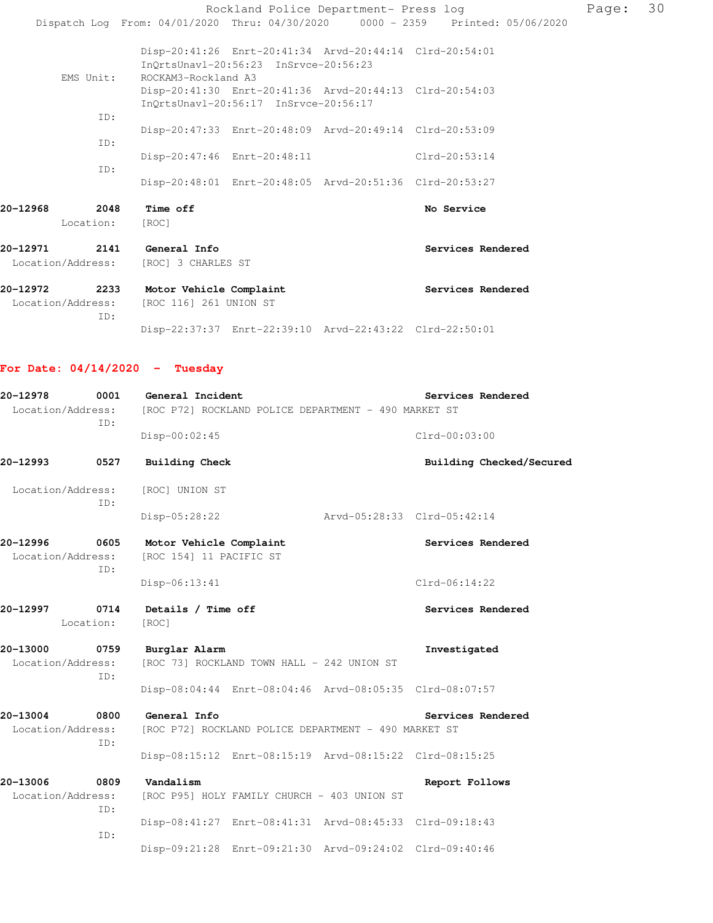|          |                   |                                                                     |                                                                                                  | Rockland Police Department- Press log                                          | Page: | 30 |
|----------|-------------------|---------------------------------------------------------------------|--------------------------------------------------------------------------------------------------|--------------------------------------------------------------------------------|-------|----|
|          |                   |                                                                     |                                                                                                  | Dispatch Log From: 04/01/2020 Thru: 04/30/2020 0000 - 2359 Printed: 05/06/2020 |       |    |
|          |                   |                                                                     | Disp-20:41:26 Enrt-20:41:34 Arvd-20:44:14 Clrd-20:54:01<br>InOrtsUnavl-20:56:23 InSrvce-20:56:23 |                                                                                |       |    |
|          | EMS Unit:         | ROCKAM3-Rockland A3                                                 |                                                                                                  |                                                                                |       |    |
|          |                   |                                                                     | Disp-20:41:30 Enrt-20:41:36 Arvd-20:44:13 Clrd-20:54:03<br>InQrtsUnavl-20:56:17 InSrvce-20:56:17 |                                                                                |       |    |
|          | TD:               |                                                                     |                                                                                                  |                                                                                |       |    |
|          |                   |                                                                     | Disp-20:47:33 Enrt-20:48:09 Arvd-20:49:14 Clrd-20:53:09                                          |                                                                                |       |    |
|          | TD:               |                                                                     | Disp-20:47:46 Enrt-20:48:11                                                                      | $Clrd-20:53:14$                                                                |       |    |
|          | TD:               |                                                                     | Disp-20:48:01 Enrt-20:48:05 Arvd-20:51:36 Clrd-20:53:27                                          |                                                                                |       |    |
| 20-12968 | 2048<br>Location: | Time off<br>[ROC]                                                   |                                                                                                  | No Service                                                                     |       |    |
| 20-12971 |                   | 2141 General Info<br>Location/Address: [ROC] 3 CHARLES ST           |                                                                                                  | Services Rendered                                                              |       |    |
| 20-12972 | 2233<br>TD:       | Motor Vehicle Complaint<br>Location/Address: [ROC 116] 261 UNION ST |                                                                                                  | Services Rendered                                                              |       |    |
|          |                   |                                                                     | Disp-22:37:37 Enrt-22:39:10 Arvd-22:43:22 Clrd-22:50:01                                          |                                                                                |       |    |

# **For Date: 04/14/2020 - Tuesday**

| 20-12978<br>0001<br>ID:       |                   | General Incident<br>Location/Address: [ROC P72] ROCKLAND POLICE DEPARTMENT - 490 MARKET ST | Services Rendered |                             |
|-------------------------------|-------------------|--------------------------------------------------------------------------------------------|-------------------|-----------------------------|
|                               |                   | Disp-00:02:45                                                                              |                   | $Clrd-00:03:00$             |
| 20-12993                      | 0527              | <b>Building Check</b>                                                                      |                   | Building Checked/Secured    |
| Location/Address:             | TD:               | [ROC] UNION ST                                                                             |                   |                             |
|                               |                   | Disp-05:28:22                                                                              |                   | Arvd-05:28:33 Clrd-05:42:14 |
| 20-12996<br>Location/Address: | 0605<br>TD:       | Motor Vehicle Complaint<br>[ROC 154] 11 PACIFIC ST                                         |                   | Services Rendered           |
|                               |                   | Disp-06:13:41                                                                              |                   | Clrd-06:14:22               |
| 20-12997                      | 0714<br>Location: | Details / Time off<br>[ROC]                                                                |                   | Services Rendered           |
| 20-13000                      | 0759<br>ID:       | Burglar Alarm<br>Location/Address: [ROC 73] ROCKLAND TOWN HALL - 242 UNION ST              |                   | Investigated                |
|                               |                   | Disp-08:04:44 Enrt-08:04:46 Arvd-08:05:35 Clrd-08:07:57                                    |                   |                             |
| 20-13004<br>Location/Address: | 0800<br>ID:       | General Info<br>[ROC P72] ROCKLAND POLICE DEPARTMENT - 490 MARKET ST                       |                   | Services Rendered           |
|                               |                   | Disp-08:15:12 Enrt-08:15:19 Arvd-08:15:22 Clrd-08:15:25                                    |                   |                             |
| 20-13006<br>Location/Address: | 0809              | Vandalism<br>[ROC P95] HOLY FAMILY CHURCH - 403 UNION ST                                   |                   | Report Follows              |
|                               | ID:<br>ID:        | Disp-08:41:27 Enrt-08:41:31 Arvd-08:45:33 Clrd-09:18:43                                    |                   |                             |
|                               |                   | Disp-09:21:28 Enrt-09:21:30 Arvd-09:24:02 Clrd-09:40:46                                    |                   |                             |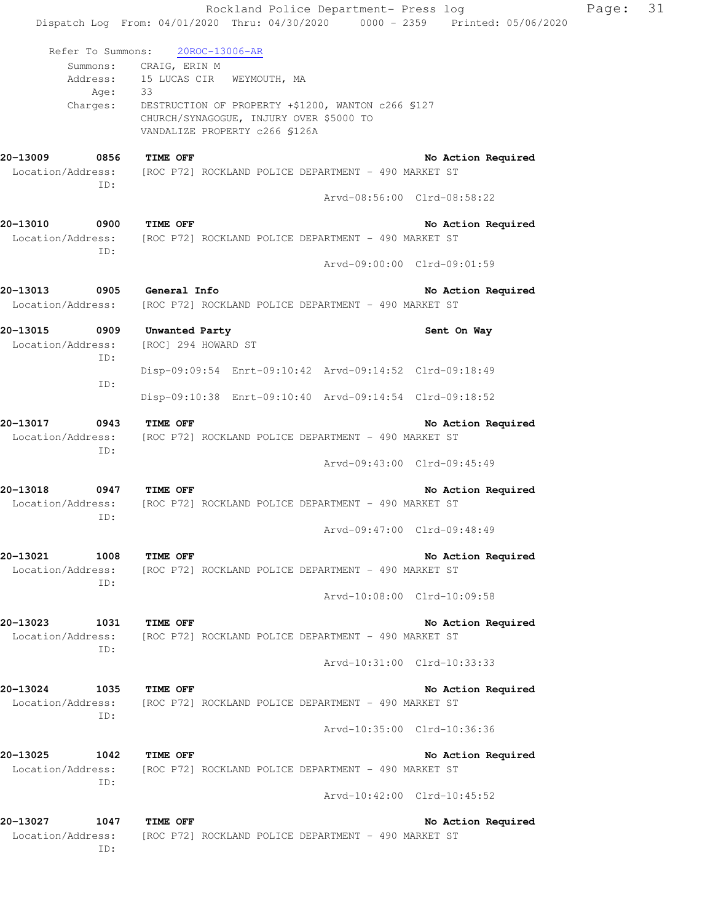|                                       |                                | Rockland Police Department- Press log                                                         |                             | Dispatch Log From: 04/01/2020 Thru: 04/30/2020 0000 - 2359 Printed: 05/06/2020 | Page: | 31 |
|---------------------------------------|--------------------------------|-----------------------------------------------------------------------------------------------|-----------------------------|--------------------------------------------------------------------------------|-------|----|
| Refer To Summons:                     | 20ROC-13006-AR                 |                                                                                               |                             |                                                                                |       |    |
|                                       | Summons: CRAIG, ERIN M         |                                                                                               |                             |                                                                                |       |    |
|                                       | Address: 15 LUCAS CIR          | WEYMOUTH, MA                                                                                  |                             |                                                                                |       |    |
| Age:                                  | 33                             |                                                                                               |                             |                                                                                |       |    |
| Charges:                              | VANDALIZE PROPERTY c266 \$126A | DESTRUCTION OF PROPERTY +\$1200, WANTON c266 \$127<br>CHURCH/SYNAGOGUE, INJURY OVER \$5000 TO |                             |                                                                                |       |    |
| 20-13009<br>0856                      | TIME OFF                       |                                                                                               |                             | No Action Required                                                             |       |    |
| Location/Address:                     |                                | [ROC P72] ROCKLAND POLICE DEPARTMENT - 490 MARKET ST                                          |                             |                                                                                |       |    |
| ID:                                   |                                |                                                                                               |                             |                                                                                |       |    |
|                                       |                                |                                                                                               | Arvd-08:56:00 Clrd-08:58:22 |                                                                                |       |    |
| 20-13010<br>0900                      | <b>TIME OFF</b>                |                                                                                               |                             | No Action Required                                                             |       |    |
| Location/Address:                     |                                | [ROC P72] ROCKLAND POLICE DEPARTMENT - 490 MARKET ST                                          |                             |                                                                                |       |    |
| ID:                                   |                                |                                                                                               | Arvd-09:00:00 Clrd-09:01:59 |                                                                                |       |    |
| 20-13013 0905                         | General Info                   |                                                                                               |                             | No Action Required                                                             |       |    |
| Location/Address:                     |                                | [ROC P72] ROCKLAND POLICE DEPARTMENT - 490 MARKET ST                                          |                             |                                                                                |       |    |
| 0909<br>20-13015                      | Unwanted Party                 |                                                                                               |                             | Sent On Way                                                                    |       |    |
| Location/Address:                     | [ROC] 294 HOWARD ST            |                                                                                               |                             |                                                                                |       |    |
| ID:                                   |                                |                                                                                               |                             |                                                                                |       |    |
|                                       |                                | Disp-09:09:54 Enrt-09:10:42 Arvd-09:14:52 Clrd-09:18:49                                       |                             |                                                                                |       |    |
| ID:                                   |                                | Disp-09:10:38 Enrt-09:10:40 Arvd-09:14:54 Clrd-09:18:52                                       |                             |                                                                                |       |    |
| 20-13017<br>0943                      | TIME OFF                       |                                                                                               |                             | No Action Required                                                             |       |    |
| Location/Address:                     |                                | [ROC P72] ROCKLAND POLICE DEPARTMENT - 490 MARKET ST                                          |                             |                                                                                |       |    |
| ID:                                   |                                |                                                                                               | Arvd-09:43:00 Clrd-09:45:49 |                                                                                |       |    |
|                                       |                                |                                                                                               |                             |                                                                                |       |    |
| 20-13018<br>0947<br>Location/Address: | <b>TIME OFF</b>                | [ROC P72] ROCKLAND POLICE DEPARTMENT - 490 MARKET ST                                          |                             | No Action Required                                                             |       |    |
| ID:                                   |                                |                                                                                               |                             |                                                                                |       |    |
|                                       |                                |                                                                                               | Arvd-09:47:00 Clrd-09:48:49 |                                                                                |       |    |
| 20-13021<br>1008                      | <b>TIME OFF</b>                |                                                                                               |                             | No Action Required                                                             |       |    |
| Location/Address:                     |                                | [ROC P72] ROCKLAND POLICE DEPARTMENT - 490 MARKET ST                                          |                             |                                                                                |       |    |
| ID:                                   |                                |                                                                                               |                             |                                                                                |       |    |
|                                       |                                |                                                                                               | Arvd-10:08:00 Clrd-10:09:58 |                                                                                |       |    |
| 20-13023<br>1031                      | <b>TIME OFF</b>                |                                                                                               |                             | No Action Required                                                             |       |    |
| Location/Address:                     |                                | [ROC P72] ROCKLAND POLICE DEPARTMENT - 490 MARKET ST                                          |                             |                                                                                |       |    |
| ID:                                   |                                |                                                                                               | Arvd-10:31:00 Clrd-10:33:33 |                                                                                |       |    |
| 20-13024<br>1035                      | <b>TIME OFF</b>                |                                                                                               |                             | No Action Required                                                             |       |    |
| Location/Address:                     |                                | [ROC P72] ROCKLAND POLICE DEPARTMENT - 490 MARKET ST                                          |                             |                                                                                |       |    |
| ID:                                   |                                |                                                                                               |                             |                                                                                |       |    |
|                                       |                                |                                                                                               | Arvd-10:35:00 Clrd-10:36:36 |                                                                                |       |    |
| 20-13025<br>1042                      | <b>TIME OFF</b>                |                                                                                               |                             | No Action Required                                                             |       |    |
| Location/Address:                     |                                | [ROC P72] ROCKLAND POLICE DEPARTMENT - 490 MARKET ST                                          |                             |                                                                                |       |    |
| ID:                                   |                                |                                                                                               | Arvd-10:42:00 Clrd-10:45:52 |                                                                                |       |    |
| 20-13027<br>1047                      | TIME OFF                       |                                                                                               |                             | No Action Required                                                             |       |    |
| Location/Address:                     |                                | [ROC P72] ROCKLAND POLICE DEPARTMENT - 490 MARKET ST                                          |                             |                                                                                |       |    |
| ID:                                   |                                |                                                                                               |                             |                                                                                |       |    |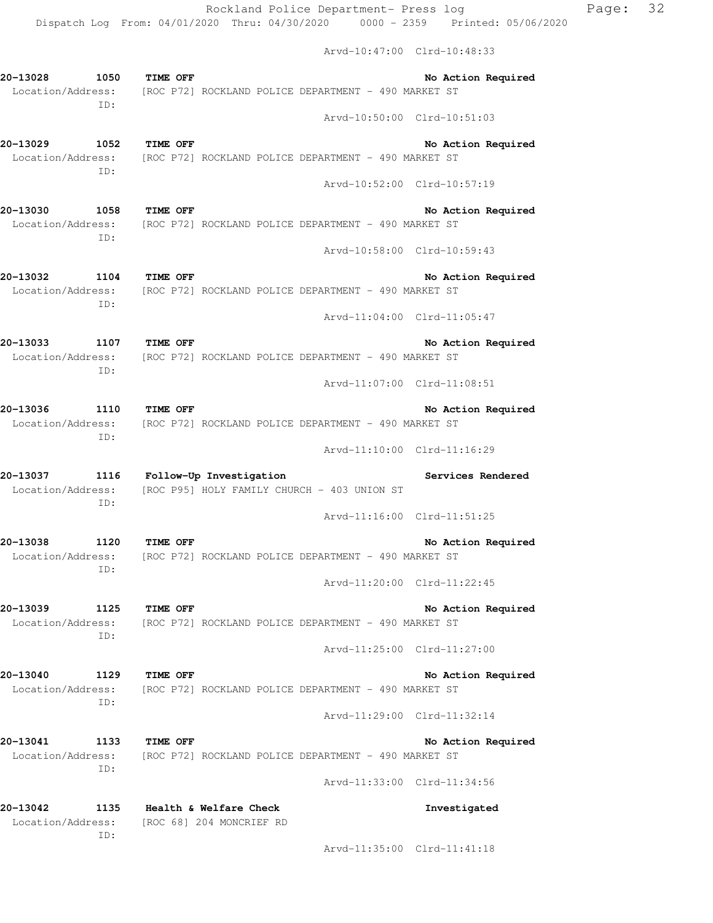Arvd-10:47:00 Clrd-10:48:33

| 20-13028 1050                         | TIME OFF<br>No Action Required<br>Location/Address: [ROC P72] ROCKLAND POLICE DEPARTMENT - 490 MARKET ST                    |
|---------------------------------------|-----------------------------------------------------------------------------------------------------------------------------|
| ID:                                   | Arvd-10:50:00 Clrd-10:51:03                                                                                                 |
| 20-13029 1052 TIME OFF<br>ID:         | No Action Required<br>Location/Address: [ROC P72] ROCKLAND POLICE DEPARTMENT - 490 MARKET ST                                |
|                                       | Arvd-10:52:00 Clrd-10:57:19                                                                                                 |
| 1058 TIME OFF<br>20-13030<br>ID:      | No Action Required<br>Location/Address: [ROC P72] ROCKLAND POLICE DEPARTMENT - 490 MARKET ST                                |
|                                       | Arvd-10:58:00 Clrd-10:59:43                                                                                                 |
| 20-13032<br>1104<br>ID:               | TIME OFF<br>No Action Required<br>Location/Address: [ROC P72] ROCKLAND POLICE DEPARTMENT - 490 MARKET ST                    |
|                                       | Arvd-11:04:00 Clrd-11:05:47                                                                                                 |
| 20-13033 1107 TIME OFF<br>ID:         | No Action Required<br>Location/Address: [ROC P72] ROCKLAND POLICE DEPARTMENT - 490 MARKET ST                                |
|                                       | Arvd-11:07:00 Clrd-11:08:51                                                                                                 |
| 20-13036 1110 TIME OFF<br>ID:         | No Action Required<br>Location/Address: [ROC P72] ROCKLAND POLICE DEPARTMENT - 490 MARKET ST                                |
|                                       | Arvd-11:10:00 Clrd-11:16:29                                                                                                 |
|                                       |                                                                                                                             |
|                                       | 20-13037 1116 Follow-Up Investigation<br>Services Rendered<br>Location/Address: [ROC P95] HOLY FAMILY CHURCH - 403 UNION ST |
| ID:                                   | Arvd-11:16:00 Clrd-11:51:25                                                                                                 |
| 20-13038<br>1120<br>Location/Address: | <b>TIME OFF</b><br>No Action Required<br>[ROC P72] ROCKLAND POLICE DEPARTMENT - 490 MARKET ST                               |
| ID:                                   | Arvd-11:20:00 Clrd-11:22:45                                                                                                 |
| 20-13039<br>1125                      | <b>TIME OFF</b><br>No Action Required<br>Location/Address: [ROC P72] ROCKLAND POLICE DEPARTMENT - 490 MARKET ST             |
| ID:                                   | Arvd-11:25:00 Clrd-11:27:00                                                                                                 |
| 20-13040<br>1129<br>Location/Address: | <b>TIME OFF</b><br>No Action Required<br>[ROC P72] ROCKLAND POLICE DEPARTMENT - 490 MARKET ST                               |
| ID:                                   | Arvd-11:29:00 Clrd-11:32:14                                                                                                 |
| 20-13041<br>1133                      | TIME OFF<br>No Action Required<br>Location/Address: [ROC P72] ROCKLAND POLICE DEPARTMENT - 490 MARKET ST                    |
| ID:                                   | Arvd-11:33:00 Clrd-11:34:56                                                                                                 |
| 20-13042<br>ID:                       | 1135 Health & Welfare Check<br>Investigated<br>Location/Address: [ROC 68] 204 MONCRIEF RD                                   |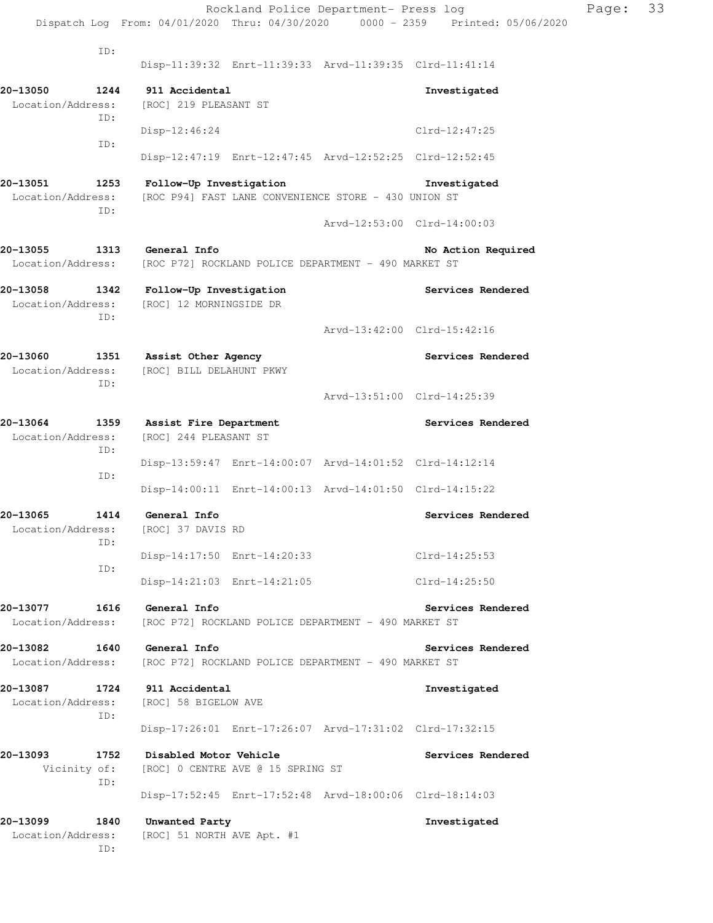Rockland Police Department- Press log Page: 33 Dispatch Log From: 04/01/2020 Thru: 04/30/2020 0000 - 2359 Printed: 05/06/2020 ID: Disp-11:39:32 Enrt-11:39:33 Arvd-11:39:35 Clrd-11:41:14 **20-13050 1244 911 Accidental Investigated**  Location/Address: [ROC] 219 PLEASANT ST ID: Disp-12:46:24 Clrd-12:47:25 ID: Disp-12:47:19 Enrt-12:47:45 Arvd-12:52:25 Clrd-12:52:45 **20-13051 1253 Follow-Up Investigation Investigated**  Location/Address: [ROC P94] FAST LANE CONVENIENCE STORE - 430 UNION ST ID: Arvd-12:53:00 Clrd-14:00:03 **20-13055 1313 General Info No Action Required**  Location/Address: [ROC P72] ROCKLAND POLICE DEPARTMENT - 490 MARKET ST **20-13058 1342 Follow-Up Investigation Services Rendered**  Location/Address: [ROC] 12 MORNINGSIDE DR ID: Arvd-13:42:00 Clrd-15:42:16 **20-13060 1351 Assist Other Agency Services Rendered**  Location/Address: [ROC] BILL DELAHUNT PKWY ID: Arvd-13:51:00 Clrd-14:25:39 **20-13064 1359 Assist Fire Department Services Rendered**  Location/Address: [ROC] 244 PLEASANT ST ID: Disp-13:59:47 Enrt-14:00:07 Arvd-14:01:52 Clrd-14:12:14 ID: Disp-14:00:11 Enrt-14:00:13 Arvd-14:01:50 Clrd-14:15:22 **20-13065 1414 General Info Services Rendered**  Location/Address: [ROC] 37 DAVIS RD ID: Disp-14:17:50 Enrt-14:20:33 Clrd-14:25:53 ID: Disp-14:21:03 Enrt-14:21:05 Clrd-14:25:50 **20-13077 1616 General Info Services Rendered**  Location/Address: [ROC P72] ROCKLAND POLICE DEPARTMENT - 490 MARKET ST **20-13082 1640 General Info Services Rendered**  Location/Address: [ROC P72] ROCKLAND POLICE DEPARTMENT - 490 MARKET ST **20-13087 1724 911 Accidental Investigated**  Location/Address: [ROC] 58 BIGELOW AVE ID: Disp-17:26:01 Enrt-17:26:07 Arvd-17:31:02 Clrd-17:32:15 **20-13093 1752 Disabled Motor Vehicle Services Rendered**  Vicinity of: [ROC] 0 CENTRE AVE @ 15 SPRING ST ID: Disp-17:52:45 Enrt-17:52:48 Arvd-18:00:06 Clrd-18:14:03 **20-13099 1840 Unwanted Party Investigated**  Location/Address: [ROC] 51 NORTH AVE Apt. #1

ID: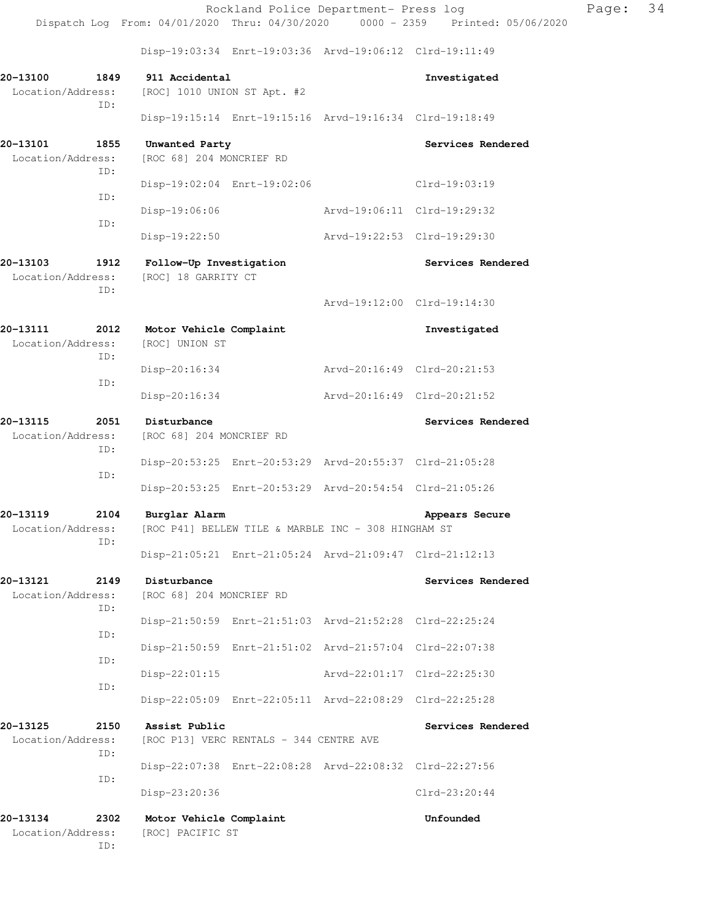Disp-19:03:34 Enrt-19:03:36 Arvd-19:06:12 Clrd-19:11:49

|                                              | 015p-19.00.04 EMIC-19.00.00 ALVQ-19.00.12 CILQ-19.11.49              |                             |                   |
|----------------------------------------------|----------------------------------------------------------------------|-----------------------------|-------------------|
| 1849<br>20-13100<br>Location/Address:        | 911 Accidental<br>[ROC] 1010 UNION ST Apt. #2                        |                             | Investigated      |
| ID:                                          | Disp-19:15:14 Enrt-19:15:16 Arvd-19:16:34 Clrd-19:18:49              |                             |                   |
| 20-13101<br>1855<br>Location/Address:        | Unwanted Party<br>[ROC 68] 204 MONCRIEF RD                           |                             | Services Rendered |
| ID:                                          | Disp-19:02:04 Enrt-19:02:06                                          |                             | Clrd-19:03:19     |
| ID:                                          | Disp-19:06:06                                                        | Arvd-19:06:11 Clrd-19:29:32 |                   |
| ID:                                          | Disp-19:22:50                                                        | Arvd-19:22:53               | Clrd-19:29:30     |
| 20-13103<br>1912<br>Location/Address:<br>ID: | Follow-Up Investigation<br>[ROC] 18 GARRITY CT                       |                             | Services Rendered |
|                                              |                                                                      | Arvd-19:12:00 Clrd-19:14:30 |                   |
| 20–13111<br>2012<br>Location/Address:<br>ID: | Motor Vehicle Complaint<br>[ROC] UNION ST                            |                             | Investigated      |
| ID:                                          | Disp-20:16:34                                                        | Arvd-20:16:49 Clrd-20:21:53 |                   |
|                                              | Disp-20:16:34                                                        | Arvd-20:16:49 Clrd-20:21:52 |                   |
| 20-13115<br>2051<br>Location/Address:<br>ID: | Disturbance<br>[ROC 68] 204 MONCRIEF RD                              |                             | Services Rendered |
| ID:                                          | Disp-20:53:25 Enrt-20:53:29 Arvd-20:55:37 Clrd-21:05:28              |                             |                   |
|                                              | Disp-20:53:25 Enrt-20:53:29 Arvd-20:54:54 Clrd-21:05:26              |                             |                   |
| 20-13119<br>2104<br>Location/Address:<br>ID: | Burglar Alarm<br>[ROC P41] BELLEW TILE & MARBLE INC - 308 HINGHAM ST |                             | Appears Secure    |
|                                              | Disp-21:05:21 Enrt-21:05:24 Arvd-21:09:47 Clrd-21:12:13              |                             |                   |
| 20–13121<br>2149<br>Location/Address:<br>ID: | Disturbance<br>[ROC 68] 204 MONCRIEF RD                              |                             | Services Rendered |
| ID:                                          | Disp-21:50:59 Enrt-21:51:03 Arvd-21:52:28                            |                             | Clrd-22:25:24     |
| ID:                                          | Disp-21:50:59                                                        | Enrt-21:51:02 Arvd-21:57:04 | Clrd-22:07:38     |
| ID:                                          | $Disp-22:01:15$                                                      | Arvd-22:01:17               | Clrd-22:25:30     |
|                                              | Disp-22:05:09 Enrt-22:05:11 Arvd-22:08:29                            |                             | Clrd-22:25:28     |
| 20–13125<br>2150<br>Location/Address:<br>ID: | Assist Public<br>[ROC P13] VERC RENTALS - 344 CENTRE AVE             |                             | Services Rendered |
| ID:                                          | Disp-22:07:38 Enrt-22:08:28 Arvd-22:08:32 Clrd-22:27:56              |                             |                   |
|                                              | Disp-23:20:36                                                        |                             | Clrd-23:20:44     |
| 20-13134<br>2302                             | Motor Vehicle Complaint                                              |                             | Unfounded         |

 Location/Address: [ROC] PACIFIC ST ID: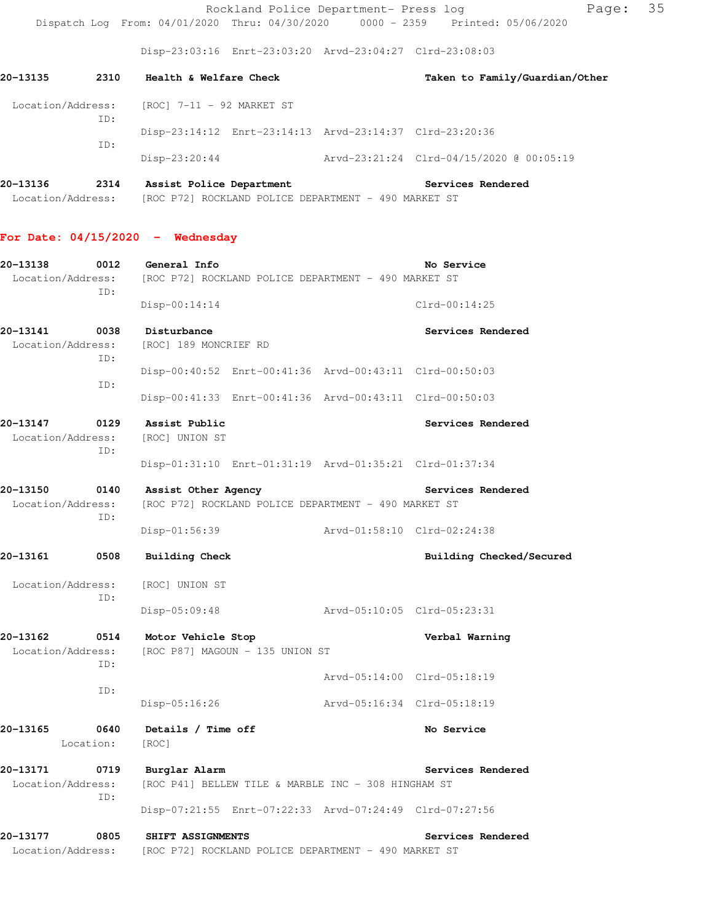Rockland Police Department- Press log Page: 35 Dispatch Log From: 04/01/2020 Thru: 04/30/2020 0000 - 2359 Printed: 05/06/2020

Disp-23:03:16 Enrt-23:03:20 Arvd-23:04:27 Clrd-23:08:03

| 20–13135          | 2310 | Health & Welfare Check                                  | Taken to Family/Guardian/Other           |
|-------------------|------|---------------------------------------------------------|------------------------------------------|
| Location/Address: | ID:  | [ROC] 7-11 - 92 MARKET ST                               |                                          |
|                   | ID:  | Disp-23:14:12 Enrt-23:14:13 Arvd-23:14:37 Clrd-23:20:36 |                                          |
|                   |      | Disp-23:20:44                                           | Arvd-23:21:24 Clrd-04/15/2020 @ 00:05:19 |

**20-13136 2314 Assist Police Department Services Rendered**  Location/Address: [ROC P72] ROCKLAND POLICE DEPARTMENT - 490 MARKET ST

#### **For Date: 04/15/2020 - Wednesday**

| 20-13138                      | 0012<br>TD:       | General Info<br>Location/Address: [ROC P72] ROCKLAND POLICE DEPARTMENT - 490 MARKET ST | No Service                  |
|-------------------------------|-------------------|----------------------------------------------------------------------------------------|-----------------------------|
|                               |                   | $Disp-00:14:14$                                                                        | $Clrd-00:14:25$             |
| 20-13141<br>Location/Address: | 0038<br>TD:       | Disturbance<br>[ROC] 189 MONCRIEF RD                                                   | Services Rendered           |
|                               | ID:               | Disp-00:40:52 Enrt-00:41:36 Arvd-00:43:11 Clrd-00:50:03                                |                             |
|                               |                   | Disp-00:41:33 Enrt-00:41:36 Arvd-00:43:11 Clrd-00:50:03                                |                             |
| 20-13147<br>Location/Address: | 0129<br>ID:       | Assist Public<br>[ROC] UNION ST                                                        | Services Rendered           |
|                               |                   | Disp-01:31:10 Enrt-01:31:19 Arvd-01:35:21 Clrd-01:37:34                                |                             |
| 20-13150<br>Location/Address: | 0140<br>ID:       | Assist Other Agency<br>[ROC P72] ROCKLAND POLICE DEPARTMENT - 490 MARKET ST            | Services Rendered           |
|                               |                   | Disp-01:56:39                                                                          | Arvd-01:58:10 Clrd-02:24:38 |
| 20-13161                      | 0508              | <b>Building Check</b>                                                                  | Building Checked/Secured    |
| Location/Address:             | ID:               | [ROC] UNION ST                                                                         |                             |
|                               |                   | $Disp-05:09:48$                                                                        | Arvd-05:10:05 Clrd-05:23:31 |
| 20-13162                      | 0514<br>TD:       | Motor Vehicle Stop<br>Location/Address: [ROC P87] MAGOUN - 135 UNION ST                | Verbal Warning              |
|                               | ID:               |                                                                                        | Arvd-05:14:00 Clrd-05:18:19 |
|                               |                   | $Disp-05:16:26$                                                                        | Arvd-05:16:34 Clrd-05:18:19 |
| 20-13165                      | 0640<br>Location: | Details / Time off<br>[ROC]                                                            | No Service                  |
| 20-13171<br>Location/Address: | 0719<br>TD:       | Burglar Alarm<br>[ROC P41] BELLEW TILE & MARBLE INC - 308 HINGHAM ST                   | Services Rendered           |
|                               |                   | Disp-07:21:55 Enrt-07:22:33 Arvd-07:24:49 Clrd-07:27:56                                |                             |
| 20-13177<br>Location/Address: | 0805              | SHIFT ASSIGNMENTS<br>[ROC P72] ROCKLAND POLICE DEPARTMENT - 490 MARKET ST              | Services Rendered           |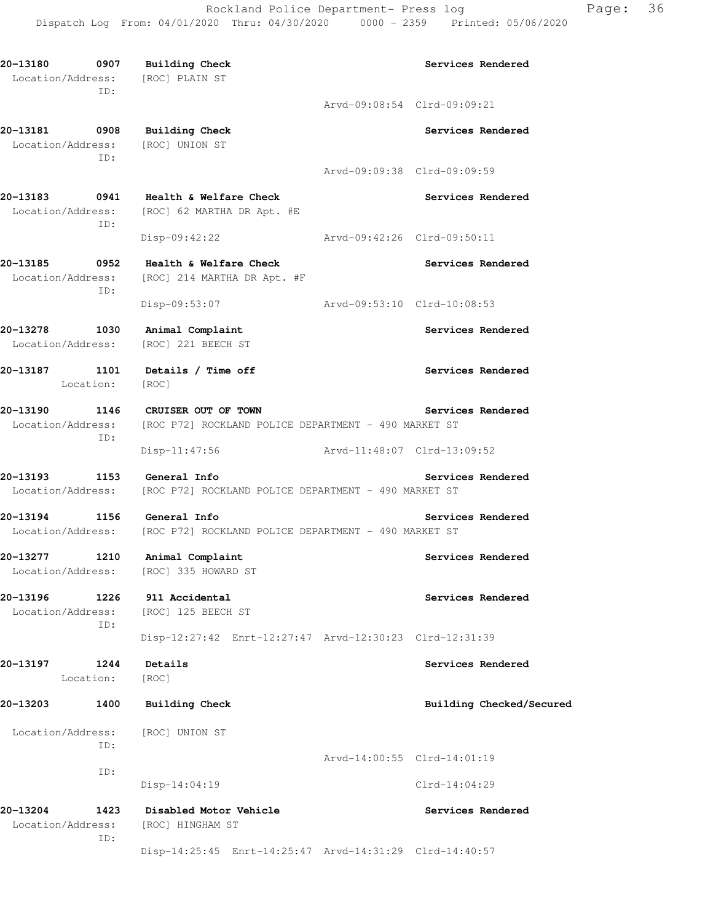Rockland Police Department- Press log Page: 36 Dispatch Log From: 04/01/2020 Thru: 04/30/2020 0000 - 2359 Printed: 05/06/2020

**20-13180 0907 Building Check Services Rendered**  Location/Address: [ROC] PLAIN ST ID: Arvd-09:08:54 Clrd-09:09:21 **20-13181 0908 Building Check Services Rendered**  Location/Address: [ROC] UNION ST ID: Arvd-09:09:38 Clrd-09:09:59 **20-13183 0941 Health & Welfare Check Services Rendered**  Location/Address: [ROC] 62 MARTHA DR Apt. #E ID: Disp-09:42:22 Arvd-09:42:26 Clrd-09:50:11 **20-13185 0952 Health & Welfare Check Services Rendered**  Location/Address: [ROC] 214 MARTHA DR Apt. #F ID: Disp-09:53:07 Arvd-09:53:10 Clrd-10:08:53 **20-13278 1030 Animal Complaint Services Rendered**  Location/Address: [ROC] 221 BEECH ST **20-13187 1101 Details / Time off Services Rendered**  Location: [ROC] **20-13190 1146 CRUISER OUT OF TOWN Services Rendered**  Location/Address: [ROC P72] ROCKLAND POLICE DEPARTMENT - 490 MARKET ST ID: Disp-11:47:56 Arvd-11:48:07 Clrd-13:09:52 **20-13193 1153 General Info Services Rendered**  Location/Address: [ROC P72] ROCKLAND POLICE DEPARTMENT - 490 MARKET ST **20-13194 1156 General Info Services Rendered**  Location/Address: [ROC P72] ROCKLAND POLICE DEPARTMENT - 490 MARKET ST **20-13277 1210 Animal Complaint Services Rendered**  Location/Address: [ROC] 335 HOWARD ST 20-13196 1226 911 Accidental **120 1226 1226 1226** Services Rendered Location/Address: [ROC] 125 BEECH ST ID: Disp-12:27:42 Enrt-12:27:47 Arvd-12:30:23 Clrd-12:31:39 **20-13197 1244 Details Services Rendered**  Location: [ROC] 20-13203 1400 Building Check **Building Check Building Checked/Secured**  Location/Address: [ROC] UNION ST ID: Arvd-14:00:55 Clrd-14:01:19 ID: Disp-14:04:19 Clrd-14:04:29 **20-13204 1423 Disabled Motor Vehicle Services Rendered**  Location/Address: [ROC] HINGHAM ST ID: Disp-14:25:45 Enrt-14:25:47 Arvd-14:31:29 Clrd-14:40:57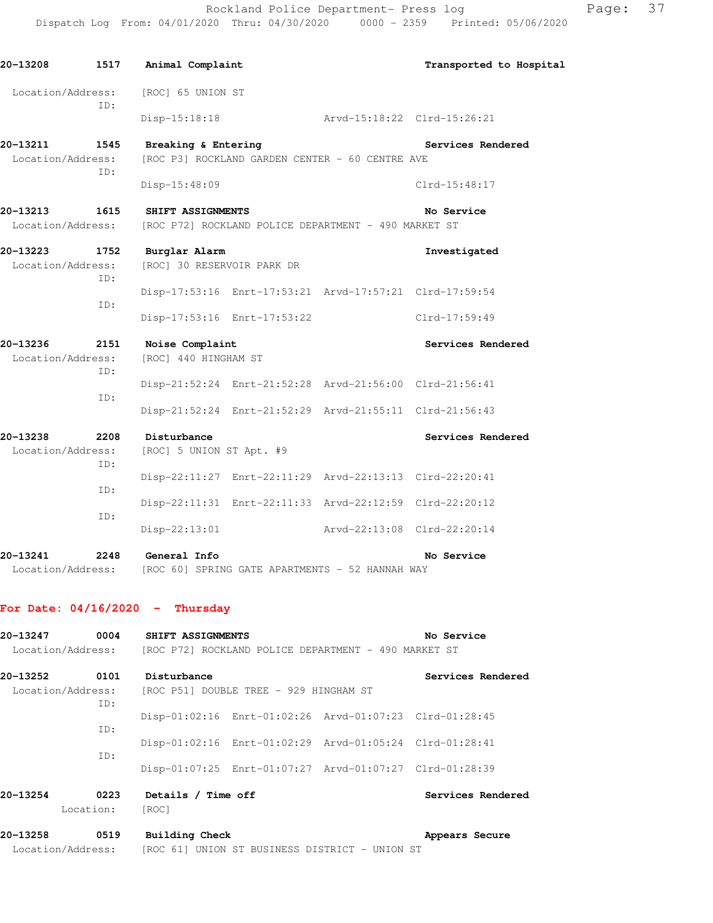Rockland Police Department- Press log Page: 37 Dispatch Log From: 04/01/2020 Thru: 04/30/2020 0000 - 2359 Printed: 05/06/2020

| 20-13208                           |             | 1517 Animal Complaint                                                                 |                             | Transported to Hospital |
|------------------------------------|-------------|---------------------------------------------------------------------------------------|-----------------------------|-------------------------|
| Location/Address:                  | ID:         | [ROC] 65 UNION ST                                                                     |                             |                         |
|                                    |             | Disp-15:18:18                                                                         | Arvd-15:18:22 Clrd-15:26:21 |                         |
| 20-13211 1545<br>Location/Address: | TD:         | Breaking & Entering<br>[ROC P3] ROCKLAND GARDEN CENTER - 60 CENTRE AVE                |                             | Services Rendered       |
|                                    |             | Disp-15:48:09                                                                         |                             | Clrd-15:48:17           |
| 20-13213<br>Location/Address:      |             | <b>1615 SHIFT ASSIGNMENTS</b><br>[ROC P72] ROCKLAND POLICE DEPARTMENT - 490 MARKET ST |                             | No Service              |
| 20-13223 1752<br>Location/Address: | ID:         | Burglar Alarm<br>[ROC] 30 RESERVOIR PARK DR                                           |                             | Investigated            |
|                                    | ID:         | Disp-17:53:16 Enrt-17:53:21 Arvd-17:57:21 Clrd-17:59:54                               |                             |                         |
|                                    |             | Disp-17:53:16 Enrt-17:53:22                                                           |                             | Clrd-17:59:49           |
| 20-13236<br>Location/Address:      | 2151<br>ID: | Noise Complaint<br>[ROC] 440 HINGHAM ST                                               |                             | Services Rendered       |
|                                    |             | Disp-21:52:24 Enrt-21:52:28 Arvd-21:56:00 Clrd-21:56:41                               |                             |                         |
|                                    | ID:         | Disp-21:52:24 Enrt-21:52:29 Arvd-21:55:11 Clrd-21:56:43                               |                             |                         |
| 20-13238<br>Location/Address:      | 2208<br>TD: | Disturbance<br>[ROC] 5 UNION ST Apt. #9                                               |                             | Services Rendered       |
|                                    |             | Disp-22:11:27 Enrt-22:11:29 Arvd-22:13:13 Clrd-22:20:41                               |                             |                         |
|                                    | ID:         | Disp-22:11:31 Enrt-22:11:33 Arvd-22:12:59 Clrd-22:20:12                               |                             |                         |
|                                    | ID:         | Disp-22:13:01                                                                         | Arvd-22:13:08 Clrd-22:20:14 |                         |
| 20-13241<br>Location/Address:      | 2248        | General Info<br>[ROC 60] SPRING GATE APARTMENTS - 52 HANNAH WAY                       |                             | No Service              |

# **For Date: 04/16/2020 - Thursday**

| 20-13247                      | 0004              | SHIFT ASSIGNMENTS                                       |                                                      | No Service        |
|-------------------------------|-------------------|---------------------------------------------------------|------------------------------------------------------|-------------------|
| Location/Address:             |                   |                                                         | [ROC P72] ROCKLAND POLICE DEPARTMENT - 490 MARKET ST |                   |
| 20-13252                      | 0101              | Disturbance                                             |                                                      | Services Rendered |
| Location/Address:             | ID:               | [ROC P51] DOUBLE TREE - 929 HINGHAM ST                  |                                                      |                   |
|                               | TD:               | Disp-01:02:16 Enrt-01:02:26 Arvd-01:07:23 Clrd-01:28:45 |                                                      |                   |
|                               | TD:               | Disp-01:02:16 Enrt-01:02:29 Arvd-01:05:24 Clrd-01:28:41 |                                                      |                   |
|                               |                   | Disp-01:07:25 Enrt-01:07:27 Arvd-01:07:27 Clrd-01:28:39 |                                                      |                   |
| 20-13254                      | 0223<br>Location: | Details / Time off<br>[ROC]                             |                                                      | Services Rendered |
| 20-13258<br>Location/Address: | 0519              | Building Check                                          | [ROC 61] UNION ST BUSINESS DISTRICT - UNION ST       | Appears Secure    |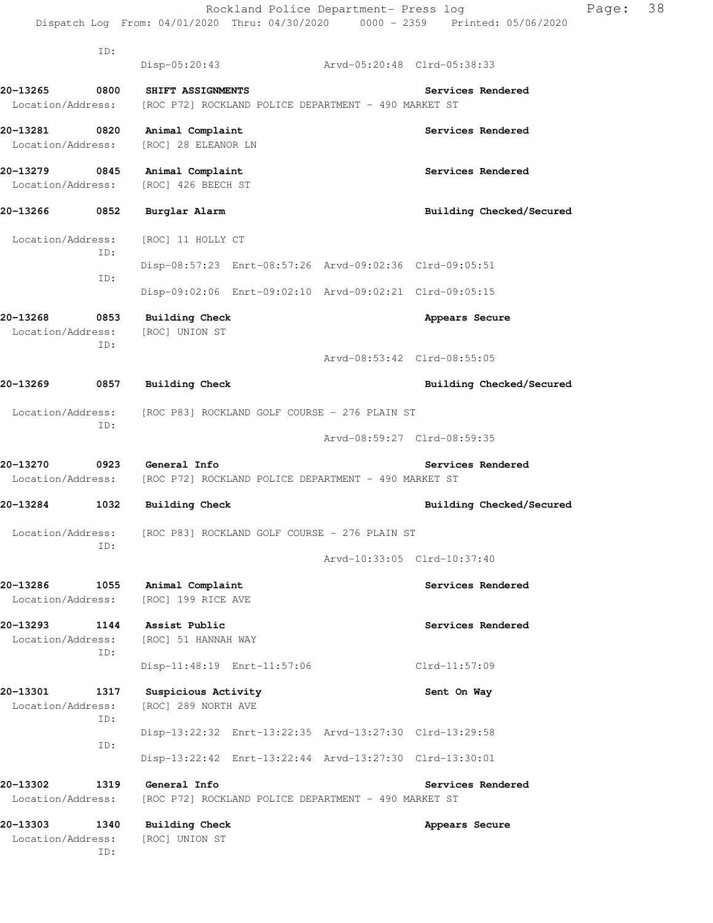|                                    |                   | Rockland Police Department- Press log<br>Dispatch Log From: 04/01/2020 Thru: 04/30/2020 0000 - 2359 Printed: 05/06/2020 |                             | Page: | 38 |
|------------------------------------|-------------------|-------------------------------------------------------------------------------------------------------------------------|-----------------------------|-------|----|
|                                    | ID:               | Disp-05:20:43 Arvd-05:20:48 Clrd-05:38:33                                                                               |                             |       |    |
| 20-13265<br>Location/Address:      | 0800              | SHIFT ASSIGNMENTS<br>[ROC P72] ROCKLAND POLICE DEPARTMENT - 490 MARKET ST                                               | Services Rendered           |       |    |
| 20-13281<br>Location/Address:      | $\overline{0820}$ | Animal Complaint<br>[ROC] 28 ELEANOR LN                                                                                 | Services Rendered           |       |    |
| 20-13279 0845<br>Location/Address: |                   | Animal Complaint<br>[ROC] 426 BEECH ST                                                                                  | Services Rendered           |       |    |
| 20-13266 0852                      |                   | Burglar Alarm                                                                                                           | Building Checked/Secured    |       |    |
| Location/Address:                  | ID:               | [ROC] 11 HOLLY CT                                                                                                       |                             |       |    |
|                                    | ID:               | Disp-08:57:23 Enrt-08:57:26 Arvd-09:02:36 Clrd-09:05:51                                                                 |                             |       |    |
|                                    |                   | Disp-09:02:06 Enrt-09:02:10 Arvd-09:02:21 Clrd-09:05:15                                                                 |                             |       |    |
| 20-13268<br>Location/Address:      | 0853<br>ID:       | <b>Building Check</b><br>[ROC] UNION ST                                                                                 | Appears Secure              |       |    |
|                                    |                   |                                                                                                                         | Arvd-08:53:42 Clrd-08:55:05 |       |    |
| 20–13269                           | 0857              | <b>Building Check</b>                                                                                                   | Building Checked/Secured    |       |    |
| Location/Address:                  | ID:               | [ROC P83] ROCKLAND GOLF COURSE - 276 PLAIN ST                                                                           |                             |       |    |
|                                    |                   |                                                                                                                         | Arvd-08:59:27 Clrd-08:59:35 |       |    |
| 20-13270<br>Location/Address:      | 0923              | General Info<br>[ROC P72] ROCKLAND POLICE DEPARTMENT - 490 MARKET ST                                                    | Services Rendered           |       |    |
| 20-13284                           | 1032              | <b>Building Check</b>                                                                                                   | Building Checked/Secured    |       |    |
| Location/Address:                  | ID:               | [ROC P83] ROCKLAND GOLF COURSE - 276 PLAIN ST                                                                           |                             |       |    |
|                                    |                   |                                                                                                                         | Arvd-10:33:05 Clrd-10:37:40 |       |    |
| 20-13286                           | 1055              | Animal Complaint<br>Location/Address: [ROC] 199 RICE AVE                                                                | Services Rendered           |       |    |
| 20–13293<br>Location/Address:      | 1144              | Assist Public<br>[ROC] 51 HANNAH WAY                                                                                    | Services Rendered           |       |    |
|                                    | ID:               | Disp-11:48:19 Enrt-11:57:06                                                                                             | Clrd-11:57:09               |       |    |
| 20-13301<br>Location/Address:      | 1317<br>ID:       | Suspicious Activity<br>[ROC] 289 NORTH AVE                                                                              | Sent On Way                 |       |    |
|                                    | ID:               | Disp-13:22:32 Enrt-13:22:35 Arvd-13:27:30 Clrd-13:29:58                                                                 |                             |       |    |
|                                    |                   | Disp-13:22:42 Enrt-13:22:44 Arvd-13:27:30 Clrd-13:30:01                                                                 |                             |       |    |
| 20-13302<br>Location/Address:      | 1319              | General Info<br>[ROC P72] ROCKLAND POLICE DEPARTMENT - 490 MARKET ST                                                    | Services Rendered           |       |    |
| 20-13303<br>Location/Address:      | 1340<br>ID:       | <b>Building Check</b><br>[ROC] UNION ST                                                                                 | Appears Secure              |       |    |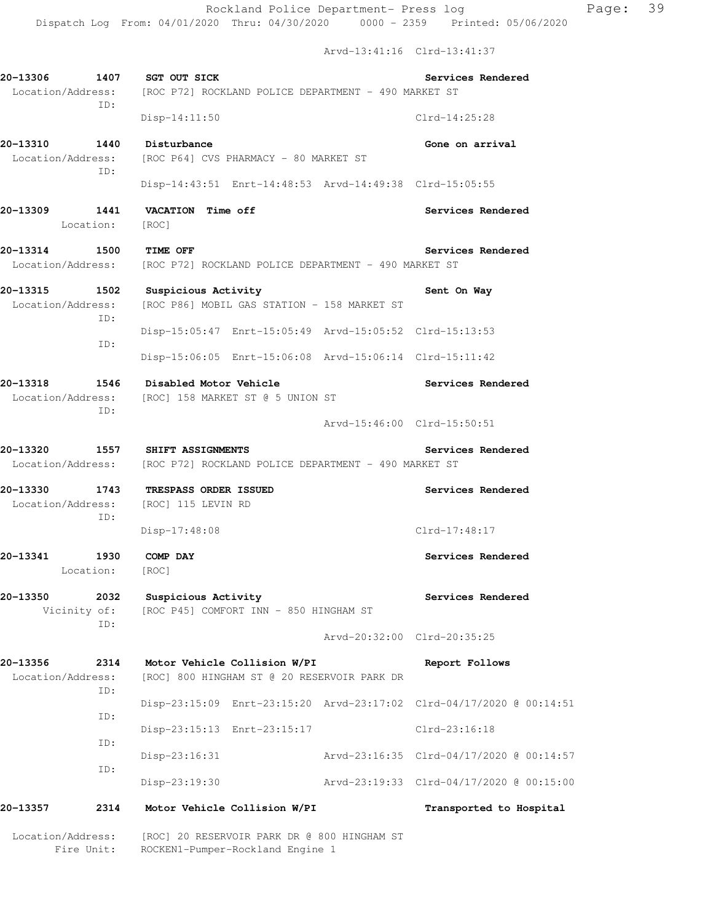Arvd-13:41:16 Clrd-13:41:37

|                                       | ID:                     | 20-13306 1407 SGT OUT SICK<br>Location/Address: [ROC P72] ROCKLAND POLICE DEPARTMENT - 490 MARKET ST |                   | Services Rendered                        |
|---------------------------------------|-------------------------|------------------------------------------------------------------------------------------------------|-------------------|------------------------------------------|
|                                       |                         | $Disp-14:11:50$                                                                                      |                   | $Clrd-14:25:28$                          |
| 20-13310                              | ID:                     | 1440 Disturbance<br>Location/Address: [ROC P64] CVS PHARMACY - 80 MARKET ST                          |                   | Gone on arrival                          |
|                                       |                         | Disp-14:43:51 Enrt-14:48:53 Arvd-14:49:38 Clrd-15:05:55                                              |                   |                                          |
| 20-13309                              | 1441<br>Location: [ROC] | VACATION Time off                                                                                    |                   | Services Rendered                        |
| 20-13314 1500 TIME OFF                |                         | Location/Address: [ROC P72] ROCKLAND POLICE DEPARTMENT - 490 MARKET ST                               |                   | Services Rendered                        |
|                                       | ID:                     | 20-13315 1502 Suspicious Activity<br>Location/Address: [ROC P86] MOBIL GAS STATION - 158 MARKET ST   |                   | Sent On Way                              |
|                                       | ID:                     | Disp-15:05:47 Enrt-15:05:49 Arvd-15:05:52 Clrd-15:13:53                                              |                   |                                          |
|                                       |                         | Disp-15:06:05 Enrt-15:06:08 Arvd-15:06:14 Clrd-15:11:42                                              |                   |                                          |
| 20-13318                              |                         | 1546 Disabled Motor Vehicle<br>Location/Address: [ROC] 158 MARKET ST @ 5 UNION ST                    | Services Rendered |                                          |
|                                       | ID:                     |                                                                                                      |                   | Arvd-15:46:00 Clrd-15:50:51              |
| 20-13320                              |                         | 1557 SHIFT ASSIGNMENTS<br>Location/Address: [ROC P72] ROCKLAND POLICE DEPARTMENT - 490 MARKET ST     |                   | Services Rendered                        |
| 20-13330<br>1743<br>Location/Address: |                         | <b>TRESPASS ORDER ISSUED</b><br>[ROC] 115 LEVIN RD                                                   | Services Rendered |                                          |
|                                       | ID:                     | Disp-17:48:08                                                                                        |                   | Clrd-17:48:17                            |
| 20-13341                              | 1930<br>Location: [ROC] | COMP DAY                                                                                             |                   | Services Rendered                        |
| 20-13350                              | 2032<br>Vicinity of:    | Suspicious Activity<br>[ROC P45] COMFORT INN - 850 HINGHAM ST                                        | Services Rendered |                                          |
|                                       | ID:                     |                                                                                                      |                   | Arvd-20:32:00 Clrd-20:35:25              |
| 20-13356<br>Location/Address:         | 2314                    | Motor Vehicle Collision W/PI<br>[ROC] 800 HINGHAM ST @ 20 RESERVOIR PARK DR                          |                   | Report Follows                           |
|                                       | ID:                     | Disp-23:15:09 Enrt-23:15:20 Arvd-23:17:02 Clrd-04/17/2020 @ 00:14:51                                 |                   |                                          |
|                                       | ID:                     | Disp-23:15:13 Enrt-23:15:17                                                                          |                   | Clrd-23:16:18                            |
|                                       | ID:                     | $Disp-23:16:31$                                                                                      |                   | Arvd-23:16:35 Clrd-04/17/2020 @ 00:14:57 |
|                                       | ID:                     | Disp-23:19:30                                                                                        |                   | Arvd-23:19:33 Clrd-04/17/2020 @ 00:15:00 |
| 20–13357                              | 2314                    | Motor Vehicle Collision W/PI                                                                         |                   | Transported to Hospital                  |
| Location/Address:                     | Fire Unit:              | [ROC] 20 RESERVOIR PARK DR @ 800 HINGHAM ST<br>ROCKEN1-Pumper-Rockland Engine 1                      |                   |                                          |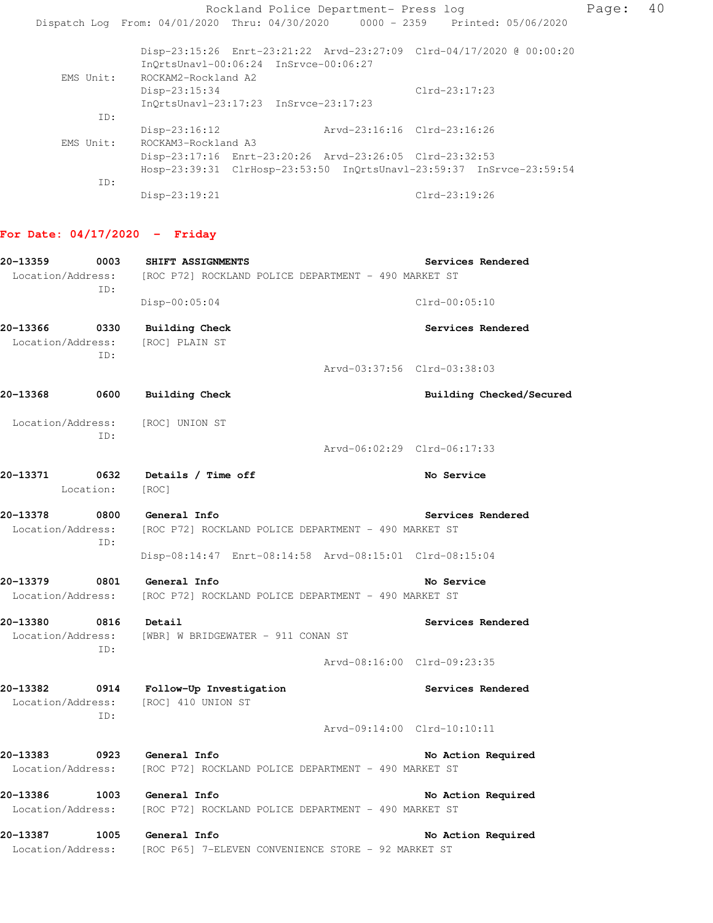Rockland Police Department- Press log Page: 40 Dispatch Log From: 04/01/2020 Thru: 04/30/2020 0000 - 2359 Printed: 05/06/2020 Disp-23:15:26 Enrt-23:21:22 Arvd-23:27:09 Clrd-04/17/2020 @ 00:00:20 InQrtsUnavl-00:06:24 InSrvce-00:06:27 EMS Unit: ROCKAM2-Rockland A2 Disp-23:15:34 Clrd-23:17:23 InQrtsUnavl-23:17:23 InSrvce-23:17:23 ID: Disp-23:16:12 Arvd-23:16:16 Clrd-23:16:26 EMS Unit: ROCKAM3-Rockland A3 Disp-23:17:16 Enrt-23:20:26 Arvd-23:26:05 Clrd-23:32:53 Hosp-23:39:31 ClrHosp-23:53:50 InQrtsUnavl-23:59:37 InSrvce-23:59:54 ID: Disp-23:19:21 Clrd-23:19:26

# **For Date: 04/17/2020 - Friday**

| 20-13359          | 0003              | SHIFT ASSIGNMENTS                                                      | Services Rendered           |
|-------------------|-------------------|------------------------------------------------------------------------|-----------------------------|
|                   | TD:               | Location/Address: [ROC P72] ROCKLAND POLICE DEPARTMENT - 490 MARKET ST |                             |
|                   |                   | $Disp-00:05:04$                                                        | $Clrd-00:05:10$             |
| 20-13366          | 0330              | Building Check                                                         | Services Rendered           |
| Location/Address: | ID:               | [ROC] PLAIN ST                                                         |                             |
|                   |                   |                                                                        | Arvd-03:37:56 Clrd-03:38:03 |
| 20-13368          | 0600              | <b>Building Check</b>                                                  | Building Checked/Secured    |
| Location/Address: | ID:               | [ROC] UNION ST                                                         |                             |
|                   |                   |                                                                        | Arvd-06:02:29 Clrd-06:17:33 |
| 20-13371          | 0632<br>Location: | Details / Time off<br>[ROC]                                            | No Service                  |
| 20-13378          | 0800              | General Info                                                           | Services Rendered           |
|                   | ID:               | Location/Address: [ROC P72] ROCKLAND POLICE DEPARTMENT - 490 MARKET ST |                             |
|                   |                   | Disp-08:14:47 Enrt-08:14:58 Arvd-08:15:01 Clrd-08:15:04                |                             |
| 20-13379          |                   | 0801 General Info                                                      | No Service                  |
| Location/Address: |                   | [ROC P72] ROCKLAND POLICE DEPARTMENT - 490 MARKET ST                   |                             |
| 20-13380          | 0816              | Detail                                                                 | Services Rendered           |
| Location/Address: | ID:               | [WBR] W BRIDGEWATER - 911 CONAN ST                                     |                             |
|                   |                   |                                                                        | Arvd-08:16:00 Clrd-09:23:35 |
| 20-13382          | TD:               | 0914 Follow-Up Investigation<br>Location/Address: [ROC] 410 UNION ST   | Services Rendered           |
|                   |                   |                                                                        | Arvd-09:14:00 Clrd-10:10:11 |
| 20-13383          |                   | 0923 General Info                                                      | No Action Required          |
|                   |                   | Location/Address: [ROC P72] ROCKLAND POLICE DEPARTMENT - 490 MARKET ST |                             |
| 20-13386          |                   | 1003 General Info                                                      | No Action Required          |
|                   |                   | Location/Address: [ROC P72] ROCKLAND POLICE DEPARTMENT - 490 MARKET ST |                             |
| 20-13387          | 1005              | General Info                                                           | No Action Required          |
| Location/Address: |                   | [ROC P65] 7-ELEVEN CONVENIENCE STORE - 92 MARKET ST                    |                             |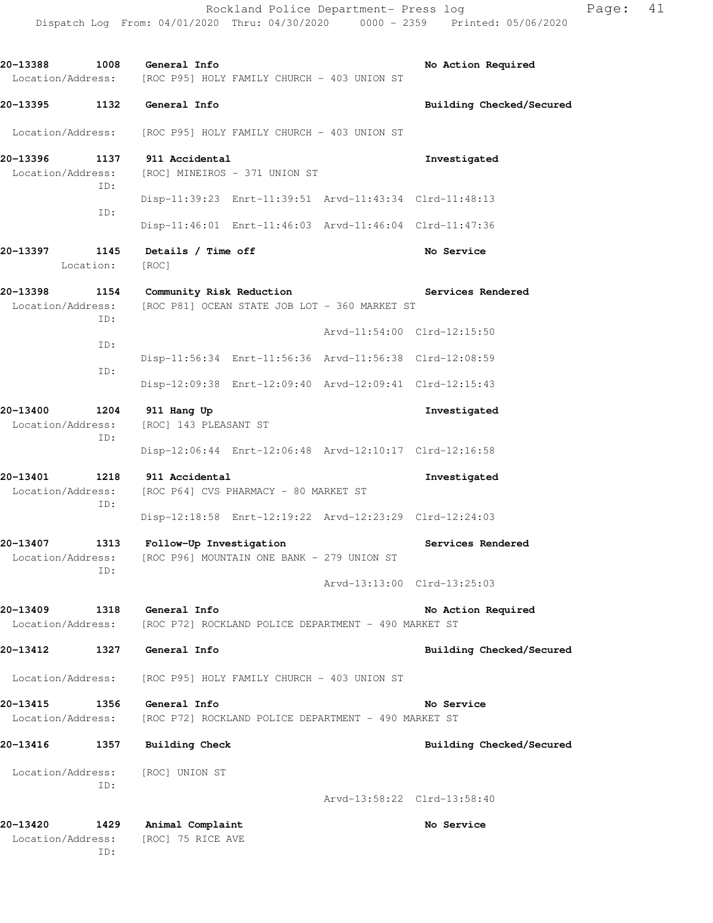| 20-13388 1008 General Info                   | Location/Address: [ROC P95] HOLY FAMILY CHURCH - 403 UNION ST                  | No Action Required          |
|----------------------------------------------|--------------------------------------------------------------------------------|-----------------------------|
| 20-13395<br>1132                             | General Info                                                                   | Building Checked/Secured    |
| Location/Address:                            | [ROC P95] HOLY FAMILY CHURCH - 403 UNION ST                                    |                             |
| 20-13396<br>Location/Address:<br>ID:         | 1137 911 Accidental<br>[ROC] MINEIROS - 371 UNION ST                           | Investigated                |
| ID:                                          | Disp-11:39:23 Enrt-11:39:51 Arvd-11:43:34 Clrd-11:48:13                        |                             |
|                                              | Disp-11:46:01 Enrt-11:46:03 Arvd-11:46:04 Clrd-11:47:36                        |                             |
| 20-13397<br>1145<br>Location:                | Details / Time off<br>[ROC]                                                    | No Service                  |
| 20-13398<br>Location/Address:<br>ID:         | 1154 Community Risk Reduction<br>[ROC P81] OCEAN STATE JOB LOT - 360 MARKET ST | Services Rendered           |
| ID:                                          |                                                                                | Arvd-11:54:00 Clrd-12:15:50 |
| ID:                                          | Disp-11:56:34 Enrt-11:56:36 Arvd-11:56:38 Clrd-12:08:59                        |                             |
|                                              | Disp-12:09:38 Enrt-12:09:40 Arvd-12:09:41 Clrd-12:15:43                        |                             |
| 20-13400<br>Location/Address:<br>ID:         | 1204 911 Hang Up<br>[ROC] 143 PLEASANT ST                                      | Investigated                |
|                                              | Disp-12:06:44 Enrt-12:06:48 Arvd-12:10:17 Clrd-12:16:58                        |                             |
| 20-13401<br>1218<br>Location/Address:<br>ID: | 911 Accidental<br>[ROC P64] CVS PHARMACY - 80 MARKET ST                        | Investigated                |
|                                              | Disp-12:18:58 Enrt-12:19:22 Arvd-12:23:29 Clrd-12:24:03                        |                             |
| 20-13407<br>Location/Address:<br>ID:         | 1313 Follow-Up Investigation<br>[ROC P96] MOUNTAIN ONE BANK - 279 UNION ST     | Services Rendered           |
|                                              |                                                                                | Arvd-13:13:00 Clrd-13:25:03 |
| 20-13409<br>1318<br>Location/Address:        | General Info<br>[ROC P72] ROCKLAND POLICE DEPARTMENT - 490 MARKET ST           | No Action Required          |
| 20-13412<br>1327                             | General Info                                                                   | Building Checked/Secured    |
| Location/Address:                            | [ROC P95] HOLY FAMILY CHURCH - 403 UNION ST                                    |                             |
| 20-13415<br>1356<br>Location/Address:        | General Info<br>[ROC P72] ROCKLAND POLICE DEPARTMENT - 490 MARKET ST           | No Service                  |
| 20-13416<br>1357                             | Building Check                                                                 | Building Checked/Secured    |
| Location/Address:<br>ID:                     | [ROC] UNION ST                                                                 |                             |
|                                              |                                                                                | Arvd-13:58:22 Clrd-13:58:40 |
| 20-13420<br>1429<br>Location/Address:<br>ID: | Animal Complaint<br>[ROC] 75 RICE AVE                                          | No Service                  |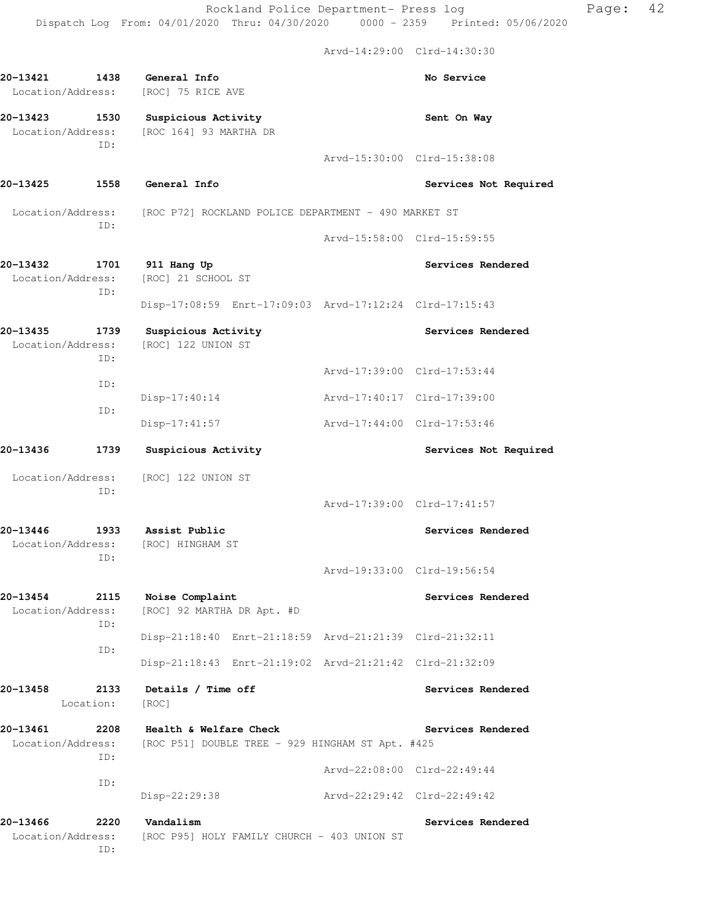Arvd-14:29:00 Clrd-14:30:30

**20-13421 1438 General Info No Service**  Location/Address: [ROC] 75 RICE AVE **20-13423 1530 Suspicious Activity Sent On Way**  Location/Address: [ROC 164] 93 MARTHA DR ID: Arvd-15:30:00 Clrd-15:38:08 **20-13425 1558 General Info Services Not Required**  Location/Address: [ROC P72] ROCKLAND POLICE DEPARTMENT - 490 MARKET ST ID: Arvd-15:58:00 Clrd-15:59:55 **20-13432 1701 911 Hang Up Services Rendered**  Location/Address: [ROC] 21 SCHOOL ST ID: Disp-17:08:59 Enrt-17:09:03 Arvd-17:12:24 Clrd-17:15:43 **20-13435 1739 Suspicious Activity Services Rendered**  Location/Address: [ROC] 122 UNION ST ID: Arvd-17:39:00 Clrd-17:53:44 ID: Disp-17:40:14 Arvd-17:40:17 Clrd-17:39:00 ID: Disp-17:41:57 Arvd-17:44:00 Clrd-17:53:46 20-13436 1739 Suspicious Activity **1786 1897 1898 Services Not Required** Location/Address: [ROC] 122 UNION ST ID: Arvd-17:39:00 Clrd-17:41:57 **20-13446 1933 Assist Public Services Rendered**  Location/Address: [ROC] HINGHAM ST ID: Arvd-19:33:00 Clrd-19:56:54 **20-13454 2115 Noise Complaint Services Rendered**  Location/Address: [ROC] 92 MARTHA DR Apt. #D ID: Disp-21:18:40 Enrt-21:18:59 Arvd-21:21:39 Clrd-21:32:11 ID: Disp-21:18:43 Enrt-21:19:02 Arvd-21:21:42 Clrd-21:32:09 **20-13458 2133 Details / Time off Services Rendered**  Location: [ROC] **20-13461 2208 Health & Welfare Check Services Rendered**  Location/Address: [ROC P51] DOUBLE TREE - 929 HINGHAM ST Apt. #425 ID: Arvd-22:08:00 Clrd-22:49:44 ID: Disp-22:29:38 Arvd-22:29:42 Clrd-22:49:42 **20-13466 2220 Vandalism Services Rendered**  Location/Address: [ROC P95] HOLY FAMILY CHURCH - 403 UNION ST ID: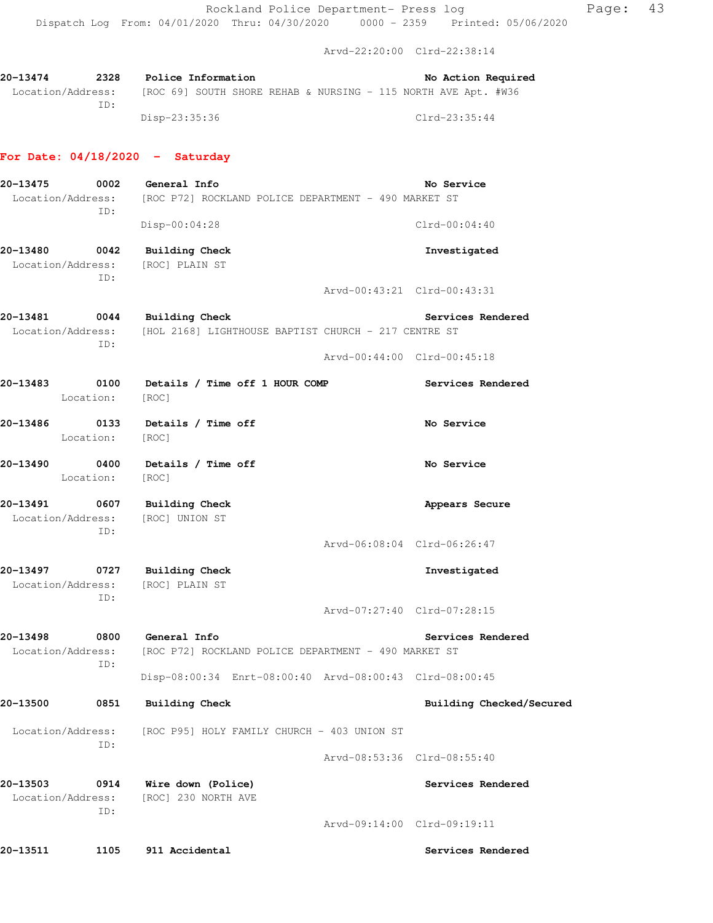Arvd-22:20:00 Clrd-22:38:14

| 20-13474          | 2328 | Police Information |  | No Action Required                                             |
|-------------------|------|--------------------|--|----------------------------------------------------------------|
| Location/Address: |      |                    |  | [ROC 69] SOUTH SHORE REHAB & NURSING - 115 NORTH AVE Apt. #W36 |
|                   | TD:  |                    |  |                                                                |
|                   |      | Disp-23:35:36      |  | Clrd-23:35:44                                                  |

# **For Date: 04/18/2020 - Saturday**

| 20-13475                           | 0002<br>ID:       | General Info<br>Location/Address: [ROC P72] ROCKLAND POLICE DEPARTMENT - 490 MARKET ST          |                             | No Service                  |
|------------------------------------|-------------------|-------------------------------------------------------------------------------------------------|-----------------------------|-----------------------------|
|                                    |                   | Disp-00:04:28                                                                                   |                             | $Clrd-00:04:40$             |
| 20-13480 0042                      | ID:               | <b>Building Check</b><br>Location/Address: [ROC] PLAIN ST                                       |                             | Investigated                |
|                                    |                   |                                                                                                 |                             | Arvd-00:43:21 Clrd-00:43:31 |
| 20-13481                           | 0044<br>ID:       | <b>Building Check</b><br>Location/Address: [HOL 2168] LIGHTHOUSE BAPTIST CHURCH - 217 CENTRE ST |                             | Services Rendered           |
|                                    |                   |                                                                                                 |                             | Arvd-00:44:00 Clrd-00:45:18 |
| 20-13483                           | 0100<br>Location: | Details / Time off 1 HOUR COMP<br>[ROC]                                                         |                             | Services Rendered           |
|                                    | Location: [ROC]   | 20-13486 0133 Details / Time off                                                                |                             | No Service                  |
| 20-13490                           |                   | 0400 Details / Time off<br>Location: [ROC]                                                      |                             | No Service                  |
| 20-13491 0607<br>Location/Address: | ID:               | <b>Building Check</b><br>[ROC] UNION ST                                                         |                             | Appears Secure              |
|                                    |                   |                                                                                                 | Arvd-06:08:04 Clrd-06:26:47 |                             |
| 20-13497 0727                      | ID:               | <b>Building Check</b><br>Location/Address: [ROC] PLAIN ST                                       |                             | Investigated                |
|                                    |                   |                                                                                                 |                             | Arvd-07:27:40 Clrd-07:28:15 |
| 20-13498<br>Location/Address:      | 0800<br>ID:       | General Info<br>[ROC P72] ROCKLAND POLICE DEPARTMENT - 490 MARKET ST                            |                             | Services Rendered           |
|                                    |                   | Disp-08:00:34 Enrt-08:00:40 Arvd-08:00:43 Clrd-08:00:45                                         |                             |                             |
| 20-13500                           | 0851              | <b>Building Check</b>                                                                           |                             | Building Checked/Secured    |
| Location/Address:                  | ID:               | [ROC P95] HOLY FAMILY CHURCH - 403 UNION ST                                                     |                             |                             |
|                                    |                   |                                                                                                 |                             | Arvd-08:53:36 Clrd-08:55:40 |
| 20-13503<br>Location/Address:      | 0914<br>ID:       | Wire down (Police)<br>[ROC] 230 NORTH AVE                                                       |                             | Services Rendered           |
|                                    |                   |                                                                                                 |                             | Arvd-09:14:00 Clrd-09:19:11 |
| 20-13511                           | 1105              | 911 Accidental                                                                                  |                             | Services Rendered           |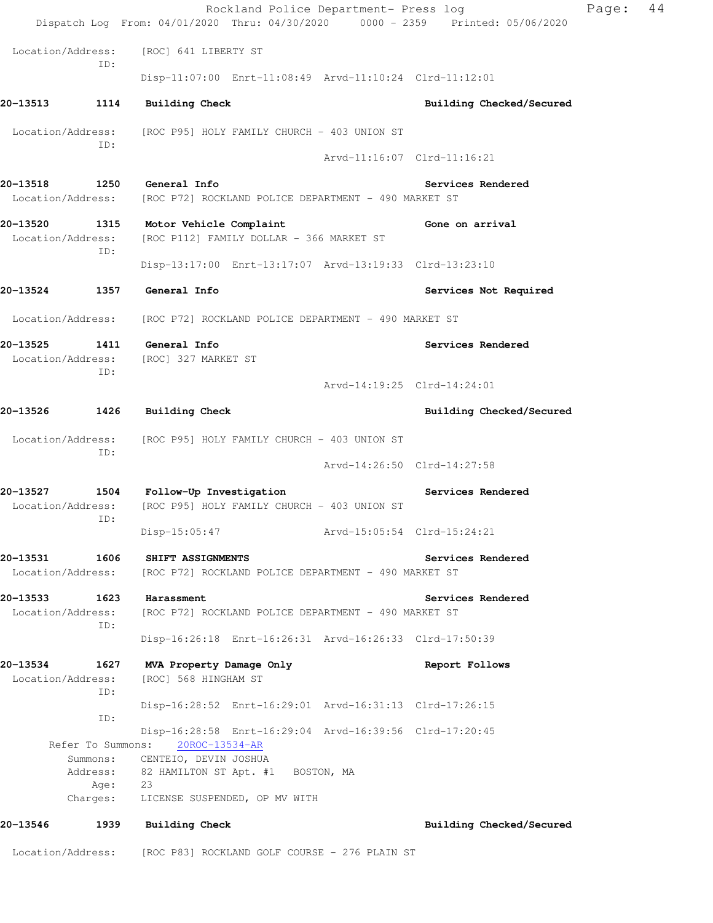|                               |                               | Rockland Police Department- Press log                                                      |                             |                             | Page: | 44 |
|-------------------------------|-------------------------------|--------------------------------------------------------------------------------------------|-----------------------------|-----------------------------|-------|----|
|                               |                               | Dispatch Log From: 04/01/2020 Thru: 04/30/2020 0000 - 2359 Printed: 05/06/2020             |                             |                             |       |    |
| Location/Address:             | TD:                           | [ROC] 641 LIBERTY ST                                                                       |                             |                             |       |    |
|                               |                               | Disp-11:07:00 Enrt-11:08:49 Arvd-11:10:24 Clrd-11:12:01                                    |                             |                             |       |    |
| 20-13513                      | 1114                          | <b>Building Check</b>                                                                      |                             | Building Checked/Secured    |       |    |
|                               |                               | Location/Address: [ROC P95] HOLY FAMILY CHURCH - 403 UNION ST                              |                             |                             |       |    |
|                               | ID:                           |                                                                                            | Arvd-11:16:07 Clrd-11:16:21 |                             |       |    |
| 20-13518                      |                               | General Info                                                                               |                             |                             |       |    |
| Location/Address:             | 1250                          | [ROC P72] ROCKLAND POLICE DEPARTMENT - 490 MARKET ST                                       |                             | Services Rendered           |       |    |
| 20-13520                      |                               | 1315 Motor Vehicle Complaint<br>Location/Address: [ROC P112] FAMILY DOLLAR - 366 MARKET ST |                             | Gone on arrival             |       |    |
|                               | ID:                           | Disp-13:17:00 Enrt-13:17:07 Arvd-13:19:33 Clrd-13:23:10                                    |                             |                             |       |    |
| 20-13524                      | 1357                          | General Info                                                                               |                             | Services Not Required       |       |    |
| Location/Address:             |                               | [ROC P72] ROCKLAND POLICE DEPARTMENT - 490 MARKET ST                                       |                             |                             |       |    |
| 20-13525                      | 1411                          | General Info                                                                               |                             | Services Rendered           |       |    |
| Location/Address:             | ID:                           | [ROC] 327 MARKET ST                                                                        |                             |                             |       |    |
|                               |                               |                                                                                            | Arvd-14:19:25 Clrd-14:24:01 |                             |       |    |
| 20-13526                      | 1426                          | <b>Building Check</b>                                                                      |                             | Building Checked/Secured    |       |    |
| Location/Address:             |                               | [ROC P95] HOLY FAMILY CHURCH - 403 UNION ST                                                |                             |                             |       |    |
|                               | ID:                           |                                                                                            |                             | Arvd-14:26:50 Clrd-14:27:58 |       |    |
| 20-13527                      | 1504                          | Follow-Up Investigation                                                                    |                             | Services Rendered           |       |    |
| Location/Address:             | ID:                           | [ROC P95] HOLY FAMILY CHURCH - 403 UNION ST                                                |                             |                             |       |    |
|                               |                               | Disp-15:05:47                                                                              | Arvd-15:05:54 Clrd-15:24:21 |                             |       |    |
| 20-13531                      | 1606                          | SHIFT ASSIGNMENTS                                                                          |                             | Services Rendered           |       |    |
| Location/Address:             |                               | [ROC P72] ROCKLAND POLICE DEPARTMENT - 490 MARKET ST                                       |                             |                             |       |    |
| 20-13533<br>Location/Address: | 1623                          | Harassment<br>[ROC P72] ROCKLAND POLICE DEPARTMENT - 490 MARKET ST                         |                             | Services Rendered           |       |    |
|                               | ID:                           | Disp-16:26:18 Enrt-16:26:31 Arvd-16:26:33 Clrd-17:50:39                                    |                             |                             |       |    |
| 20-13534                      | 1627                          | MVA Property Damage Only                                                                   |                             | Report Follows              |       |    |
| Location/Address:             |                               | [ROC] 568 HINGHAM ST                                                                       |                             |                             |       |    |
|                               | ID:                           | Disp-16:28:52 Enrt-16:29:01 Arvd-16:31:13 Clrd-17:26:15                                    |                             |                             |       |    |
|                               | ID:                           | Disp-16:28:58 Enrt-16:29:04 Arvd-16:39:56 Clrd-17:20:45                                    |                             |                             |       |    |
|                               | Refer To Summons:<br>Summons: | 20ROC-13534-AR<br>CENTEIO, DEVIN JOSHUA                                                    |                             |                             |       |    |
|                               | Address:                      | 82 HAMILTON ST Apt. #1 BOSTON, MA                                                          |                             |                             |       |    |
|                               | Age:<br>Charges:              | 23<br>LICENSE SUSPENDED, OP MV WITH                                                        |                             |                             |       |    |
| 20-13546                      | 1939                          | Building Check                                                                             |                             | Building Checked/Secured    |       |    |
| Location/Address:             |                               | [ROC P83] ROCKLAND GOLF COURSE - 276 PLAIN ST                                              |                             |                             |       |    |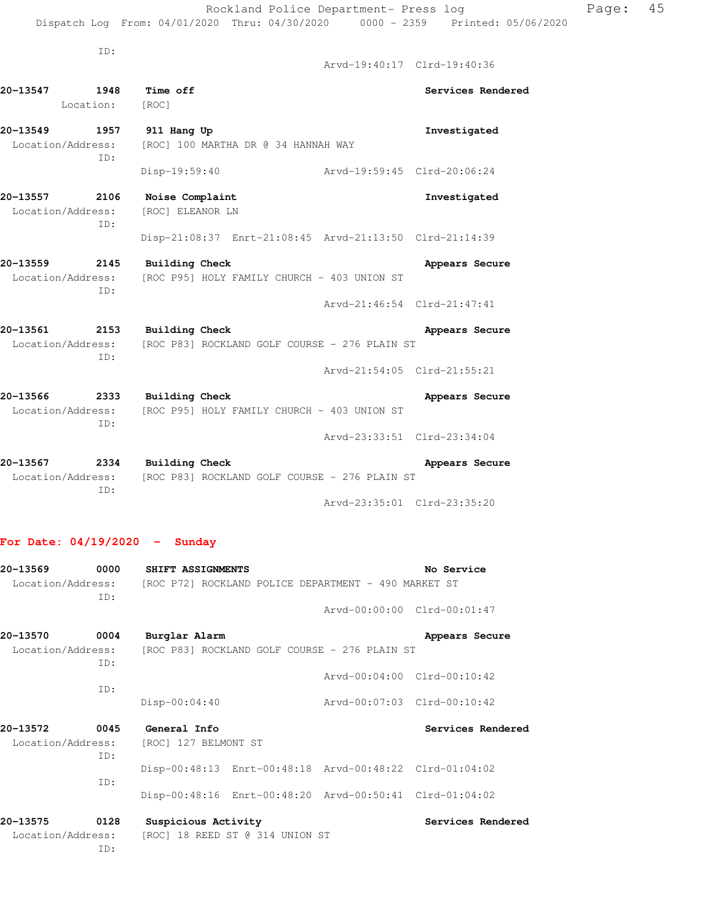Arvd-19:40:17 Clrd-19:40:36 **20-13547 1948 Time off Services Rendered**  Location: [ROC] **20-13549 1957 911 Hang Up Investigated**  Location/Address: [ROC] 100 MARTHA DR @ 34 HANNAH WAY ID: Disp-19:59:40 Arvd-19:59:45 Clrd-20:06:24 **20-13557 2106 Noise Complaint Investigated**  Location/Address: [ROC] ELEANOR LN ID: Disp-21:08:37 Enrt-21:08:45 Arvd-21:13:50 Clrd-21:14:39 20-13559 2145 Building Check **Appears Secure**  Location/Address: [ROC P95] HOLY FAMILY CHURCH - 403 UNION ST ID: Arvd-21:46:54 Clrd-21:47:41 **20-13561** 2153 Building Check **20-13561** Appears Secure Location/Address: [ROC P83] ROCKLAND GOLF COURSE - 276 PLAIN ST ID: Arvd-21:54:05 Clrd-21:55:21 **20-13566** 2333 Building Check **2001 Appears** Secure Location/Address: [ROC P95] HOLY FAMILY CHURCH - 403 UNION ST ID: Arvd-23:33:51 Clrd-23:34:04 **20-13567 2334 Building Check Appears Secure**  Location/Address: [ROC P83] ROCKLAND GOLF COURSE - 276 PLAIN ST ID: Arvd-23:35:01 Clrd-23:35:20

### **For Date: 04/19/2020 - Sunday**

ID:

| 20-13569<br>Location/Address: | 0000<br>ID: | SHIFT ASSIGNMENTS                    |                                 | [ROC P72] ROCKLAND POLICE DEPARTMENT - 490 MARKET ST    | No Service        |
|-------------------------------|-------------|--------------------------------------|---------------------------------|---------------------------------------------------------|-------------------|
|                               |             |                                      |                                 | Arvd-00:00:00 Clrd-00:01:47                             |                   |
| 20-13570<br>Location/Address: | 0004<br>ID: | Burglar Alarm                        |                                 | [ROC P83] ROCKLAND GOLF COURSE - 276 PLAIN ST           | Appears Secure    |
|                               | ID:         |                                      |                                 | Arvd-00:04:00 Clrd-00:10:42                             |                   |
|                               |             | $Disp-00:04:40$                      |                                 | Arvd-00:07:03 Clrd-00:10:42                             |                   |
| 20-13572<br>Location/Address: | 0045<br>TD: | General Info<br>[ROC] 127 BELMONT ST |                                 |                                                         | Services Rendered |
|                               | TD:         |                                      |                                 | Disp-00:48:13 Enrt-00:48:18 Arvd-00:48:22 Clrd-01:04:02 |                   |
| 20-13575                      | 0128        | Suspicious Activity                  |                                 | Disp-00:48:16 Enrt-00:48:20 Arvd-00:50:41 Clrd-01:04:02 | Services Rendered |
| Location/Address:             | ID:         |                                      | [ROC] 18 REED ST @ 314 UNION ST |                                                         |                   |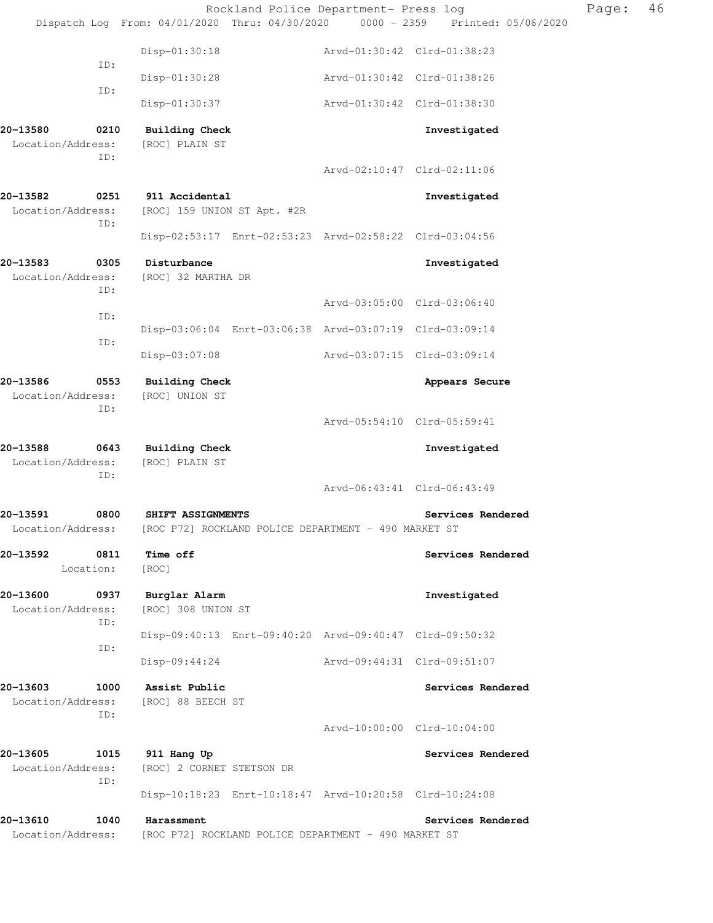|                               |             |                                               | Rockland Police Department- Press log                                          | Page: | 46 |
|-------------------------------|-------------|-----------------------------------------------|--------------------------------------------------------------------------------|-------|----|
|                               |             |                                               | Dispatch Log From: 04/01/2020 Thru: 04/30/2020 0000 - 2359 Printed: 05/06/2020 |       |    |
|                               | ID:         | Disp-01:30:18                                 | Arvd-01:30:42 Clrd-01:38:23                                                    |       |    |
|                               | ID:         | Disp-01:30:28                                 | Arvd-01:30:42 Clrd-01:38:26                                                    |       |    |
|                               |             | Disp-01:30:37                                 | Arvd-01:30:42 Clrd-01:38:30                                                    |       |    |
| 20-13580<br>Location/Address: | 0210<br>ID: | <b>Building Check</b><br>[ROC] PLAIN ST       | Investigated                                                                   |       |    |
|                               |             |                                               | Arvd-02:10:47 Clrd-02:11:06                                                    |       |    |
| 20-13582<br>Location/Address: | 0251<br>ID: | 911 Accidental<br>[ROC] 159 UNION ST Apt. #2R | Investigated                                                                   |       |    |
|                               |             |                                               | Disp-02:53:17 Enrt-02:53:23 Arvd-02:58:22 Clrd-03:04:56                        |       |    |
| 20-13583<br>Location/Address: | 0305<br>ID: | Disturbance<br>[ROC] 32 MARTHA DR             | Investigated                                                                   |       |    |
|                               | ID:         |                                               | Arvd-03:05:00 Clrd-03:06:40                                                    |       |    |
|                               |             |                                               | Disp-03:06:04 Enrt-03:06:38 Arvd-03:07:19 Clrd-03:09:14                        |       |    |
|                               | ID:         | Disp-03:07:08                                 | Arvd-03:07:15 Clrd-03:09:14                                                    |       |    |
| 20-13586<br>Location/Address: | 0553        | Building Check<br>[ROC] UNION ST              | Appears Secure                                                                 |       |    |
|                               | ID:         |                                               | Arvd-05:54:10 Clrd-05:59:41                                                    |       |    |
| 20-13588<br>Location/Address: | 0643<br>ID: | <b>Building Check</b><br>[ROC] PLAIN ST       | Investigated                                                                   |       |    |
|                               |             |                                               | Arvd-06:43:41 Clrd-06:43:49                                                    |       |    |
| 20-13591<br>Location/Address: | 0800        | SHIFT ASSIGNMENTS                             | Services Rendered<br>[ROC P72] ROCKLAND POLICE DEPARTMENT - 490 MARKET ST      |       |    |
| 20-13592<br>Location:         | 0811        | Time off<br>[ROC]                             | Services Rendered                                                              |       |    |
| 20-13600<br>Location/Address: | 0937<br>ID: | Burglar Alarm<br>[ROC] 308 UNION ST           | Investigated                                                                   |       |    |
|                               | ID:         |                                               | Disp-09:40:13 Enrt-09:40:20 Arvd-09:40:47 Clrd-09:50:32                        |       |    |
|                               |             | Disp-09:44:24                                 | Arvd-09:44:31 Clrd-09:51:07                                                    |       |    |
| 20-13603<br>Location/Address: | 1000<br>ID: | Assist Public<br>[ROC] 88 BEECH ST            | Services Rendered                                                              |       |    |
|                               |             |                                               | Arvd-10:00:00 Clrd-10:04:00                                                    |       |    |
| 20-13605<br>Location/Address: | 1015<br>ID: | 911 Hang Up<br>[ROC] 2 CORNET STETSON DR      | Services Rendered                                                              |       |    |
|                               |             |                                               | Disp-10:18:23 Enrt-10:18:47 Arvd-10:20:58 Clrd-10:24:08                        |       |    |
| 20-13610<br>Location/Address: | 1040        | Harassment                                    | Services Rendered<br>[ROC P72] ROCKLAND POLICE DEPARTMENT - 490 MARKET ST      |       |    |
|                               |             |                                               |                                                                                |       |    |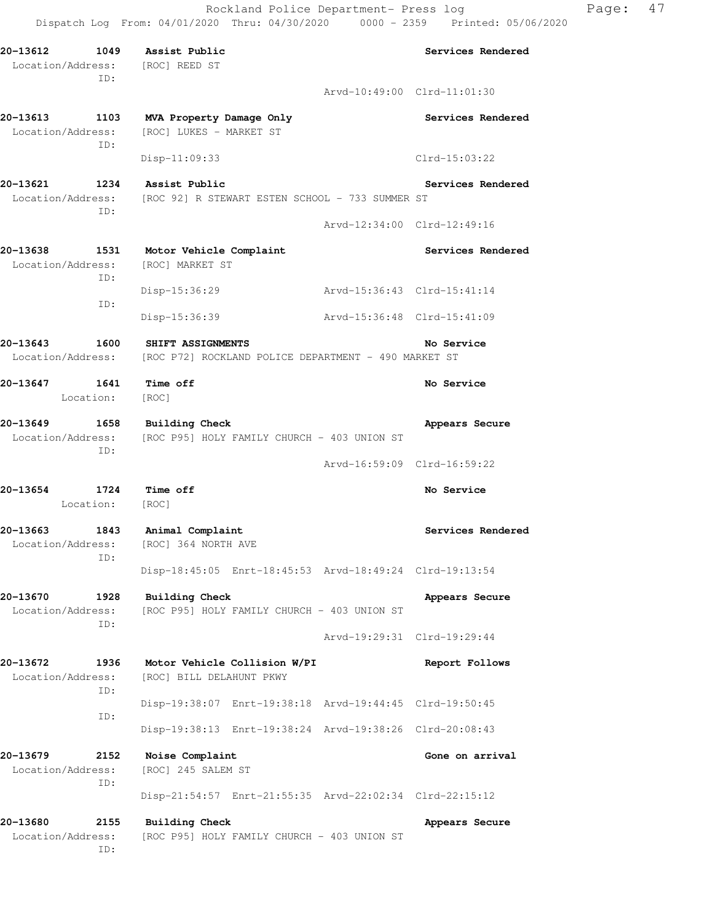**20-13612 1049 Assist Public Services Rendered**  Location/Address: [ROC] REED ST ID: Arvd-10:49:00 Clrd-11:01:30 20-13613 1103 MVA Property Damage Only **1200 1200 Services Rendered**  Location/Address: [ROC] LUKES - MARKET ST ID: Disp-11:09:33 Clrd-15:03:22 **20-13621 1234 Assist Public Services Rendered**  Location/Address: [ROC 92] R STEWART ESTEN SCHOOL - 733 SUMMER ST ID: Arvd-12:34:00 Clrd-12:49:16 20-13638 1531 Motor Vehicle Complaint **1888** Services Rendered Location/Address: [ROC] MARKET ST ID: Disp-15:36:29 Arvd-15:36:43 Clrd-15:41:14 ID: Disp-15:36:39 Arvd-15:36:48 Clrd-15:41:09 **20-13643 1600 SHIFT ASSIGNMENTS No Service**  Location/Address: [ROC P72] ROCKLAND POLICE DEPARTMENT - 490 MARKET ST **20-13647 1641 Time off No Service**  Location: [ROC] **20-13649 1658 Building Check Appears Secure**  Location/Address: [ROC P95] HOLY FAMILY CHURCH - 403 UNION ST ID: Arvd-16:59:09 Clrd-16:59:22 **20-13654 1724 Time off No Service**  Location: [ROC] **20-13663 1843 Animal Complaint Services Rendered**  Location/Address: [ROC] 364 NORTH AVE ID: Disp-18:45:05 Enrt-18:45:53 Arvd-18:49:24 Clrd-19:13:54 **20-13670 1928 Building Check Appears Secure**  Location/Address: [ROC P95] HOLY FAMILY CHURCH - 403 UNION ST ID: Arvd-19:29:31 Clrd-19:29:44 **20-13672 1936 Motor Vehicle Collision W/PI Report Follows**  Location/Address: [ROC] BILL DELAHUNT PKWY ID: Disp-19:38:07 Enrt-19:38:18 Arvd-19:44:45 Clrd-19:50:45 ID: Disp-19:38:13 Enrt-19:38:24 Arvd-19:38:26 Clrd-20:08:43 **20-13679 2152 Noise Complaint Gone on arrival**  Location/Address: [ROC] 245 SALEM ST ID: Disp-21:54:57 Enrt-21:55:35 Arvd-22:02:34 Clrd-22:15:12 20-13680 2155 Building Check **Appears Secure** Appears Secure Location/Address: [ROC P95] HOLY FAMILY CHURCH - 403 UNION ST

ID: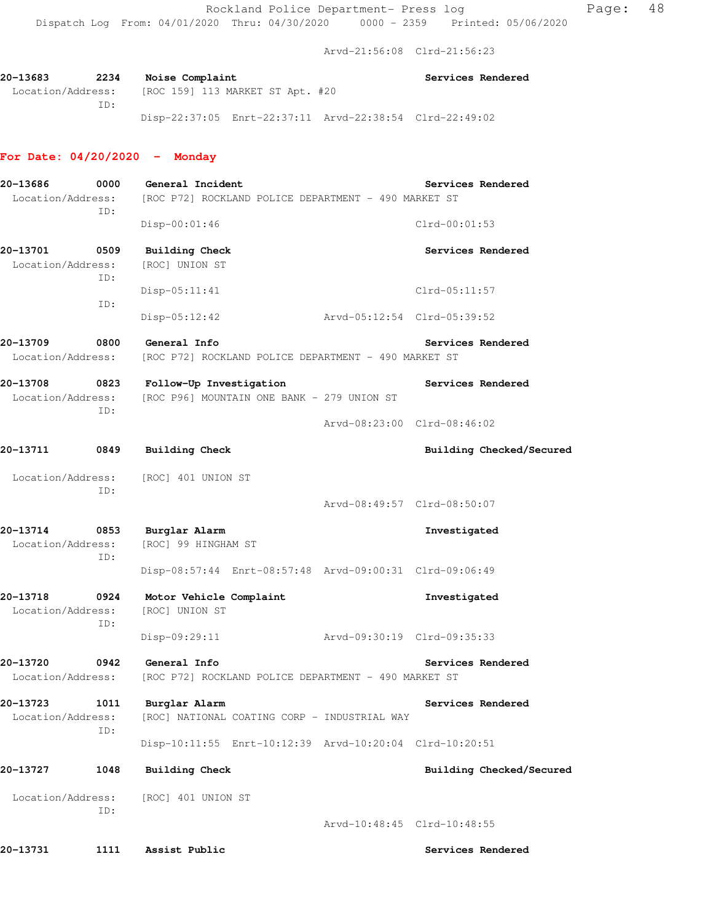Arvd-21:56:08 Clrd-21:56:23

20-13683 2234 Noise Complaint **Services Rendered Services** Rendered Location/Address: [ROC 159] 113 MARKET ST Apt. #20 ID: Disp-22:37:05 Enrt-22:37:11 Arvd-22:38:54 Clrd-22:49:02

### **For Date: 04/20/2020 - Monday**

| 20-13686<br>Location/Address:         | 0000<br>ID: | General Incident<br>Services Rendered<br>[ROC P72] ROCKLAND POLICE DEPARTMENT - 490 MARKET ST |                             |                          |  |  |
|---------------------------------------|-------------|-----------------------------------------------------------------------------------------------|-----------------------------|--------------------------|--|--|
|                                       |             | Disp-00:01:46                                                                                 |                             | $Clrd-00:01:53$          |  |  |
| 20-13701<br>0509<br>Location/Address: | ID:         | <b>Building Check</b><br>[ROC] UNION ST                                                       |                             | Services Rendered        |  |  |
|                                       | ID:         | $Disp-05:11:41$                                                                               |                             | $Clrd-05:11:57$          |  |  |
|                                       |             | Disp-05:12:42                                                                                 | Arvd-05:12:54 Clrd-05:39:52 |                          |  |  |
| 0800<br>20-13709<br>Location/Address: |             | General Info<br>[ROC P72] ROCKLAND POLICE DEPARTMENT - 490 MARKET ST                          |                             | Services Rendered        |  |  |
| 20-13708<br>Location/Address:<br>ID:  |             | 0823 Follow-Up Investigation<br>[ROC P96] MOUNTAIN ONE BANK - 279 UNION ST                    | Services Rendered           |                          |  |  |
|                                       |             |                                                                                               | Arvd-08:23:00 Clrd-08:46:02 |                          |  |  |
| 20-13711                              | 0849        | Building Check                                                                                |                             | Building Checked/Secured |  |  |
| Location/Address:                     | ID:         | [ROC] 401 UNION ST                                                                            |                             |                          |  |  |
|                                       |             |                                                                                               | Arvd-08:49:57 Clrd-08:50:07 |                          |  |  |
| 20-13714<br>Location/Address:         | ID:         | 0853 Burglar Alarm<br>[ROC] 99 HINGHAM ST                                                     |                             | Investigated             |  |  |
|                                       |             | Disp-08:57:44 Enrt-08:57:48 Arvd-09:00:31 Clrd-09:06:49                                       |                             |                          |  |  |
| 20-13718<br>0924<br>Location/Address: | ID:         | Motor Vehicle Complaint<br>[ROC] UNION ST                                                     |                             | Investigated             |  |  |
|                                       |             | Disp-09:29:11                                                                                 | Arvd-09:30:19 Clrd-09:35:33 |                          |  |  |
| 20-13720<br>Location/Address:         |             | 0942 General Info<br>[ROC P72] ROCKLAND POLICE DEPARTMENT - 490 MARKET ST                     |                             | Services Rendered        |  |  |
| 20-13723<br>Location/Address:         | 1011<br>ID: | Burglar Alarm<br>[ROC] NATIONAL COATING CORP - INDUSTRIAL WAY                                 |                             | Services Rendered        |  |  |
|                                       |             | Disp-10:11:55 Enrt-10:12:39 Arvd-10:20:04 Clrd-10:20:51                                       |                             |                          |  |  |
| 20-13727                              | 1048        | <b>Building Check</b>                                                                         |                             | Building Checked/Secured |  |  |
| Location/Address:                     | ID:         | [ROC] 401 UNION ST                                                                            |                             |                          |  |  |
|                                       |             |                                                                                               | Arvd-10:48:45 Clrd-10:48:55 |                          |  |  |
| 20–13731                              | 1111        | Assist Public                                                                                 |                             | Services Rendered        |  |  |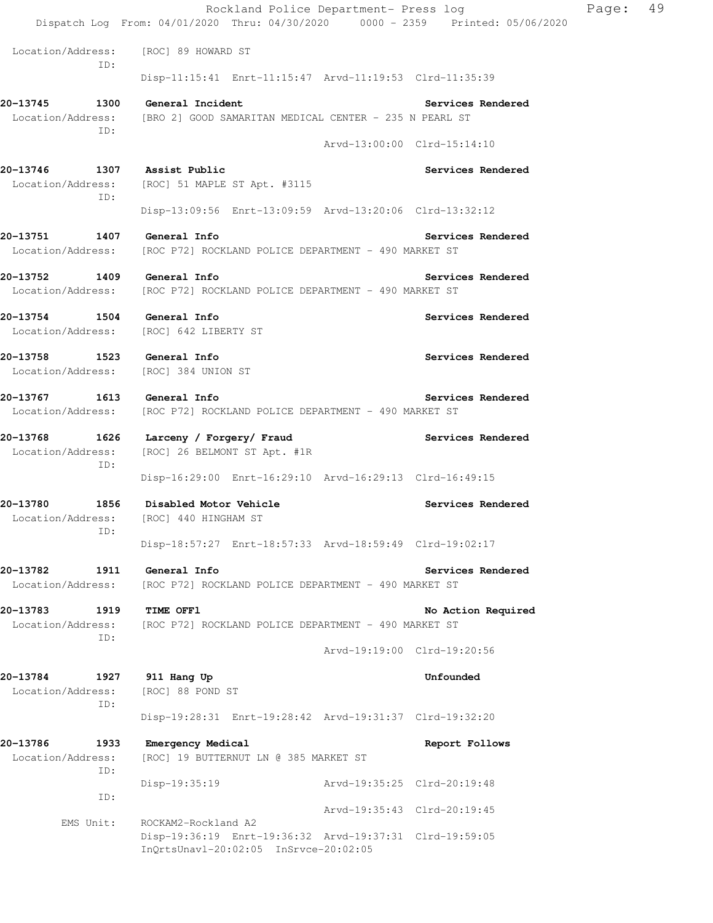|                                                 | Rockland Police Department- Press log                                                                                    |                             | Page: | 49 |
|-------------------------------------------------|--------------------------------------------------------------------------------------------------------------------------|-----------------------------|-------|----|
|                                                 | Dispatch Log From: 04/01/2020 Thru: 04/30/2020 0000 - 2359 Printed: 05/06/2020                                           |                             |       |    |
| ID:                                             | Location/Address: [ROC] 89 HOWARD ST                                                                                     |                             |       |    |
|                                                 | Disp-11:15:41 Enrt-11:15:47 Arvd-11:19:53 Clrd-11:35:39                                                                  |                             |       |    |
| 20-13745<br>1300<br>Location/Address:<br>ID:    | General Incident<br>[BRO 2] GOOD SAMARITAN MEDICAL CENTER - 235 N PEARL ST                                               | Services Rendered           |       |    |
|                                                 |                                                                                                                          | Arvd-13:00:00 Clrd-15:14:10 |       |    |
| 20-13746<br>1307<br>ID:                         | Assist Public<br>Location/Address: [ROC] 51 MAPLE ST Apt. #3115                                                          | Services Rendered           |       |    |
|                                                 | Disp-13:09:56 Enrt-13:09:59 Arvd-13:20:06 Clrd-13:32:12                                                                  |                             |       |    |
| 20-13751<br>Location/Address:                   | 1407 General Info<br>[ROC P72] ROCKLAND POLICE DEPARTMENT - 490 MARKET ST                                                | Services Rendered           |       |    |
| 20-13752 1409 General Info                      | Location/Address: [ROC P72] ROCKLAND POLICE DEPARTMENT - 490 MARKET ST                                                   | Services Rendered           |       |    |
| 20-13754 1504 General Info                      | Location/Address: [ROC] 642 LIBERTY ST                                                                                   | Services Rendered           |       |    |
| 20-13758 1523 General Info<br>Location/Address: | [ROC] 384 UNION ST                                                                                                       | Services Rendered           |       |    |
| 20-13767<br>Location/Address:                   | 1613 General Info<br>[ROC P72] ROCKLAND POLICE DEPARTMENT - 490 MARKET ST                                                | Services Rendered           |       |    |
| 20-13768<br>Location/Address:<br>ID:            | 1626 Larceny / Forgery/ Fraud<br>[ROC] 26 BELMONT ST Apt. #1R<br>Disp-16:29:00 Enrt-16:29:10 Arvd-16:29:13 Clrd-16:49:15 | Services Rendered           |       |    |
|                                                 |                                                                                                                          |                             |       |    |
| Location/Address:<br>ID:                        | 20-13780        1856     Disabled Motor Vehicle<br>[ROC] 440 HINGHAM ST                                                  | Services Rendered           |       |    |
|                                                 | Disp-18:57:27 Enrt-18:57:33 Arvd-18:59:49 Clrd-19:02:17                                                                  |                             |       |    |
| 20-13782<br>1911<br>Location/Address:           | General Info<br>[ROC P72] ROCKLAND POLICE DEPARTMENT - 490 MARKET ST                                                     | Services Rendered           |       |    |
| 20-13783<br>1919<br>Location/Address:<br>ID:    | TIME OFF1<br>[ROC P72] ROCKLAND POLICE DEPARTMENT - 490 MARKET ST                                                        | No Action Required          |       |    |
|                                                 |                                                                                                                          | Arvd-19:19:00 Clrd-19:20:56 |       |    |
| 20-13784<br>1927<br>Location/Address:<br>ID:    | 911 Hang Up<br>[ROC] 88 POND ST                                                                                          | Unfounded                   |       |    |
|                                                 | Disp-19:28:31 Enrt-19:28:42 Arvd-19:31:37 Clrd-19:32:20                                                                  |                             |       |    |
| 20-13786<br>1933<br>Location/Address:<br>ID:    | Emergency Medical<br>[ROC] 19 BUTTERNUT LN @ 385 MARKET ST                                                               | Report Follows              |       |    |
| ID:                                             | Disp-19:35:19                                                                                                            | Arvd-19:35:25 Clrd-20:19:48 |       |    |
| EMS Unit:                                       | ROCKAM2-Rockland A2                                                                                                      | Arvd-19:35:43 Clrd-20:19:45 |       |    |
|                                                 | Disp-19:36:19 Enrt-19:36:32 Arvd-19:37:31 Clrd-19:59:05<br>InQrtsUnavl-20:02:05 InSrvce-20:02:05                         |                             |       |    |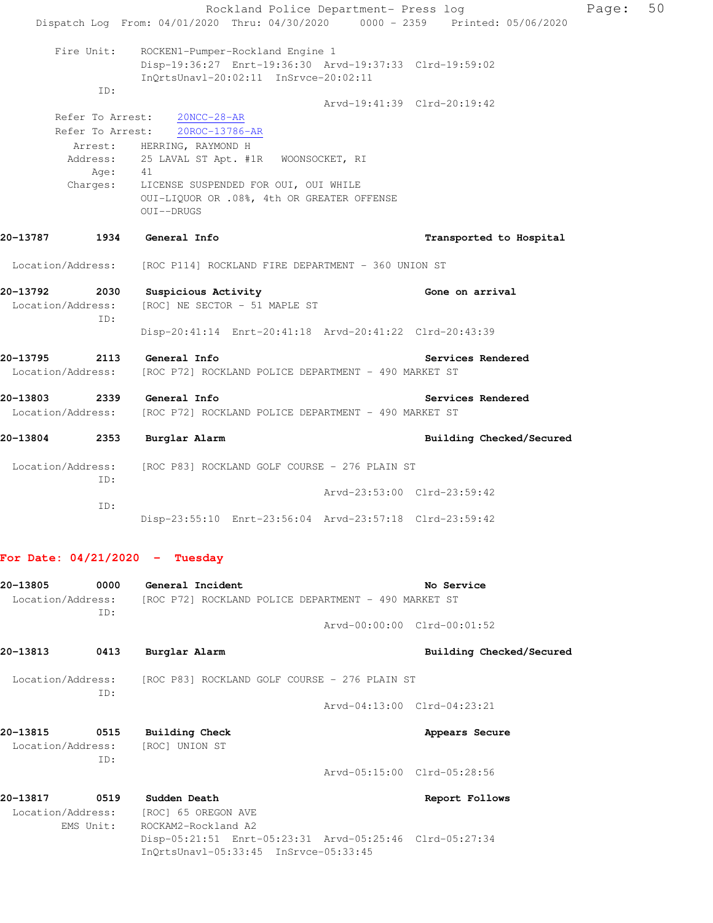Rockland Police Department- Press log Page: 50 Dispatch Log From: 04/01/2020 Thru: 04/30/2020 0000 - 2359 Printed: 05/06/2020 Fire Unit: ROCKEN1-Pumper-Rockland Engine 1 Disp-19:36:27 Enrt-19:36:30 Arvd-19:37:33 Clrd-19:59:02 InQrtsUnavl-20:02:11 InSrvce-20:02:11 ID: Arvd-19:41:39 Clrd-20:19:42 Refer To Arrest: 20NCC-28-AR Refer To Arrest: 20ROC-13786-AR Arrest: HERRING, RAYMOND H Address: 25 LAVAL ST Apt. #1R WOONSOCKET, RI Age: 41 Charges: LICENSE SUSPENDED FOR OUI, OUI WHILE OUI-LIQUOR OR .08%, 4th OR GREATER OFFENSE OUI--DRUGS **20-13787 1934 General Info Transported to Hospital**  Location/Address: [ROC P114] ROCKLAND FIRE DEPARTMENT - 360 UNION ST **20-13792 2030 Suspicious Activity Gone on arrival**  Location/Address: [ROC] NE SECTOR - 51 MAPLE ST ID: Disp-20:41:14 Enrt-20:41:18 Arvd-20:41:22 Clrd-20:43:39 **20-13795 2113 General Info Services Rendered**  Location/Address: [ROC P72] ROCKLAND POLICE DEPARTMENT - 490 MARKET ST **20-13803 2339 General Info Services Rendered**  Location/Address: [ROC P72] ROCKLAND POLICE DEPARTMENT - 490 MARKET ST **20-13804 2353 Burglar Alarm Building Checked/Secured**  Location/Address: [ROC P83] ROCKLAND GOLF COURSE - 276 PLAIN ST ID: Arvd-23:53:00 Clrd-23:59:42 ID: Disp-23:55:10 Enrt-23:56:04 Arvd-23:57:18 Clrd-23:59:42

# **For Date: 04/21/2020 - Tuesday**

| 20-13805                      | 0000        | General Incident                                                                                                        | No Service                          |
|-------------------------------|-------------|-------------------------------------------------------------------------------------------------------------------------|-------------------------------------|
|                               | TD:         | Location/Address: [ROC P72] ROCKLAND POLICE DEPARTMENT - 490 MARKET ST                                                  |                                     |
|                               |             |                                                                                                                         | $Arvd - 00:00:00$ $Clrd - 00:01:52$ |
| 20-13813                      | 0413        | Burglar Alarm                                                                                                           | Building Checked/Secured            |
|                               | TD:         | Location/Address: [ROC P83] ROCKLAND GOLF COURSE - 276 PLAIN ST                                                         |                                     |
|                               |             |                                                                                                                         | Arvd-04:13:00 Clrd-04:23:21         |
| 20-13815                      | 0515<br>TD: | <b>Building Check</b><br>Location/Address: [ROC] UNION ST                                                               | Appears Secure                      |
|                               |             |                                                                                                                         | Arvd-05:15:00 Clrd-05:28:56         |
| 20-13817<br>Location/Address: | 0519        | Sudden Death<br>[ROC] 65 OREGON AVE                                                                                     | Report Follows                      |
|                               | EMS Unit:   | ROCKAM2-Rockland A2<br>Disp-05:21:51 Enrt-05:23:31 Arvd-05:25:46 Clrd-05:27:34<br>InOrtsUnav1-05:33:45 InSrvce-05:33:45 |                                     |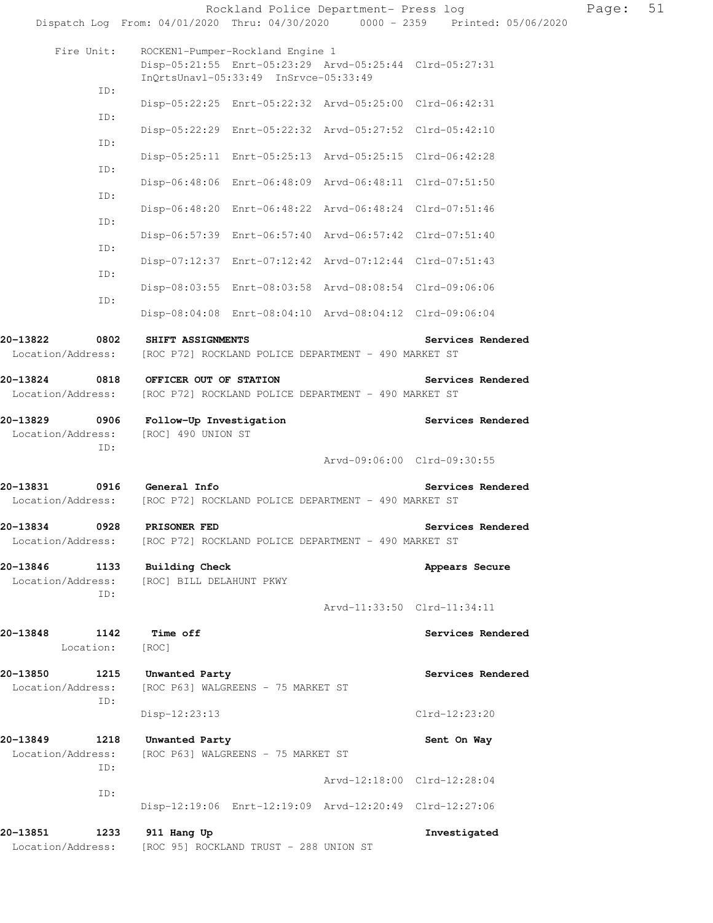|                               |                   | Rockland Police Department- Press log                                                                                                |                             | Page: | 51 |
|-------------------------------|-------------------|--------------------------------------------------------------------------------------------------------------------------------------|-----------------------------|-------|----|
|                               |                   | Dispatch Log From: 04/01/2020 Thru: 04/30/2020 0000 - 2359 Printed: 05/06/2020                                                       |                             |       |    |
|                               | Fire Unit:        | ROCKEN1-Pumper-Rockland Engine 1<br>Disp-05:21:55 Enrt-05:23:29 Arvd-05:25:44 Clrd-05:27:31<br>InQrtsUnavl-05:33:49 InSrvce-05:33:49 |                             |       |    |
|                               | ID:               | Disp-05:22:25 Enrt-05:22:32 Arvd-05:25:00 Clrd-06:42:31                                                                              |                             |       |    |
|                               | ID:               | Disp-05:22:29 Enrt-05:22:32 Arvd-05:27:52 Clrd-05:42:10                                                                              |                             |       |    |
|                               | ID:               | Disp-05:25:11 Enrt-05:25:13 Arvd-05:25:15 Clrd-06:42:28                                                                              |                             |       |    |
|                               | ID:               | Disp-06:48:06 Enrt-06:48:09 Arvd-06:48:11 Clrd-07:51:50                                                                              |                             |       |    |
|                               | ID:               | Disp-06:48:20 Enrt-06:48:22 Arvd-06:48:24 Clrd-07:51:46                                                                              |                             |       |    |
|                               | ID:               | Disp-06:57:39 Enrt-06:57:40 Arvd-06:57:42 Clrd-07:51:40                                                                              |                             |       |    |
|                               | ID:               | Disp-07:12:37 Enrt-07:12:42 Arvd-07:12:44 Clrd-07:51:43                                                                              |                             |       |    |
|                               | ID:               | Disp-08:03:55 Enrt-08:03:58 Arvd-08:08:54 Clrd-09:06:06                                                                              |                             |       |    |
|                               | ID:               | Disp-08:04:08 Enrt-08:04:10 Arvd-08:04:12 Clrd-09:06:04                                                                              |                             |       |    |
| 20-13822                      | 0802              | SHIFT ASSIGNMENTS                                                                                                                    | Services Rendered           |       |    |
| Location/Address:             |                   | [ROC P72] ROCKLAND POLICE DEPARTMENT - 490 MARKET ST                                                                                 |                             |       |    |
| 20-13824<br>Location/Address: | 0818              | OFFICER OUT OF STATION<br>[ROC P72] ROCKLAND POLICE DEPARTMENT - 490 MARKET ST                                                       | Services Rendered           |       |    |
| 20-13829<br>Location/Address: | 0906              | Follow-Up Investigation<br>[ROC] 490 UNION ST                                                                                        | Services Rendered           |       |    |
|                               | ID:               |                                                                                                                                      | Arvd-09:06:00 Clrd-09:30:55 |       |    |
| 20-13831                      |                   | 0916 General Info<br>Location/Address: [ROC P72] ROCKLAND POLICE DEPARTMENT - 490 MARKET ST                                          | Services Rendered           |       |    |
| 20-13834<br>Location/Address: | 0928              | PRISONER FED<br>[ROC P72] ROCKLAND POLICE DEPARTMENT - 490 MARKET ST                                                                 | Services Rendered           |       |    |
| 20-13846<br>Location/Address: | 1133<br>ID:       | <b>Building Check</b><br>[ROC] BILL DELAHUNT PKWY                                                                                    | Appears Secure              |       |    |
|                               |                   |                                                                                                                                      | Arvd-11:33:50 Clrd-11:34:11 |       |    |
| 20-13848                      | 1142<br>Location: | Time off<br>[ROC]                                                                                                                    | Services Rendered           |       |    |
| 20-13850<br>Location/Address: | 1215              | Unwanted Party<br>[ROC P63] WALGREENS - 75 MARKET ST                                                                                 | Services Rendered           |       |    |
|                               | ID:               | $Disp-12:23:13$                                                                                                                      | Clrd-12:23:20               |       |    |
| 20-13849<br>Location/Address: | 1218              | Unwanted Party<br>[ROC P63] WALGREENS - 75 MARKET ST                                                                                 | Sent On Way                 |       |    |
|                               | ID:               |                                                                                                                                      | Arvd-12:18:00 Clrd-12:28:04 |       |    |
|                               | ID:               | Disp-12:19:06 Enrt-12:19:09 Arvd-12:20:49 Clrd-12:27:06                                                                              |                             |       |    |
| 20-13851<br>Location/Address: | 1233              | 911 Hang Up<br>[ROC 95] ROCKLAND TRUST - 288 UNION ST                                                                                | Investigated                |       |    |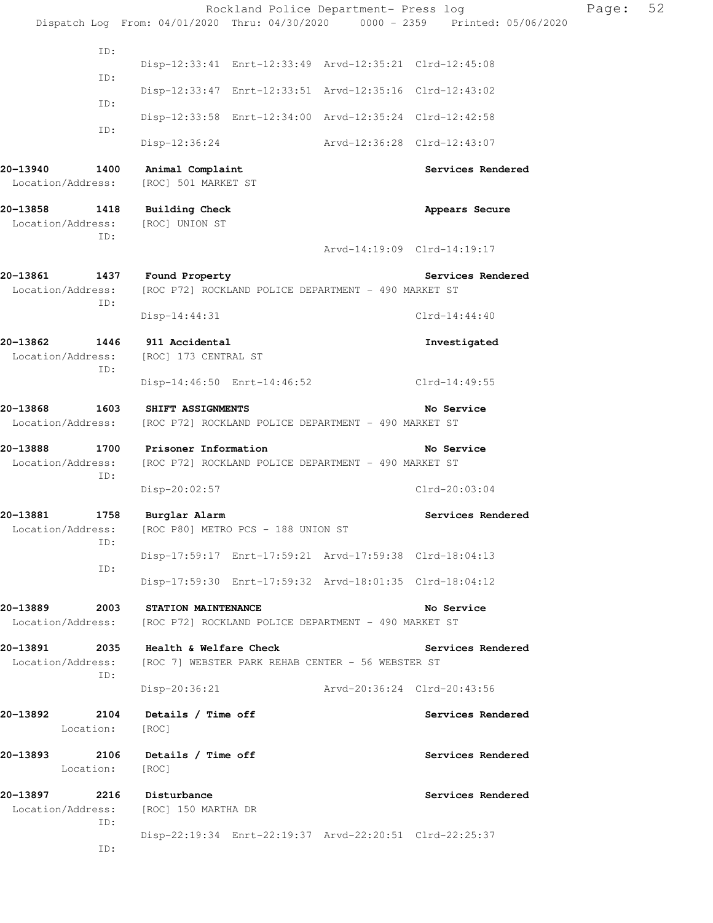|                                              |             |                                                                                             | Rockland Police Department- Press log                                          | Page: | 52 |
|----------------------------------------------|-------------|---------------------------------------------------------------------------------------------|--------------------------------------------------------------------------------|-------|----|
|                                              |             |                                                                                             | Dispatch Log From: 04/01/2020 Thru: 04/30/2020 0000 - 2359 Printed: 05/06/2020 |       |    |
|                                              | ID:<br>ID:  |                                                                                             | Disp-12:33:41 Enrt-12:33:49 Arvd-12:35:21 Clrd-12:45:08                        |       |    |
|                                              | ID:         |                                                                                             | Disp-12:33:47 Enrt-12:33:51 Arvd-12:35:16 Clrd-12:43:02                        |       |    |
|                                              | ID:         |                                                                                             | Disp-12:33:58 Enrt-12:34:00 Arvd-12:35:24 Clrd-12:42:58                        |       |    |
|                                              |             | Disp-12:36:24                                                                               | Arvd-12:36:28 Clrd-12:43:07                                                    |       |    |
| 20-13940<br>Location/Address:                | 1400        | Animal Complaint<br>[ROC] 501 MARKET ST                                                     | Services Rendered                                                              |       |    |
|                                              | ID:         | 20-13858 1418 Building Check<br>Location/Address: [ROC] UNION ST                            | Appears Secure                                                                 |       |    |
|                                              |             |                                                                                             | Arvd-14:19:09 Clrd-14:19:17                                                    |       |    |
| 20-13861<br>Location/Address:                | ID:         | 1437 Found Property<br>[ROC P72] ROCKLAND POLICE DEPARTMENT - 490 MARKET ST                 | Services Rendered                                                              |       |    |
|                                              |             | Disp-14:44:31                                                                               | $Clrd-14:44:40$                                                                |       |    |
| 20-13862 1446<br>Location/Address:           | ID:         | 911 Accidental<br>[ROC] 173 CENTRAL ST                                                      | Investigated                                                                   |       |    |
|                                              |             | Disp-14:46:50 Enrt-14:46:52                                                                 | $Clrd-14:49:55$                                                                |       |    |
| 20-13868<br>Location/Address:                |             | 1603 SHIFT ASSIGNMENTS<br>[ROC P72] ROCKLAND POLICE DEPARTMENT - 490 MARKET ST              | No Service                                                                     |       |    |
| 1700<br>20-13888<br>Location/Address:<br>ID: |             | Prisoner Information<br>[ROC P72] ROCKLAND POLICE DEPARTMENT - 490 MARKET ST                | No Service                                                                     |       |    |
|                                              |             | Disp-20:02:57                                                                               | $Clrd-20:03:04$                                                                |       |    |
| 20-13881<br>Location/Address:                | 1758<br>ID: | Burglar Alarm<br>[ROC P80] METRO PCS - 188 UNION ST                                         | Services Rendered                                                              |       |    |
|                                              | ID:         |                                                                                             | Disp-17:59:17 Enrt-17:59:21 Arvd-17:59:38 Clrd-18:04:13                        |       |    |
|                                              |             |                                                                                             | Disp-17:59:30 Enrt-17:59:32 Arvd-18:01:35 Clrd-18:04:12                        |       |    |
| Location/Address:                            |             | 20-13889 2003 STATION MAINTENANCE<br>[ROC P72] ROCKLAND POLICE DEPARTMENT - 490 MARKET ST   | No Service                                                                     |       |    |
| Location/Address:                            |             | $20-13891$ 2035 Health & Welfare Check<br>[ROC 7] WEBSTER PARK REHAB CENTER - 56 WEBSTER ST | Services Rendered                                                              |       |    |
|                                              | ID:         |                                                                                             | Disp-20:36:21 Arvd-20:36:24 Clrd-20:43:56                                      |       |    |
| 20-13892                                     | Location:   | 2104 Details / Time off<br>[ROC]                                                            | Services Rendered                                                              |       |    |
| 20-13893 2106                                | Location:   | Details / Time off<br>[ROC]                                                                 | Services Rendered                                                              |       |    |
| 20-13897<br>Location/Address:                | ID:         | 2216 Disturbance<br>[ROC] 150 MARTHA DR                                                     | Services Rendered                                                              |       |    |
|                                              | ID:         |                                                                                             | Disp-22:19:34 Enrt-22:19:37 Arvd-22:20:51 Clrd-22:25:37                        |       |    |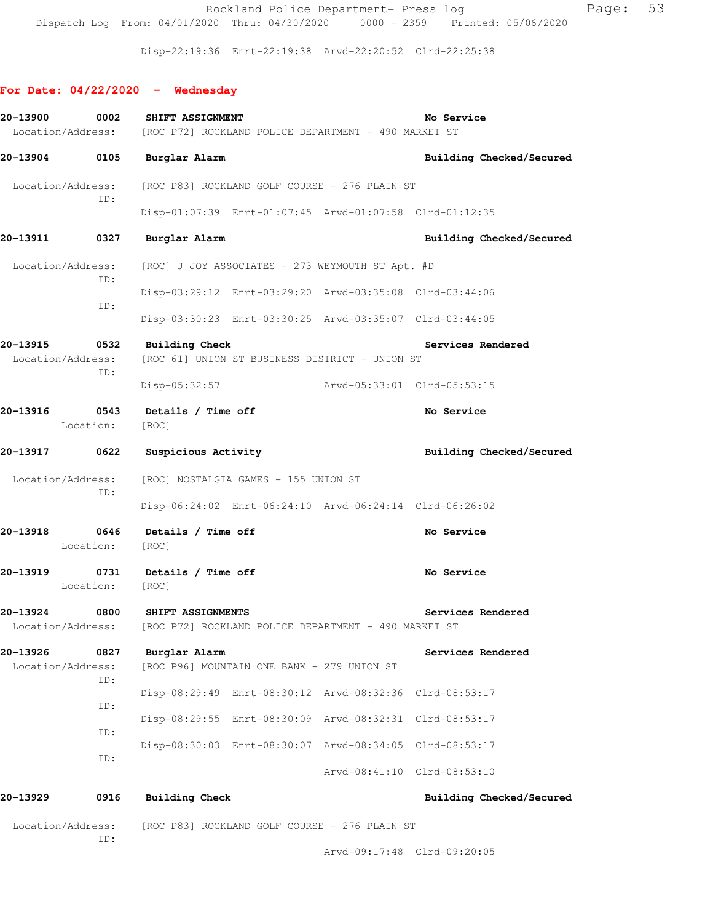Rockland Police Department- Press log Fage: 53 Dispatch Log From: 04/01/2020 Thru: 04/30/2020 0000 - 2359 Printed: 05/06/2020

Disp-22:19:36 Enrt-22:19:38 Arvd-22:20:52 Clrd-22:25:38

# **For Date: 04/22/2020 - Wednesday**

| 20-13900                      | 0002        | SHIFT ASSIGNMENT                                                                                          |                                            |                                                         | No Service                  |  |
|-------------------------------|-------------|-----------------------------------------------------------------------------------------------------------|--------------------------------------------|---------------------------------------------------------|-----------------------------|--|
|                               |             | Location/Address: [ROC P72] ROCKLAND POLICE DEPARTMENT - 490 MARKET ST                                    |                                            |                                                         |                             |  |
|                               |             | 20-13904 0105 Burglar Alarm                                                                               |                                            |                                                         | Building Checked/Secured    |  |
|                               | ID:         | Location/Address: [ROC P83] ROCKLAND GOLF COURSE - 276 PLAIN ST                                           |                                            |                                                         |                             |  |
|                               |             |                                                                                                           |                                            | Disp-01:07:39 Enrt-01:07:45 Arvd-01:07:58 Clrd-01:12:35 |                             |  |
| 20-13911                      | 0327        | Burglar Alarm                                                                                             |                                            |                                                         | Building Checked/Secured    |  |
| Location/Address:             | ID:         |                                                                                                           |                                            | [ROC] J JOY ASSOCIATES - 273 WEYMOUTH ST Apt. #D        |                             |  |
|                               |             |                                                                                                           |                                            | Disp-03:29:12 Enrt-03:29:20 Arvd-03:35:08 Clrd-03:44:06 |                             |  |
|                               | ID:         |                                                                                                           |                                            | Disp-03:30:23 Enrt-03:30:25 Arvd-03:35:07 Clrd-03:44:05 |                             |  |
| 20-13915<br>Location/Address: | ID:         | 0532 Building Check                                                                                       |                                            | [ROC 61] UNION ST BUSINESS DISTRICT - UNION ST          | Services Rendered           |  |
|                               |             |                                                                                                           |                                            | Disp-05:32:57 Arvd-05:33:01 Clrd-05:53:15               |                             |  |
|                               | Location:   | [ROC]                                                                                                     |                                            |                                                         | No Service                  |  |
| 20-13917 0622                 |             | <b>Suspicious Activity</b>                                                                                |                                            |                                                         | Building Checked/Secured    |  |
| Location/Address:<br>ID:      |             |                                                                                                           | [ROC] NOSTALGIA GAMES - 155 UNION ST       |                                                         |                             |  |
|                               |             |                                                                                                           |                                            | Disp-06:24:02 Enrt-06:24:10 Arvd-06:24:14 Clrd-06:26:02 |                             |  |
|                               | Location:   | 20-13918 0646 Details / Time off<br>[ROC]                                                                 |                                            |                                                         | No Service                  |  |
|                               | Location:   | 20-13919 0731 Details / Time off<br>[ROC]                                                                 |                                            |                                                         | No Service                  |  |
|                               |             | 20-13924 0800 SHIFT ASSIGNMENTS<br>Location/Address: [ROC P72] ROCKLAND POLICE DEPARTMENT - 490 MARKET ST |                                            |                                                         | Services Rendered           |  |
| 20-13926<br>Location/Address: | 0827<br>ID: | Burglar Alarm                                                                                             | [ROC P96] MOUNTAIN ONE BANK - 279 UNION ST |                                                         | Services Rendered           |  |
|                               |             |                                                                                                           |                                            | Disp-08:29:49 Enrt-08:30:12 Arvd-08:32:36 Clrd-08:53:17 |                             |  |
|                               | ID:         |                                                                                                           |                                            | Disp-08:29:55 Enrt-08:30:09 Arvd-08:32:31               | Clrd-08:53:17               |  |
|                               | ID:         |                                                                                                           |                                            | Disp-08:30:03 Enrt-08:30:07 Arvd-08:34:05 Clrd-08:53:17 |                             |  |
|                               | ID:         |                                                                                                           |                                            |                                                         | Arvd-08:41:10 Clrd-08:53:10 |  |
| 20-13929                      | 0916        | Building Check                                                                                            |                                            |                                                         | Building Checked/Secured    |  |
| Location/Address:             | ID:         |                                                                                                           |                                            | [ROC P83] ROCKLAND GOLF COURSE - 276 PLAIN ST           |                             |  |

Arvd-09:17:48 Clrd-09:20:05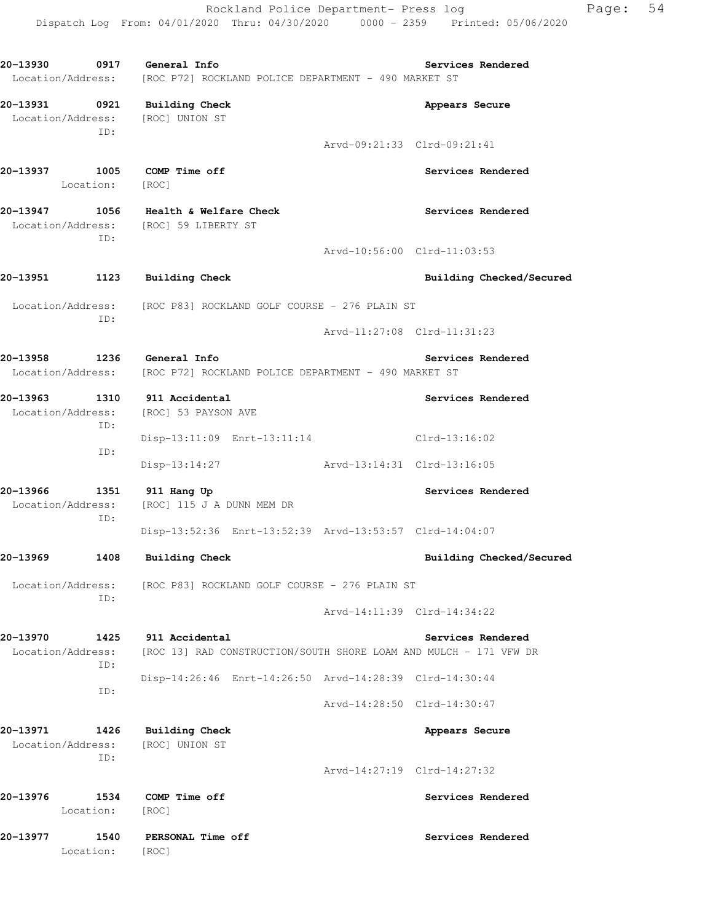Rockland Police Department- Press log Page: 54 Dispatch Log From: 04/01/2020 Thru: 04/30/2020 0000 - 2359 Printed: 05/06/2020

**20-13930 0917 General Info Services Rendered**  Location/Address: [ROC P72] ROCKLAND POLICE DEPARTMENT - 490 MARKET ST **20-13931 0921 Building Check Appears Secure**  Location/Address: [ROC] UNION ST ID: Arvd-09:21:33 Clrd-09:21:41 **20-13937 1005 COMP Time off Services Rendered**  Location: [ROC] **20-13947 1056 Health & Welfare Check Services Rendered**  Location/Address: [ROC] 59 LIBERTY ST ID: Arvd-10:56:00 Clrd-11:03:53 20-13951 1123 Building Check **Building Check Building Checked/Secured**  Location/Address: [ROC P83] ROCKLAND GOLF COURSE - 276 PLAIN ST ID: Arvd-11:27:08 Clrd-11:31:23 **20-13958 1236 General Info Services Rendered**  Location/Address: [ROC P72] ROCKLAND POLICE DEPARTMENT - 490 MARKET ST **20-13963 1310 911 Accidental Services Rendered**  Location/Address: [ROC] 53 PAYSON AVE ID: Disp-13:11:09 Enrt-13:11:14 Clrd-13:16:02 ID: Disp-13:14:27 Arvd-13:14:31 Clrd-13:16:05 **20-13966 1351 911 Hang Up Services Rendered**  Location/Address: [ROC] 115 J A DUNN MEM DR ID: Disp-13:52:36 Enrt-13:52:39 Arvd-13:53:57 Clrd-14:04:07 **20-13969 1408 Building Check Building Checked/Secured**  Location/Address: [ROC P83] ROCKLAND GOLF COURSE - 276 PLAIN ST ID: Arvd-14:11:39 Clrd-14:34:22 **20-13970 1425 911 Accidental Services Rendered**  Location/Address: [ROC 13] RAD CONSTRUCTION/SOUTH SHORE LOAM AND MULCH - 171 VFW DR ID: Disp-14:26:46 Enrt-14:26:50 Arvd-14:28:39 Clrd-14:30:44 ID: Arvd-14:28:50 Clrd-14:30:47 **20-13971 1426 Building Check Appears Secure**  Location/Address: [ROC] UNION ST ID: Arvd-14:27:19 Clrd-14:27:32 **20-13976 1534 COMP Time off Services Rendered**  Location: [ROC] **20-13977 1540 PERSONAL Time off Services Rendered**  Location: [ROC]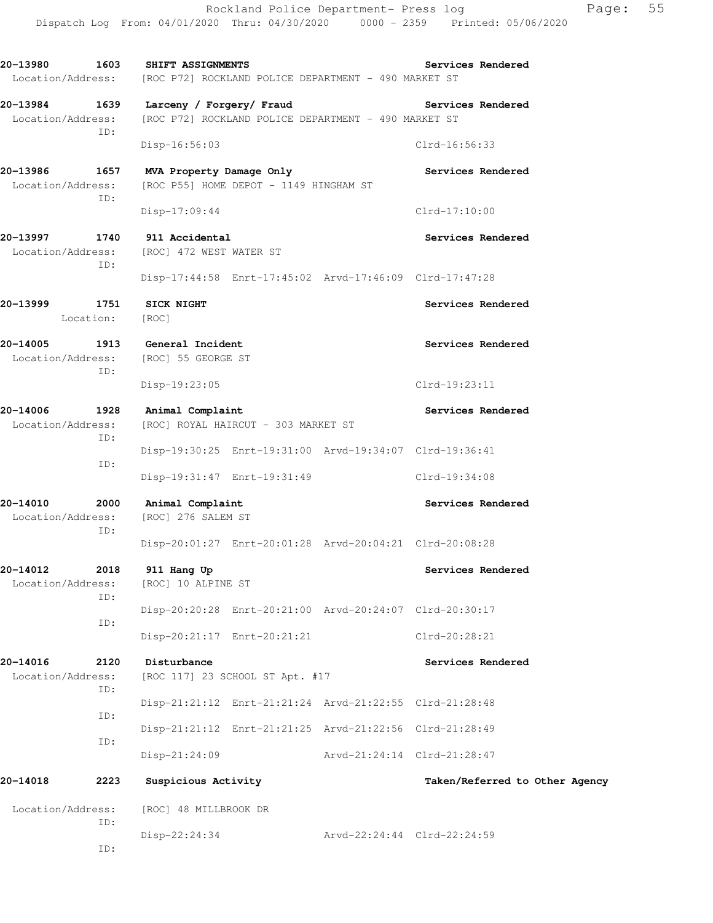**20-13980 1603 SHIFT ASSIGNMENTS Services Rendered**  Location/Address: [ROC P72] ROCKLAND POLICE DEPARTMENT - 490 MARKET ST **20-13984 1639 Larceny / Forgery/ Fraud Services Rendered**  Location/Address: [ROC P72] ROCKLAND POLICE DEPARTMENT - 490 MARKET ST ID: Disp-16:56:03 Clrd-16:56:33 20-13986 1657 MVA Property Damage Only **Services Rendered** Location/Address: [ROC P55] HOME DEPOT - 1149 HINGHAM ST ID: Disp-17:09:44 Clrd-17:10:00 **20-13997 1740 911 Accidental Services Rendered**  Location/Address: [ROC] 472 WEST WATER ST ID: Disp-17:44:58 Enrt-17:45:02 Arvd-17:46:09 Clrd-17:47:28 **20-13999 1751 SICK NIGHT Services Rendered**  Location: [ROC] **20-14005 1913 General Incident Services Rendered**  Location/Address: [ROC] 55 GEORGE ST ID: Disp-19:23:05 Clrd-19:23:11 **20-14006 1928 Animal Complaint Services Rendered**  Location/Address: [ROC] ROYAL HAIRCUT - 303 MARKET ST ID: Disp-19:30:25 Enrt-19:31:00 Arvd-19:34:07 Clrd-19:36:41 ID: Disp-19:31:47 Enrt-19:31:49 Clrd-19:34:08 **20-14010 2000 Animal Complaint Services Rendered**  Location/Address: [ROC] 276 SALEM ST ID: Disp-20:01:27 Enrt-20:01:28 Arvd-20:04:21 Clrd-20:08:28 **20-14012 2018 911 Hang Up Services Rendered**  Location/Address: [ROC] 10 ALPINE ST ID: Disp-20:20:28 Enrt-20:21:00 Arvd-20:24:07 Clrd-20:30:17 ID: Disp-20:21:17 Enrt-20:21:21 Clrd-20:28:21 **20-14016 2120 Disturbance Services Rendered**  Location/Address: [ROC 117] 23 SCHOOL ST Apt. #17 ID: Disp-21:21:12 Enrt-21:21:24 Arvd-21:22:55 Clrd-21:28:48 ID: Disp-21:21:12 Enrt-21:21:25 Arvd-21:22:56 Clrd-21:28:49 ID: Disp-21:24:09 Arvd-21:24:14 Clrd-21:28:47 **20-14018 2223 Suspicious Activity Taken/Referred to Other Agency** Location/Address: [ROC] 48 MILLBROOK DR ID: Disp-22:24:34 Arvd-22:24:44 Clrd-22:24:59

ID: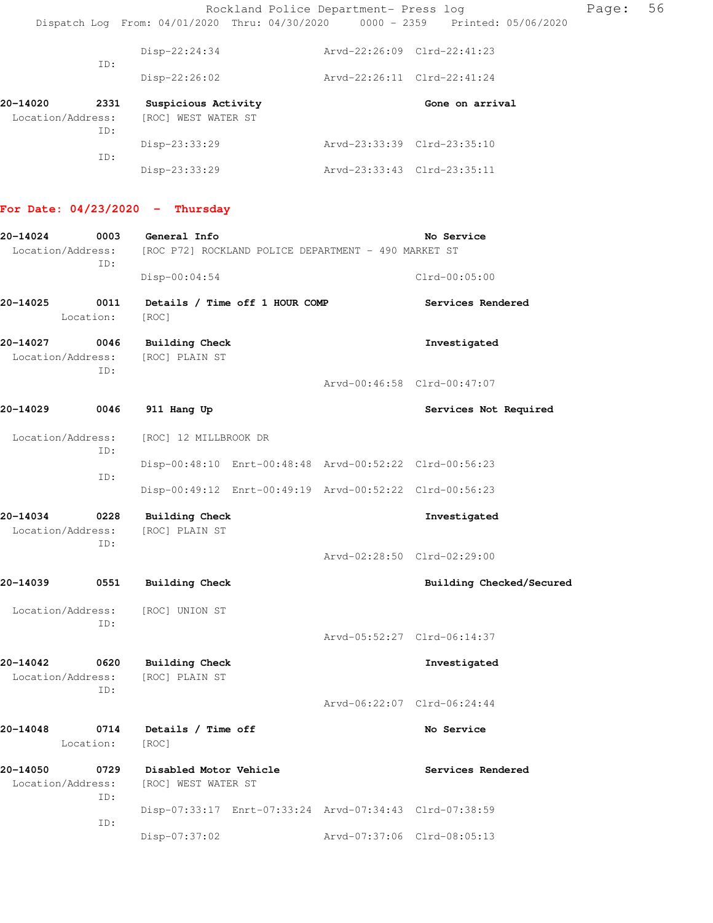### **For Date: 04/23/2020 - Thursday**

| 20-14024                              | 0003              | General Info                                  |                                |                                                         | No Service                  |  |
|---------------------------------------|-------------------|-----------------------------------------------|--------------------------------|---------------------------------------------------------|-----------------------------|--|
| Location/Address:                     | ID:               |                                               |                                | [ROC P72] ROCKLAND POLICE DEPARTMENT - 490 MARKET ST    |                             |  |
|                                       |                   | $Disp-00:04:54$                               |                                |                                                         | $Clrd-00:05:00$             |  |
| 20-14025                              | 0011<br>Location: | [ROC]                                         | Details / Time off 1 HOUR COMP |                                                         | Services Rendered           |  |
| 20-14027                              | 0046              | <b>Building Check</b>                         |                                |                                                         | Investigated                |  |
| Location/Address:                     | TD:               | [ROC] PLAIN ST                                |                                |                                                         |                             |  |
|                                       |                   |                                               |                                |                                                         | Arvd-00:46:58 Clrd-00:47:07 |  |
| 20-14029                              | 0046              | 911 Hang Up                                   |                                |                                                         | Services Not Required       |  |
| Location/Address:                     | ID:               | [ROC] 12 MILLBROOK DR                         |                                |                                                         |                             |  |
|                                       | ID:               |                                               |                                | Disp-00:48:10 Enrt-00:48:48 Arvd-00:52:22 Clrd-00:56:23 |                             |  |
|                                       |                   |                                               |                                | Disp-00:49:12 Enrt-00:49:19 Arvd-00:52:22 Clrd-00:56:23 |                             |  |
| 20-14034<br>Location/Address:         | 0228<br>ID:       | <b>Building Check</b><br>[ROC] PLAIN ST       |                                |                                                         | Investigated                |  |
|                                       |                   |                                               |                                |                                                         | Arvd-02:28:50 Clrd-02:29:00 |  |
| 20-14039                              | 0551              | <b>Building Check</b>                         |                                |                                                         | Building Checked/Secured    |  |
| Location/Address:                     | ID:               | [ROC] UNION ST                                |                                |                                                         |                             |  |
|                                       |                   |                                               |                                |                                                         | Arvd-05:52:27 Clrd-06:14:37 |  |
| 20-14042<br>0620<br>Location/Address: |                   | <b>Building Check</b><br>[ROC] PLAIN ST       |                                |                                                         | Investigated                |  |
|                                       | ID:               |                                               |                                |                                                         | Arvd-06:22:07 Clrd-06:24:44 |  |
| 20-14048                              | 0714<br>Location: | Details / Time off<br>[ROC]                   |                                |                                                         | No Service                  |  |
| 20-14050<br>Location/Address:         | 0729<br>ID:       | Disabled Motor Vehicle<br>[ROC] WEST WATER ST |                                |                                                         | Services Rendered           |  |
|                                       | ID:               |                                               |                                | Disp-07:33:17 Enrt-07:33:24 Arvd-07:34:43 Clrd-07:38:59 |                             |  |
|                                       |                   | Disp-07:37:02                                 |                                |                                                         | Arvd-07:37:06 Clrd-08:05:13 |  |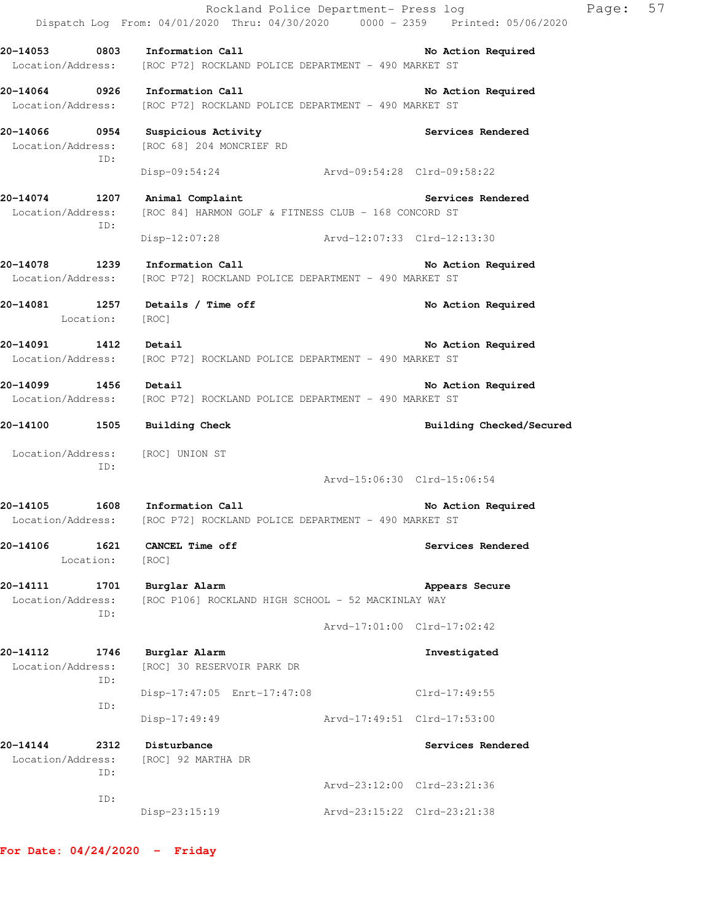|                               |                   |                                                                                                          | Page:<br>Rockland Police Department- Press log<br>Dispatch Log From: 04/01/2020 Thru: 04/30/2020 0000 - 2359 Printed: 05/06/2020 | 57 |
|-------------------------------|-------------------|----------------------------------------------------------------------------------------------------------|----------------------------------------------------------------------------------------------------------------------------------|----|
|                               |                   | 20-14053 0803 Information Call<br>Location/Address: [ROC P72] ROCKLAND POLICE DEPARTMENT - 490 MARKET ST | No Action Required                                                                                                               |    |
|                               |                   | 20-14064 0926 Information Call<br>Location/Address: [ROC P72] ROCKLAND POLICE DEPARTMENT - 490 MARKET ST | No Action Required                                                                                                               |    |
|                               | ID:               | 20-14066 0954 Suspicious Activity<br>Location/Address: [ROC 68] 204 MONCRIEF RD                          | Services Rendered                                                                                                                |    |
|                               |                   | Disp-09:54:24 Arvd-09:54:28 Clrd-09:58:22                                                                |                                                                                                                                  |    |
|                               | ID:               | 20-14074 1207 Animal Complaint<br>Location/Address: [ROC 84] HARMON GOLF & FITNESS CLUB - 168 CONCORD ST | Services Rendered                                                                                                                |    |
|                               |                   | Disp-12:07:28 Arvd-12:07:33 Clrd-12:13:30                                                                |                                                                                                                                  |    |
|                               |                   | 20-14078 1239 Information Call<br>Location/Address: [ROC P72] ROCKLAND POLICE DEPARTMENT - 490 MARKET ST | No Action Required                                                                                                               |    |
|                               | Location: [ROC]   | 20-14081 1257 Details / Time off                                                                         | No Action Required                                                                                                               |    |
| 20-14091 1412 Detail          |                   | Location/Address: [ROC P72] ROCKLAND POLICE DEPARTMENT - 490 MARKET ST                                   | No Action Required                                                                                                               |    |
| 20-14099 1456 Detail          |                   | Location/Address: [ROC P72] ROCKLAND POLICE DEPARTMENT - 490 MARKET ST                                   | No Action Required                                                                                                               |    |
|                               |                   | 20-14100 1505 Building Check                                                                             | Building Checked/Secured                                                                                                         |    |
|                               | ID:               | Location/Address: [ROC] UNION ST                                                                         |                                                                                                                                  |    |
|                               |                   |                                                                                                          | Arvd-15:06:30 Clrd-15:06:54                                                                                                      |    |
|                               |                   | 20-14105 1608 Information Call<br>Location/Address: [ROC P72] ROCKLAND POLICE DEPARTMENT - 490 MARKET ST | No Action Required                                                                                                               |    |
| 20-14106                      | 1621<br>Location: | <b>CANCEL Time off</b><br>[ROC]                                                                          | Services Rendered                                                                                                                |    |
| 20-14111<br>Location/Address: | 1701              | Burglar Alarm<br>[ROC P106] ROCKLAND HIGH SCHOOL - 52 MACKINLAY WAY                                      | Appears Secure                                                                                                                   |    |
|                               | ID:               |                                                                                                          | Arvd-17:01:00 Clrd-17:02:42                                                                                                      |    |
| 20-14112<br>Location/Address: | 1746              | Burglar Alarm<br>[ROC] 30 RESERVOIR PARK DR                                                              | Investigated                                                                                                                     |    |
|                               | ID:               | Disp-17:47:05 Enrt-17:47:08                                                                              | Clrd-17:49:55                                                                                                                    |    |
|                               | ID:               | $Disp-17:49:49$                                                                                          | Arvd-17:49:51 Clrd-17:53:00                                                                                                      |    |
| 20-14144<br>Location/Address: | 2312<br>ID:       | Disturbance<br>[ROC] 92 MARTHA DR                                                                        | Services Rendered                                                                                                                |    |
|                               |                   |                                                                                                          | Arvd-23:12:00 Clrd-23:21:36                                                                                                      |    |
|                               | ID:               | Disp-23:15:19                                                                                            | Arvd-23:15:22 Clrd-23:21:38                                                                                                      |    |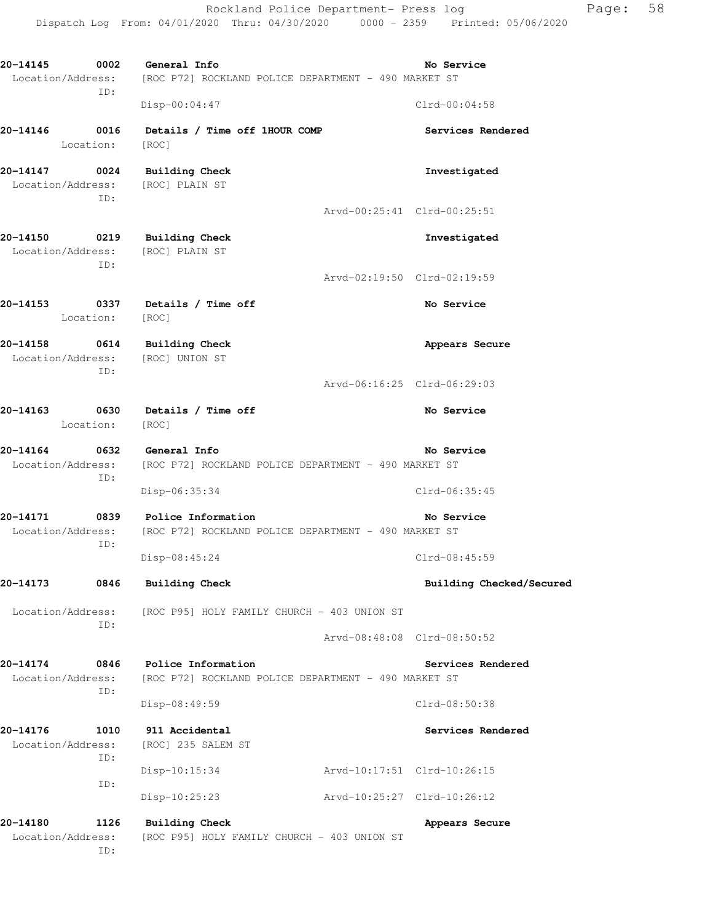**20-14145 0002 General Info No Service**  Location/Address: [ROC P72] ROCKLAND POLICE DEPARTMENT - 490 MARKET ST ID: Disp-00:04:47 Clrd-00:04:58 **20-14146 0016 Details / Time off 1HOUR COMP Services Rendered**  Location: [ROC] **20-14147 0024 Building Check Investigated**  Location/Address: [ROC] PLAIN ST ID: Arvd-00:25:41 Clrd-00:25:51 **20-14150 0219 Building Check Investigated**  Location/Address: [ROC] PLAIN ST ID: Arvd-02:19:50 Clrd-02:19:59 **20-14153 0337 Details / Time off No Service**  Location: [ROC] 20-14158 0614 Building Check **Appears Secure Appears** Secure Location/Address: [ROC] UNION ST ID: Arvd-06:16:25 Clrd-06:29:03 20-14163 0630 Details / Time off **No Service** Roman Report **No Service**  Location: [ROC] **20-14164 0632 General Info No Service**  Location/Address: [ROC P72] ROCKLAND POLICE DEPARTMENT - 490 MARKET ST ID: Disp-06:35:34 Clrd-06:35:45 **20-14171 0839 Police Information No Service**  Location/Address: [ROC P72] ROCKLAND POLICE DEPARTMENT - 490 MARKET ST ID: Disp-08:45:24 Clrd-08:45:59 **20-14173 0846 Building Check Building Checked/Secured**  Location/Address: [ROC P95] HOLY FAMILY CHURCH - 403 UNION ST ID: Arvd-08:48:08 Clrd-08:50:52 **20-14174 0846 Police Information Services Rendered**  Location/Address: [ROC P72] ROCKLAND POLICE DEPARTMENT - 490 MARKET ST ID: Disp-08:49:59 Clrd-08:50:38 **20-14176 1010 911 Accidental Services Rendered**  Location/Address: [ROC] 235 SALEM ST ID: Disp-10:15:34 Arvd-10:17:51 Clrd-10:26:15 ID: Disp-10:25:23 Arvd-10:25:27 Clrd-10:26:12 20-14180 1126 Building Check **Appears Secure** 

Dispatch Log From: 04/01/2020 Thru: 04/30/2020 0000 - 2359 Printed: 05/06/2020

 Location/Address: [ROC P95] HOLY FAMILY CHURCH - 403 UNION ST ID:

Rockland Police Department- Press log Fage: 58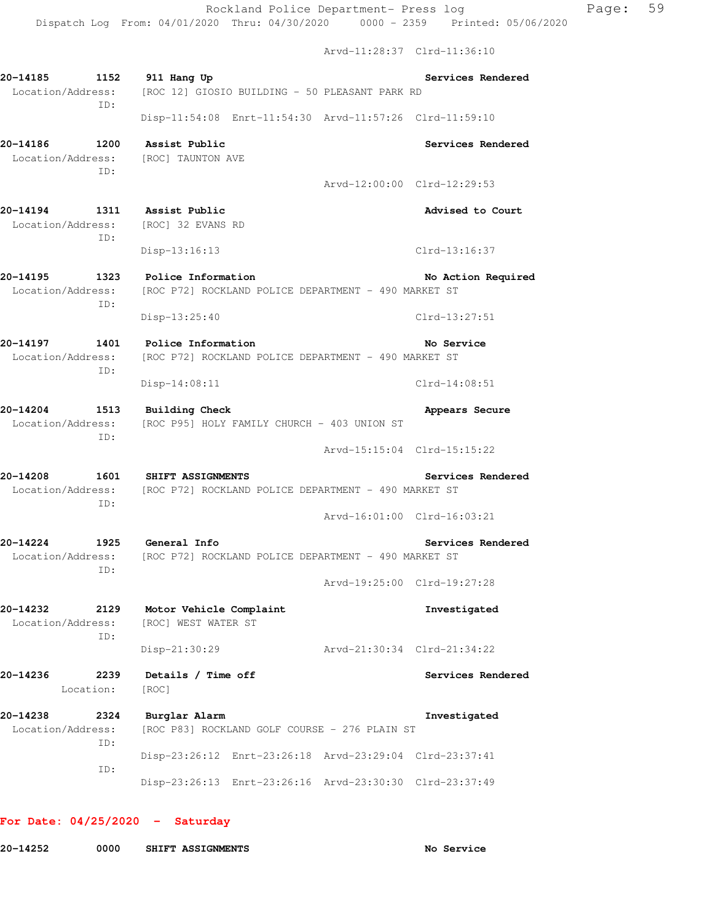Arvd-11:28:37 Clrd-11:36:10

**20-14185 1152 911 Hang Up Services Rendered**  Location/Address: [ROC 12] GIOSIO BUILDING - 50 PLEASANT PARK RD ID: Disp-11:54:08 Enrt-11:54:30 Arvd-11:57:26 Clrd-11:59:10 **20-14186 1200 Assist Public Services Rendered**  Location/Address: [ROC] TAUNTON AVE ID: Arvd-12:00:00 Clrd-12:29:53 **20-14194 1311 Assist Public Advised to Court**  Location/Address: [ROC] 32 EVANS RD ID: Disp-13:16:13 Clrd-13:16:37 20-14195 1323 Police Information **120 120 120 No Action Required**  Location/Address: [ROC P72] ROCKLAND POLICE DEPARTMENT - 490 MARKET ST ID: Disp-13:25:40 Clrd-13:27:51 **20-14197 1401 Police Information No Service**  Location/Address: [ROC P72] ROCKLAND POLICE DEPARTMENT - 490 MARKET ST ID: Disp-14:08:11 Clrd-14:08:51 **20-14204** 1513 Building Check **1999 1513** Building Check **Appears** Secure Location/Address: [ROC P95] HOLY FAMILY CHURCH - 403 UNION ST ID: Arvd-15:15:04 Clrd-15:15:22 **20-14208 1601 SHIFT ASSIGNMENTS Services Rendered**  Location/Address: [ROC P72] ROCKLAND POLICE DEPARTMENT - 490 MARKET ST ID: Arvd-16:01:00 Clrd-16:03:21 **20-14224 1925 General Info Services Rendered**  Location/Address: [ROC P72] ROCKLAND POLICE DEPARTMENT - 490 MARKET ST ID: Arvd-19:25:00 Clrd-19:27:28 **20-14232 2129 Motor Vehicle Complaint Investigated**  Location/Address: [ROC] WEST WATER ST ID: Disp-21:30:29 Arvd-21:30:34 Clrd-21:34:22 **20-14236 2239 Details / Time off Services Rendered**  Location: [ROC] **20-14238 2324 Burglar Alarm Investigated**  Location/Address: [ROC P83] ROCKLAND GOLF COURSE - 276 PLAIN ST ID: Disp-23:26:12 Enrt-23:26:18 Arvd-23:29:04 Clrd-23:37:41 ID: Disp-23:26:13 Enrt-23:26:16 Arvd-23:30:30 Clrd-23:37:49

#### **For Date: 04/25/2020 - Saturday**

| 20-14252 | 0000 | SHIFT ASSIGNMENTS |
|----------|------|-------------------|
|          |      |                   |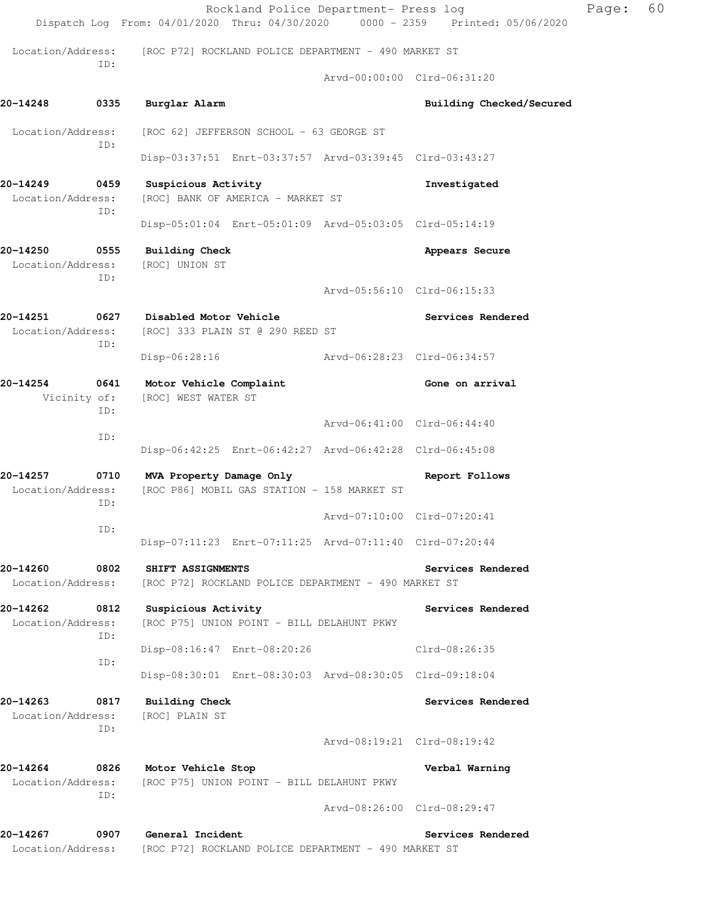|                                              |             |                                                                          |                                            | Rockland Police Department- Press log                   | Dispatch Log From: 04/01/2020 Thru: 04/30/2020 0000 - 2359 Printed: 05/06/2020 | Page: | 60 |
|----------------------------------------------|-------------|--------------------------------------------------------------------------|--------------------------------------------|---------------------------------------------------------|--------------------------------------------------------------------------------|-------|----|
| Location/Address:                            |             | [ROC P72] ROCKLAND POLICE DEPARTMENT - 490 MARKET ST                     |                                            |                                                         |                                                                                |       |    |
|                                              | ID:         |                                                                          |                                            |                                                         | Arvd-00:00:00 Clrd-06:31:20                                                    |       |    |
| 20-14248                                     | 0335        | Burglar Alarm                                                            |                                            |                                                         | Building Checked/Secured                                                       |       |    |
| Location/Address:                            | ID:         |                                                                          | [ROC 62] JEFFERSON SCHOOL - 63 GEORGE ST   |                                                         |                                                                                |       |    |
|                                              |             |                                                                          |                                            | Disp-03:37:51 Enrt-03:37:57 Arvd-03:39:45 Clrd-03:43:27 |                                                                                |       |    |
| 20-14249<br>Location/Address:                | 0459<br>ID: | Suspicious Activity<br>[ROC] BANK OF AMERICA - MARKET ST                 |                                            |                                                         | Investigated                                                                   |       |    |
|                                              |             |                                                                          |                                            | Disp-05:01:04 Enrt-05:01:09 Arvd-05:03:05 Clrd-05:14:19 |                                                                                |       |    |
| 20-14250<br>Location/Address:                | 0555<br>ID: | <b>Building Check</b><br>[ROC] UNION ST                                  |                                            |                                                         | Appears Secure                                                                 |       |    |
|                                              |             |                                                                          |                                            |                                                         | Arvd-05:56:10 Clrd-06:15:33                                                    |       |    |
| 20-14251<br>0627<br>Location/Address:<br>ID: |             | Disabled Motor Vehicle<br>[ROC] 333 PLAIN ST @ 290 REED ST               |                                            |                                                         | Services Rendered                                                              |       |    |
|                                              |             | $Disp-06:28:16$                                                          |                                            | Arvd-06:28:23 Clrd-06:34:57                             |                                                                                |       |    |
| 20-14254<br>0641<br>Vicinity of:<br>ID:      |             | Motor Vehicle Complaint<br>[ROC] WEST WATER ST                           |                                            |                                                         | Gone on arrival                                                                |       |    |
|                                              | ID:         |                                                                          |                                            |                                                         | Arvd-06:41:00 Clrd-06:44:40                                                    |       |    |
|                                              |             |                                                                          |                                            | Disp-06:42:25 Enrt-06:42:27 Arvd-06:42:28 Clrd-06:45:08 |                                                                                |       |    |
| 20-14257<br>Location/Address:                | 0710<br>ID: | MVA Property Damage Only                                                 |                                            | [ROC P86] MOBIL GAS STATION - 158 MARKET ST             | Report Follows                                                                 |       |    |
|                                              | ID:         |                                                                          |                                            |                                                         | Arvd-07:10:00 Clrd-07:20:41                                                    |       |    |
|                                              |             |                                                                          |                                            | Disp-07:11:23 Enrt-07:11:25 Arvd-07:11:40 Clrd-07:20:44 |                                                                                |       |    |
| 20-14260<br>Location/Address:                | 0802        | SHIFT ASSIGNMENTS                                                        |                                            | [ROC P72] ROCKLAND POLICE DEPARTMENT - 490 MARKET ST    | Services Rendered                                                              |       |    |
| 20-14262<br>Location/Address:                | 0812<br>ID: | Suspicious Activity                                                      | [ROC P75] UNION POINT - BILL DELAHUNT PKWY |                                                         | Services Rendered                                                              |       |    |
|                                              | ID:         | Disp-08:16:47 Enrt-08:20:26                                              |                                            |                                                         | Clrd-08:26:35                                                                  |       |    |
|                                              |             |                                                                          |                                            | Disp-08:30:01 Enrt-08:30:03 Arvd-08:30:05 Clrd-09:18:04 |                                                                                |       |    |
| 20-14263<br>Location/Address:                | 0817<br>ID: | <b>Building Check</b><br>[ROC] PLAIN ST                                  |                                            |                                                         | Services Rendered                                                              |       |    |
|                                              |             |                                                                          |                                            |                                                         | Arvd-08:19:21 Clrd-08:19:42                                                    |       |    |
| 20-14264<br>Location/Address:                | 0826<br>ID: | Motor Vehicle Stop                                                       | [ROC P75] UNION POINT - BILL DELAHUNT PKWY |                                                         | Verbal Warning                                                                 |       |    |
|                                              |             |                                                                          |                                            |                                                         | Arvd-08:26:00 Clrd-08:29:47                                                    |       |    |
| 20-14267<br>Location/Address:                | 0907        | General Incident<br>[ROC P72] ROCKLAND POLICE DEPARTMENT - 490 MARKET ST |                                            |                                                         | Services Rendered                                                              |       |    |
|                                              |             |                                                                          |                                            |                                                         |                                                                                |       |    |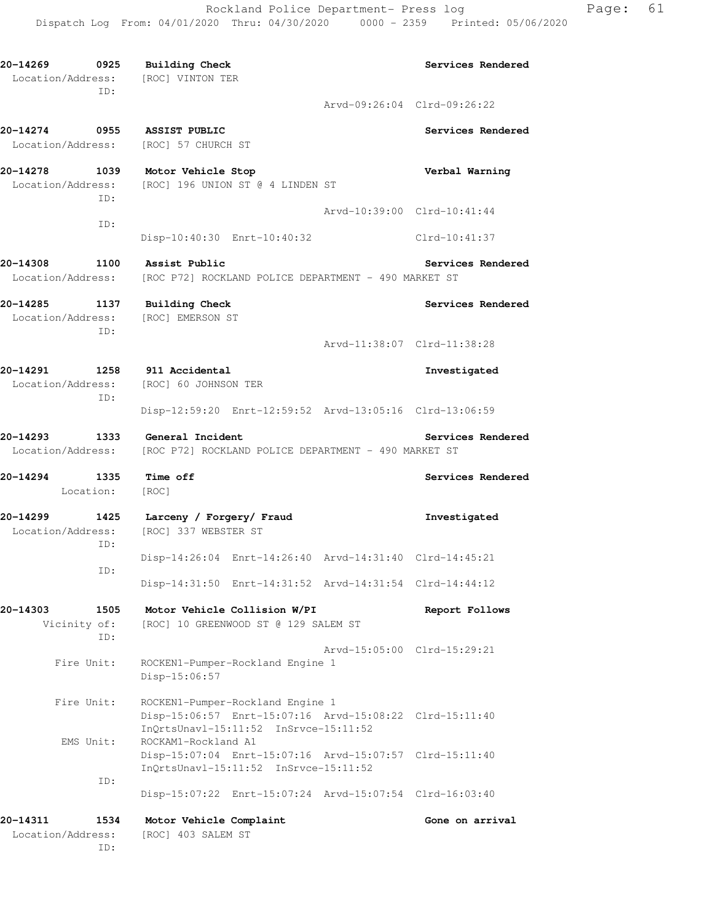**20-14269 0925 Building Check Services Rendered**  Location/Address: [ROC] VINTON TER ID: Arvd-09:26:04 Clrd-09:26:22 **20-14274 0955 ASSIST PUBLIC Services Rendered**  Location/Address: [ROC] 57 CHURCH ST **20-14278 1039 Motor Vehicle Stop Verbal Warning**  Location/Address: [ROC] 196 UNION ST @ 4 LINDEN ST ID: Arvd-10:39:00 Clrd-10:41:44 ID: Disp-10:40:30 Enrt-10:40:32 Clrd-10:41:37 **20-14308 1100 Assist Public Services Rendered**  Location/Address: [ROC P72] ROCKLAND POLICE DEPARTMENT - 490 MARKET ST **20-14285 1137 Building Check Services Rendered**  Location/Address: [ROC] EMERSON ST ID: Arvd-11:38:07 Clrd-11:38:28 **20-14291 1258 911 Accidental Investigated**  Location/Address: [ROC] 60 JOHNSON TER ID: Disp-12:59:20 Enrt-12:59:52 Arvd-13:05:16 Clrd-13:06:59 **20-14293 1333 General Incident Services Rendered**  Location/Address: [ROC P72] ROCKLAND POLICE DEPARTMENT - 490 MARKET ST **20-14294 1335 Time off Services Rendered**  Location: [ROC] **20-14299 1425 Larceny / Forgery/ Fraud Investigated**  Location/Address: [ROC] 337 WEBSTER ST ID: Disp-14:26:04 Enrt-14:26:40 Arvd-14:31:40 Clrd-14:45:21 ID: Disp-14:31:50 Enrt-14:31:52 Arvd-14:31:54 Clrd-14:44:12 **20-14303 1505 Motor Vehicle Collision W/PI Report Follows**  Vicinity of: [ROC] 10 GREENWOOD ST @ 129 SALEM ST ID: Arvd-15:05:00 Clrd-15:29:21 Fire Unit: ROCKEN1-Pumper-Rockland Engine 1 Disp-15:06:57 Fire Unit: ROCKEN1-Pumper-Rockland Engine 1 Disp-15:06:57 Enrt-15:07:16 Arvd-15:08:22 Clrd-15:11:40 InQrtsUnavl-15:11:52 InSrvce-15:11:52 EMS Unit: ROCKAM1-Rockland A1 Disp-15:07:04 Enrt-15:07:16 Arvd-15:07:57 Clrd-15:11:40 InQrtsUnavl-15:11:52 InSrvce-15:11:52 ID: Disp-15:07:22 Enrt-15:07:24 Arvd-15:07:54 Clrd-16:03:40 **20-14311 1534 Motor Vehicle Complaint Gone on arrival**  Location/Address: [ROC] 403 SALEM ST

ID: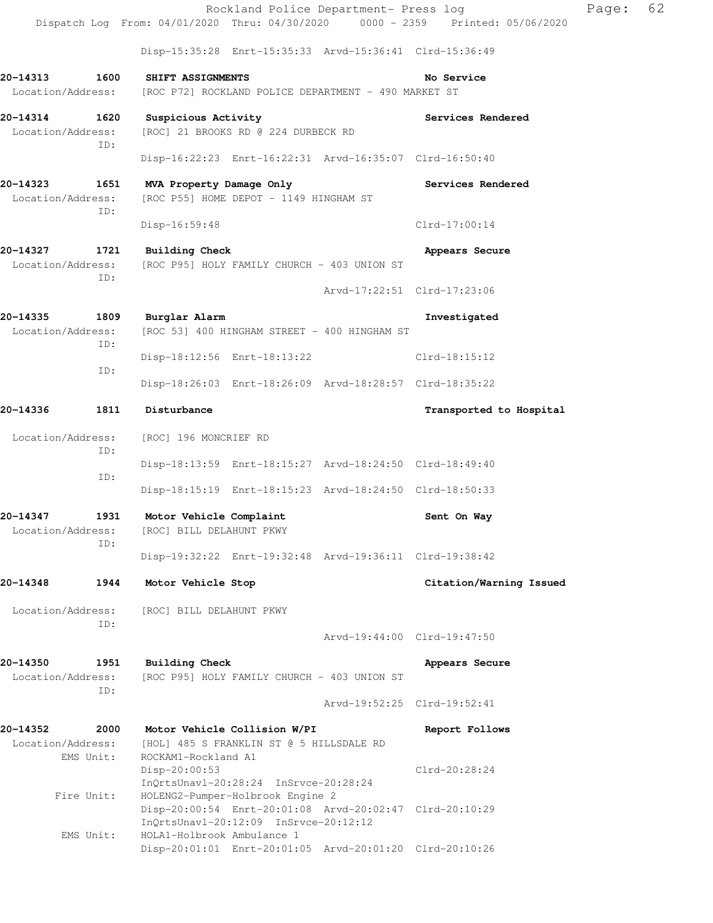Rockland Police Department- Press log Page: 62 Dispatch Log From: 04/01/2020 Thru: 04/30/2020 0000 - 2359 Printed: 05/06/2020 Disp-15:35:28 Enrt-15:35:33 Arvd-15:36:41 Clrd-15:36:49 **20-14313 1600 SHIFT ASSIGNMENTS No Service**  Location/Address: [ROC P72] ROCKLAND POLICE DEPARTMENT - 490 MARKET ST **20-14314 1620 Suspicious Activity Services Rendered**  Location/Address: [ROC] 21 BROOKS RD @ 224 DURBECK RD ID: Disp-16:22:23 Enrt-16:22:31 Arvd-16:35:07 Clrd-16:50:40 **20-14323 1651 MVA Property Damage Only Services Rendered**  Location/Address: [ROC P55] HOME DEPOT - 1149 HINGHAM ST ID: Disp-16:59:48 Clrd-17:00:14 **20-14327 1721 Building Check Appears Secure**  Location/Address: [ROC P95] HOLY FAMILY CHURCH - 403 UNION ST ID: Arvd-17:22:51 Clrd-17:23:06 **20-14335 1809 Burglar Alarm Investigated**  Location/Address: [ROC 53] 400 HINGHAM STREET - 400 HINGHAM ST ID: Disp-18:12:56 Enrt-18:13:22 Clrd-18:15:12 ID: Disp-18:26:03 Enrt-18:26:09 Arvd-18:28:57 Clrd-18:35:22 **20-14336 1811 Disturbance Transported to Hospital**  Location/Address: [ROC] 196 MONCRIEF RD ID: Disp-18:13:59 Enrt-18:15:27 Arvd-18:24:50 Clrd-18:49:40 ID: Disp-18:15:19 Enrt-18:15:23 Arvd-18:24:50 Clrd-18:50:33 20-14347 1931 Motor Vehicle Complaint **Sent On Way**  Location/Address: [ROC] BILL DELAHUNT PKWY ID: Disp-19:32:22 Enrt-19:32:48 Arvd-19:36:11 Clrd-19:38:42 **20-14348 1944 Motor Vehicle Stop Citation/Warning Issued**  Location/Address: [ROC] BILL DELAHUNT PKWY ID: Arvd-19:44:00 Clrd-19:47:50 **20-14350 1951 Building Check Appears Secure**  Location/Address: [ROC P95] HOLY FAMILY CHURCH - 403 UNION ST ID: Arvd-19:52:25 Clrd-19:52:41 **20-14352 2000 Motor Vehicle Collision W/PI Report Follows**  Location/Address: [HOL] 485 S FRANKLIN ST @ 5 HILLSDALE RD<br>EMS Unit: ROCKAM1-Rockland A1 ROCKAM1-Rockland A1 Disp-20:00:53 Clrd-20:28:24 InQrtsUnavl-20:28:24 InSrvce-20:28:24 Fire Unit: HOLENG2-Pumper-Holbrook Engine 2 Disp-20:00:54 Enrt-20:01:08 Arvd-20:02:47 Clrd-20:10:29 InQrtsUnavl-20:12:09 InSrvce-20:12:12 EMS Unit: HOLA1-Holbrook Ambulance 1 Disp-20:01:01 Enrt-20:01:05 Arvd-20:01:20 Clrd-20:10:26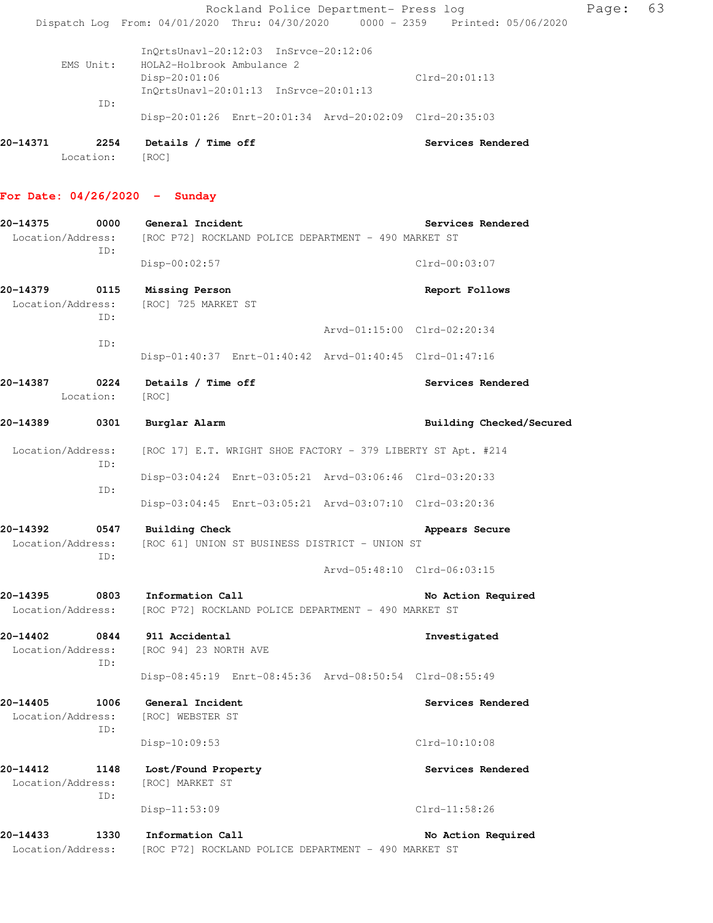Rockland Police Department- Press log Page: 63 Dispatch Log From: 04/01/2020 Thru: 04/30/2020 0000 - 2359 Printed: 05/06/2020 InQrtsUnavl-20:12:03 InSrvce-20:12:06 EMS Unit: HOLA2-Holbrook Ambulance 2 Disp-20:01:06 Clrd-20:01:13

Disp-20:01:26 Enrt-20:01:34 Arvd-20:02:09 Clrd-20:35:03

| 20-14371 | 2254            | Details / Time off | Services Rendered |  |
|----------|-----------------|--------------------|-------------------|--|
|          | Location: [ROC] |                    |                   |  |

InQrtsUnavl-20:01:13 InSrvce-20:01:13

### **For Date: 04/26/2020 - Sunday**

ID:

| 20-14375 | 0000                             | General Incident                                                       | Services Rendered           |
|----------|----------------------------------|------------------------------------------------------------------------|-----------------------------|
|          | Location/Address:<br>ID:         | [ROC P72] ROCKLAND POLICE DEPARTMENT - 490 MARKET ST                   |                             |
|          |                                  | Disp-00:02:57                                                          | $Clrd-00:03:07$             |
| 20-14379 | 0115<br>Location/Address:<br>ID: | Missing Person<br>[ROC] 725 MARKET ST                                  | Report Follows              |
|          |                                  |                                                                        | Arvd-01:15:00 Clrd-02:20:34 |
|          | ID:                              | Disp-01:40:37 Enrt-01:40:42 Arvd-01:40:45 Clrd-01:47:16                |                             |
| 20-14387 | $\overline{0224}$<br>Location:   | Details / Time off<br>[ROC]                                            | Services Rendered           |
| 20-14389 | 0301                             | Burglar Alarm                                                          | Building Checked/Secured    |
|          | Location/Address:<br>ID:         | [ROC 17] E.T. WRIGHT SHOE FACTORY - 379 LIBERTY ST Apt. #214           |                             |
|          | ID:                              | Disp-03:04:24 Enrt-03:05:21 Arvd-03:06:46 Clrd-03:20:33                |                             |
|          |                                  | Disp-03:04:45 Enrt-03:05:21 Arvd-03:07:10 Clrd-03:20:36                |                             |
| 20-14392 | 0547                             | <b>Building Check</b>                                                  | Appears Secure              |
|          | Location/Address:<br>ID:         | [ROC 61] UNION ST BUSINESS DISTRICT - UNION ST                         |                             |
|          |                                  |                                                                        | Arvd-05:48:10 Clrd-06:03:15 |
| 20-14395 | 0803                             | Information Call                                                       | No Action Required          |
|          |                                  | Location/Address: [ROC P72] ROCKLAND POLICE DEPARTMENT - 490 MARKET ST |                             |
| 20-14402 | 0844                             | 911 Accidental                                                         | Investigated                |
|          | Location/Address:<br>ID:         | [ROC 94] 23 NORTH AVE                                                  |                             |
|          |                                  | Disp-08:45:19 Enrt-08:45:36 Arvd-08:50:54 Clrd-08:55:49                |                             |
| 20-14405 | 1006                             | General Incident                                                       | Services Rendered           |
|          | Location/Address:<br>ID:         | [ROC] WEBSTER ST                                                       |                             |
|          |                                  | Disp-10:09:53                                                          | $Clrd-10:10:08$             |
| 20-14412 | 1148                             | Lost/Found Property                                                    | Services Rendered           |
|          | Location/Address:<br>ID:         | [ROC] MARKET ST                                                        |                             |
|          |                                  | Disp-11:53:09                                                          | Clrd-11:58:26               |
| 20-14433 | 1330                             | Information Call                                                       | No Action Required          |
|          | Location/Address:                | [ROC P72] ROCKLAND POLICE DEPARTMENT - 490 MARKET ST                   |                             |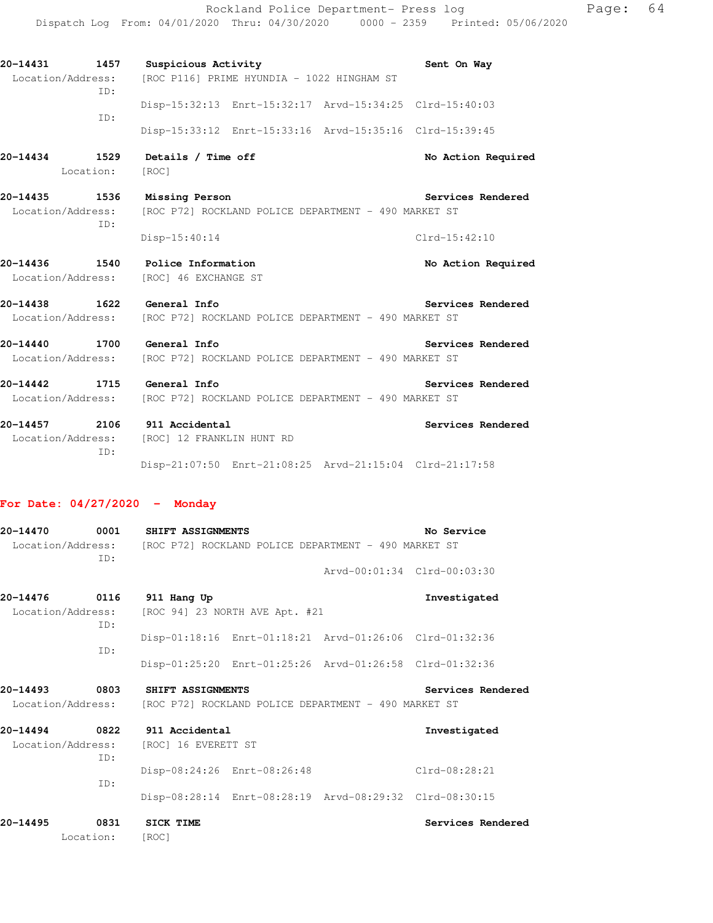Dispatch Log From: 04/01/2020 Thru: 04/30/2020 0000 - 2359 Printed: 05/06/2020 **20-14431 1457 Suspicious Activity Sent On Way**  Location/Address: [ROC P116] PRIME HYUNDIA - 1022 HINGHAM ST ID: Disp-15:32:13 Enrt-15:32:17 Arvd-15:34:25 Clrd-15:40:03 ID: Disp-15:33:12 Enrt-15:33:16 Arvd-15:35:16 Clrd-15:39:45 20-14434 1529 Details / Time off **No. 2016** No Action Required Location: [ROC] **20-14435 1536 Missing Person Services Rendered**  Location/Address: [ROC P72] ROCKLAND POLICE DEPARTMENT - 490 MARKET ST ID: Disp-15:40:14 Clrd-15:42:10 **20-14436 1540 Police Information No Action Required**  Location/Address: [ROC] 46 EXCHANGE ST **20-14438 1622 General Info Services Rendered**  Location/Address: [ROC P72] ROCKLAND POLICE DEPARTMENT - 490 MARKET ST **20-14440 1700 General Info Services Rendered**  Location/Address: [ROC P72] ROCKLAND POLICE DEPARTMENT - 490 MARKET ST

Rockland Police Department- Press log Page: 64

**20-14442 1715 General Info Services Rendered**  Location/Address: [ROC P72] ROCKLAND POLICE DEPARTMENT - 490 MARKET ST **20-14457 2106 911 Accidental Services Rendered** 

 Location/Address: [ROC] 12 FRANKLIN HUNT RD ID: Disp-21:07:50 Enrt-21:08:25 Arvd-21:15:04 Clrd-21:17:58

#### **For Date: 04/27/2020 - Monday**

| 20-14470<br>Location/Address: | 0001<br>TD: | <b>SHIFT ASSIGNMENTS</b> | [ROC P72] ROCKLAND POLICE DEPARTMENT - 490 MARKET ST    | No Service                  |
|-------------------------------|-------------|--------------------------|---------------------------------------------------------|-----------------------------|
|                               |             |                          |                                                         | Arvd-00:01:34 Clrd-00:03:30 |
| 20-14476                      | 0116        | 911 Hang Up              |                                                         | Investigated                |
| Location/Address:             | ID:         |                          | [ROC 94] 23 NORTH AVE Apt. #21                          |                             |
|                               | TD:         |                          | Disp-01:18:16 Enrt-01:18:21 Arvd-01:26:06 Clrd-01:32:36 |                             |
|                               |             |                          | Disp-01:25:20 Enrt-01:25:26 Arvd-01:26:58 Clrd-01:32:36 |                             |
| 20-14493                      | 0803        | SHIFT ASSIGNMENTS        |                                                         | Services Rendered           |
| Location/Address:             |             |                          | [ROC P72] ROCKLAND POLICE DEPARTMENT - 490 MARKET ST    |                             |
| 20-14494                      | 0822        | 911 Accidental           |                                                         | Investigated                |
| Location/Address:             | TD:         | [ROC] 16 EVERETT ST      |                                                         |                             |
|                               |             |                          | Disp-08:24:26 Enrt-08:26:48                             | $Clrd-08:28:21$             |
|                               | ID:         |                          | Disp-08:28:14 Enrt-08:28:19 Arvd-08:29:32 Clrd-08:30:15 |                             |
| 20-14495                      | 0831        | <b>SICK TIME</b>         |                                                         | Services Rendered           |
|                               | Location:   | [ROC]                    |                                                         |                             |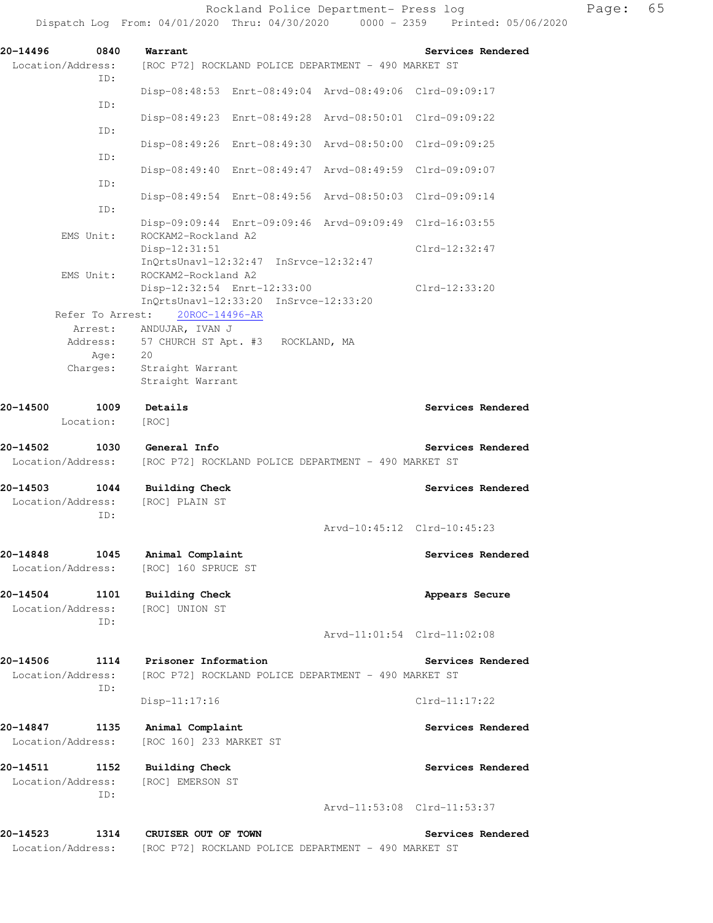| 20-14496<br>0840<br>Location/Address:<br>ID: | Warrant<br>[ROC P72] ROCKLAND POLICE DEPARTMENT - 490 MARKET ST                             | Services Rendered           |
|----------------------------------------------|---------------------------------------------------------------------------------------------|-----------------------------|
| ID:                                          | Disp-08:48:53 Enrt-08:49:04 Arvd-08:49:06 Clrd-09:09:17                                     |                             |
| ID:                                          | Disp-08:49:23 Enrt-08:49:28 Arvd-08:50:01 Clrd-09:09:22                                     |                             |
| ID:                                          | Disp-08:49:26 Enrt-08:49:30 Arvd-08:50:00 Clrd-09:09:25                                     |                             |
| ID:                                          | Disp-08:49:40 Enrt-08:49:47 Arvd-08:49:59 Clrd-09:09:07                                     |                             |
| ID:                                          | Disp-08:49:54 Enrt-08:49:56 Arvd-08:50:03 Clrd-09:09:14                                     |                             |
|                                              | Disp-09:09:44 Enrt-09:09:46 Arvd-09:09:49 Clrd-16:03:55                                     |                             |
| EMS Unit:                                    | ROCKAM2-Rockland A2<br>Disp-12:31:51                                                        | Clrd-12:32:47               |
| EMS Unit:                                    | InQrtsUnavl-12:32:47 InSrvce-12:32:47<br>ROCKAM2-Rockland A2<br>Disp-12:32:54 Enrt-12:33:00 | Clrd-12:33:20               |
| Refer To Arrest:                             | InQrtsUnavl-12:33:20 InSrvce-12:33:20<br>20ROC-14496-AR                                     |                             |
| Arrest:                                      | ANDUJAR, IVAN J                                                                             |                             |
| Address:                                     | 57 CHURCH ST Apt. #3<br>ROCKLAND, MA                                                        |                             |
| Age:                                         | 20                                                                                          |                             |
| Charges:                                     | Straight Warrant<br>Straight Warrant                                                        |                             |
| 20-14500<br>1009                             | Details                                                                                     | Services Rendered           |
| Location:                                    | [ROC]                                                                                       |                             |
| 20-14502<br>1030<br>Location/Address:        | General Info<br>[ROC P72] ROCKLAND POLICE DEPARTMENT - 490 MARKET ST                        | Services Rendered           |
| 20-14503<br>1044                             | <b>Building Check</b>                                                                       | Services Rendered           |
| Location/Address:                            | [ROC] PLAIN ST                                                                              |                             |
| ID:                                          |                                                                                             | Arvd-10:45:12 Clrd-10:45:23 |
| 20-14848<br>1045                             | Animal Complaint                                                                            | Services Rendered           |
| Location/Address:                            | [ROC] 160 SPRUCE ST                                                                         |                             |
| 20-14504<br>1101<br>Location/Address:<br>ID: | <b>Building Check</b><br>[ROC] UNION ST                                                     | Appears Secure              |
|                                              |                                                                                             | Arvd-11:01:54 Clrd-11:02:08 |
| 20-14506<br>1114<br>Location/Address:<br>ID: | Prisoner Information<br>[ROC P72] ROCKLAND POLICE DEPARTMENT - 490 MARKET ST                | Services Rendered           |
|                                              | Disp-11:17:16                                                                               | $Clrd-11:17:22$             |
| 20-14847<br>1135<br>Location/Address:        | Animal Complaint<br>[ROC 160] 233 MARKET ST                                                 | Services Rendered           |
| 20-14511<br>1152<br>Location/Address:<br>ID: | <b>Building Check</b><br>[ROC] EMERSON ST                                                   | Services Rendered           |
|                                              |                                                                                             | Arvd-11:53:08 Clrd-11:53:37 |
| 20–14523<br>1314<br>Location/Address:        | CRUISER OUT OF TOWN<br>[ROC P72] ROCKLAND POLICE DEPARTMENT - 490 MARKET ST                 | Services Rendered           |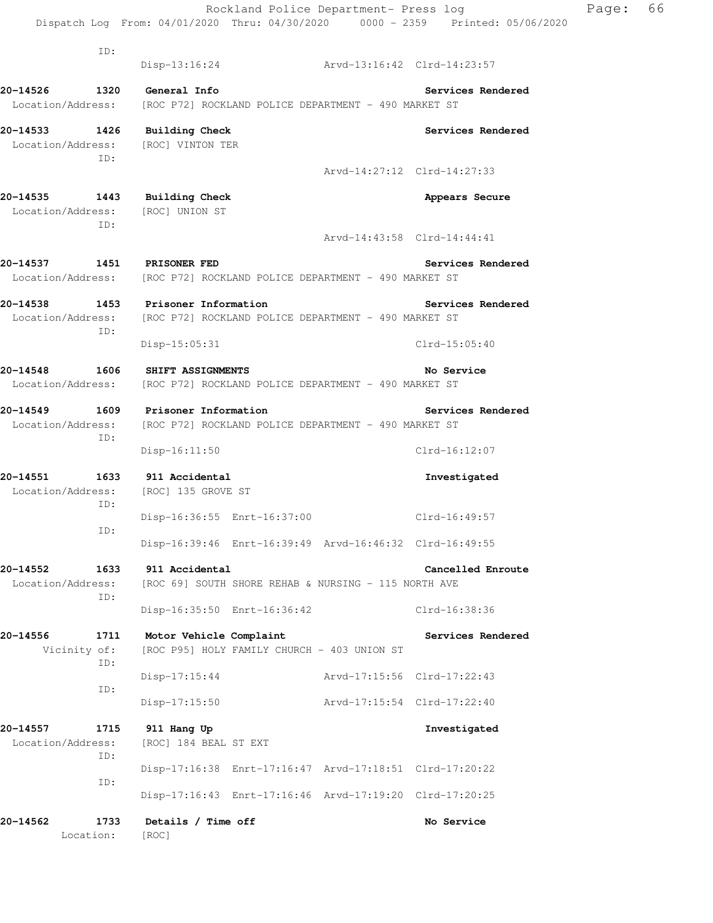Rockland Police Department- Press log Page: 66 Dispatch Log From: 04/01/2020 Thru: 04/30/2020 0000 - 2359 Printed: 05/06/2020 ID: Disp-13:16:24 Arvd-13:16:42 Clrd-14:23:57 **20-14526 1320 General Info Services Rendered**  Location/Address: [ROC P72] ROCKLAND POLICE DEPARTMENT - 490 MARKET ST **20-14533 1426 Building Check Services Rendered**  Location/Address: [ROC] VINTON TER ID: Arvd-14:27:12 Clrd-14:27:33 20-14535 1443 Building Check **Appears Secure**  Location/Address: [ROC] UNION ST ID: Arvd-14:43:58 Clrd-14:44:41 **20-14537 1451 PRISONER FED Services Rendered**  Location/Address: [ROC P72] ROCKLAND POLICE DEPARTMENT - 490 MARKET ST **20-14538 1453 Prisoner Information Services Rendered**  Location/Address: [ROC P72] ROCKLAND POLICE DEPARTMENT - 490 MARKET ST ID: Disp-15:05:31 Clrd-15:05:40 **20-14548 1606 SHIFT ASSIGNMENTS No Service**  Location/Address: [ROC P72] ROCKLAND POLICE DEPARTMENT - 490 MARKET ST **20-14549 1609 Prisoner Information Services Rendered**  Location/Address: [ROC P72] ROCKLAND POLICE DEPARTMENT - 490 MARKET ST ID: Disp-16:11:50 Clrd-16:12:07 **20-14551 1633 911 Accidental Investigated**  Location/Address: [ROC] 135 GROVE ST ID: Disp-16:36:55 Enrt-16:37:00 Clrd-16:49:57 ID: Disp-16:39:46 Enrt-16:39:49 Arvd-16:46:32 Clrd-16:49:55 **20-14552 1633 911 Accidental Cancelled Enroute**  Location/Address: [ROC 69] SOUTH SHORE REHAB & NURSING - 115 NORTH AVE ID: Disp-16:35:50 Enrt-16:36:42 Clrd-16:38:36 **20-14556 1711 Motor Vehicle Complaint Services Rendered**  Vicinity of: [ROC P95] HOLY FAMILY CHURCH - 403 UNION ST ID: Disp-17:15:44 Arvd-17:15:56 Clrd-17:22:43 ID: Disp-17:15:50 Arvd-17:15:54 Clrd-17:22:40 **20-14557 1715 911 Hang Up Investigated**  Location/Address: [ROC] 184 BEAL ST EXT ID: Disp-17:16:38 Enrt-17:16:47 Arvd-17:18:51 Clrd-17:20:22 ID: Disp-17:16:43 Enrt-17:16:46 Arvd-17:19:20 Clrd-17:20:25 20-14562 1733 Details / Time off **No Service No Service** Location: [ROC]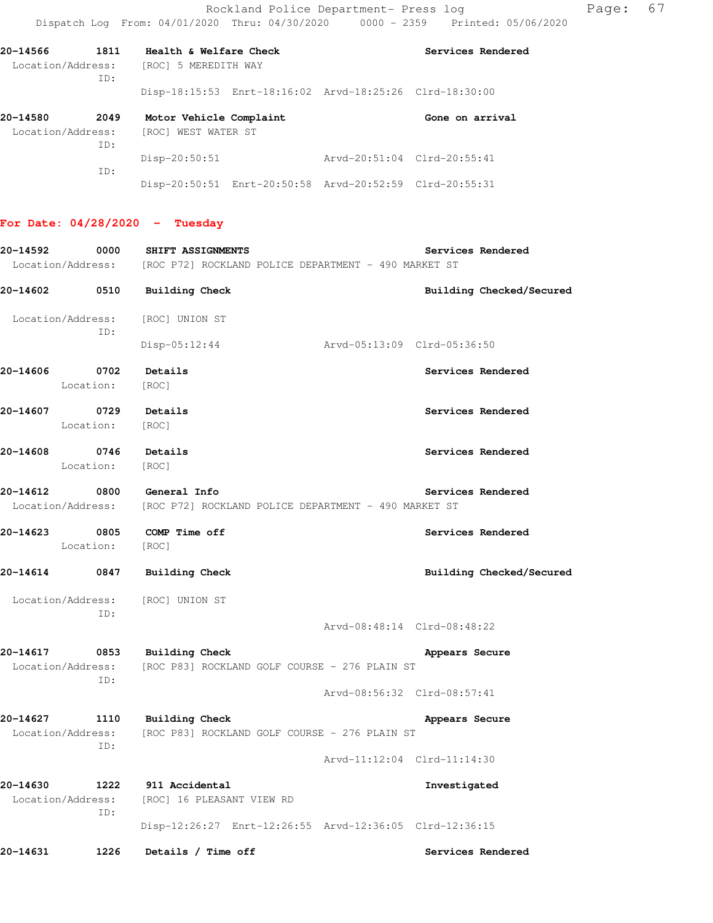Disp-20:50:51 Enrt-20:50:58 Arvd-20:52:59 Clrd-20:55:31

| 20-14566<br>Location/Address: | 1811<br>ID: | Health & Welfare Check<br>[ROC] 5 MEREDITH WAY    |  |                                                                 | Services Rendered |
|-------------------------------|-------------|---------------------------------------------------|--|-----------------------------------------------------------------|-------------------|
|                               |             |                                                   |  | $Disp-18:15:53$ $Enrt-18:16:02$ $Arvd-18:25:26$ $Clrd-18:30:00$ |                   |
| 20-14580<br>Location/Address: | 2049        | Motor Vehicle Complaint<br>WEST WATER ST<br>[ROC] |  |                                                                 | Gone on arrival   |
|                               | ID:<br>ID:  | $Disp-20:50:51$                                   |  | Arvd-20:51:04 Clrd-20:55:41                                     |                   |

# **For Date: 04/28/2020 - Tuesday**

| 20-14592                      | 0000            | SHIFT ASSIGNMENTS                                                                                    |                             |                | Services Rendered        |
|-------------------------------|-----------------|------------------------------------------------------------------------------------------------------|-----------------------------|----------------|--------------------------|
|                               |                 | Location/Address: [ROC P72] ROCKLAND POLICE DEPARTMENT - 490 MARKET ST                               |                             |                |                          |
|                               |                 | 20-14602 0510 Building Check                                                                         |                             |                | Building Checked/Secured |
|                               | ID:             | Location/Address: [ROC] UNION ST                                                                     |                             |                |                          |
|                               |                 | $Disp-05:12:44$                                                                                      |                             |                |                          |
| 20-14606 0702                 | Location: [ROC] | Details                                                                                              |                             |                | Services Rendered        |
| 20-14607 0729 Details         | Location:       | [ROC]                                                                                                |                             |                | Services Rendered        |
| 20-14608 0746 Details         | Location: [ROC] |                                                                                                      |                             |                | Services Rendered        |
|                               |                 | 20-14612 0800 General Info<br>Location/Address: [ROC P72] ROCKLAND POLICE DEPARTMENT - 490 MARKET ST |                             |                | Services Rendered        |
| 20-14623 0805                 | Location: [ROC] | COMP Time off                                                                                        |                             |                | Services Rendered        |
|                               |                 | 20-14614 0847 Building Check                                                                         |                             |                | Building Checked/Secured |
|                               | ID:             | Location/Address: [ROC] UNION ST                                                                     |                             |                |                          |
|                               |                 |                                                                                                      | Arvd-08:48:14 Clrd-08:48:22 |                |                          |
|                               |                 | 20-14617 0853 Building Check<br>Location/Address: [ROC P83] ROCKLAND GOLF COURSE - 276 PLAIN ST      |                             | Appears Secure |                          |
|                               | ID:             |                                                                                                      | Arvd-08:56:32 Clrd-08:57:41 |                |                          |
|                               | ID:             | 20-14627 1110 Building Check<br>Location/Address: [ROC P83] ROCKLAND GOLF COURSE - 276 PLAIN ST      |                             | Appears Secure |                          |
|                               |                 |                                                                                                      | Arvd-11:12:04 Clrd-11:14:30 |                |                          |
| 20-14630<br>Location/Address: | 1222<br>ID:     | 911 Accidental<br>[ROC] 16 PLEASANT VIEW RD                                                          |                             | Investigated   |                          |
|                               |                 | Disp-12:26:27 Enrt-12:26:55 Arvd-12:36:05 Clrd-12:36:15                                              |                             |                |                          |
| 20-14631                      | 1226            | Details / Time off                                                                                   |                             |                | Services Rendered        |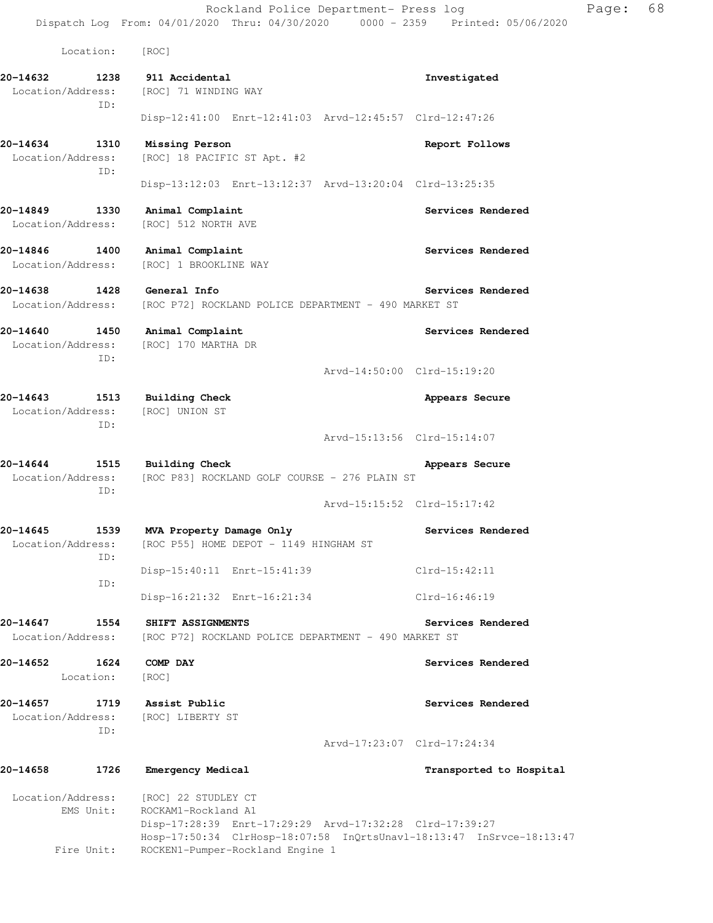Location: [ROC]

**20-14632 1238 911 Accidental Investigated**  Location/Address: [ROC] 71 WINDING WAY ID: Disp-12:41:00 Enrt-12:41:03 Arvd-12:45:57 Clrd-12:47:26 **20-14634 1310 Missing Person Report Follows**  Location/Address: [ROC] 18 PACIFIC ST Apt. #2 ID: Disp-13:12:03 Enrt-13:12:37 Arvd-13:20:04 Clrd-13:25:35 **20-14849 1330 Animal Complaint Services Rendered**  Location/Address: [ROC] 512 NORTH AVE **20-14846 1400 Animal Complaint Services Rendered**  Location/Address: [ROC] 1 BROOKLINE WAY **20-14638 1428 General Info Services Rendered**  Location/Address: [ROC P72] ROCKLAND POLICE DEPARTMENT - 490 MARKET ST **20-14640 1450 Animal Complaint Services Rendered**  Location/Address: [ROC] 170 MARTHA DR ID: Arvd-14:50:00 Clrd-15:19:20 **20-14643 1513 Building Check Appears Secure**  Location/Address: [ROC] UNION ST ID: Arvd-15:13:56 Clrd-15:14:07 **20-14644 1515 Building Check Appears Secure**  Location/Address: [ROC P83] ROCKLAND GOLF COURSE - 276 PLAIN ST ID: Arvd-15:15:52 Clrd-15:17:42 **20-14645 1539 MVA Property Damage Only Services Rendered**  Location/Address: [ROC P55] HOME DEPOT - 1149 HINGHAM ST ID: Disp-15:40:11 Enrt-15:41:39 Clrd-15:42:11 ID: Disp-16:21:32 Enrt-16:21:34 Clrd-16:46:19 **20-14647 1554 SHIFT ASSIGNMENTS Services Rendered**  Location/Address: [ROC P72] ROCKLAND POLICE DEPARTMENT - 490 MARKET ST **20-14652 1624 COMP DAY Services Rendered**  Location: [ROC] **20-14657 1719 Assist Public Services Rendered**  Location/Address: [ROC] LIBERTY ST ID: Arvd-17:23:07 Clrd-17:24:34 **20-14658 1726 Emergency Medical Transported to Hospital**  Location/Address: [ROC] 22 STUDLEY CT EMS Unit: ROCKAM1-Rockland A1 Disp-17:28:39 Enrt-17:29:29 Arvd-17:32:28 Clrd-17:39:27

Fire Unit: ROCKEN1-Pumper-Rockland Engine 1

Hosp-17:50:34 ClrHosp-18:07:58 InQrtsUnavl-18:13:47 InSrvce-18:13:47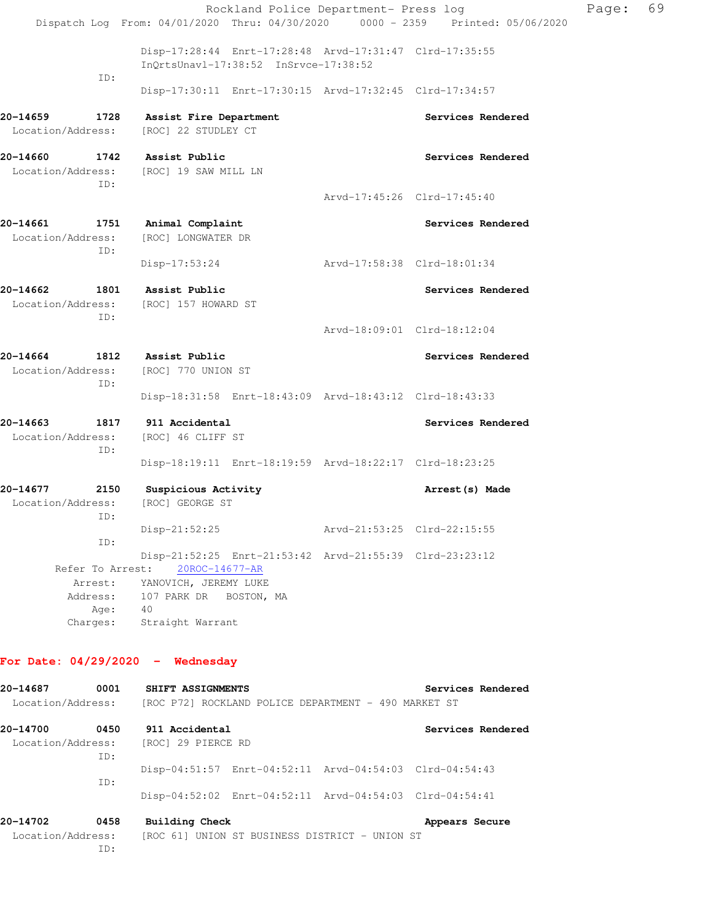|                               |                                                             | Rockland Police Department- Press log                                                            |                             | Page: | 69 |
|-------------------------------|-------------------------------------------------------------|--------------------------------------------------------------------------------------------------|-----------------------------|-------|----|
|                               |                                                             | Dispatch Log From: 04/01/2020 Thru: 04/30/2020 0000 - 2359 Printed: 05/06/2020                   |                             |       |    |
|                               |                                                             | Disp-17:28:44 Enrt-17:28:48 Arvd-17:31:47 Clrd-17:35:55<br>InQrtsUnavl-17:38:52 InSrvce-17:38:52 |                             |       |    |
|                               | ID:                                                         | Disp-17:30:11 Enrt-17:30:15 Arvd-17:32:45 Clrd-17:34:57                                          |                             |       |    |
| 20-14659<br>Location/Address: | 1728                                                        | Assist Fire Department<br>[ROC] 22 STUDLEY CT                                                    | Services Rendered           |       |    |
| 20-14660                      | ID:                                                         | 1742 Assist Public<br>Location/Address: [ROC] 19 SAW MILL LN                                     | Services Rendered           |       |    |
|                               |                                                             |                                                                                                  | Arvd-17:45:26 Clrd-17:45:40 |       |    |
| 20-14661<br>Location/Address: | 1751<br>ID:                                                 | Animal Complaint<br>[ROC] LONGWATER DR                                                           | Services Rendered           |       |    |
|                               |                                                             | Disp-17:53:24                                                                                    | Arvd-17:58:38 Clrd-18:01:34 |       |    |
| 20-14662                      | ID:                                                         | 1801 Assist Public<br>Location/Address: [ROC] 157 HOWARD ST                                      | Services Rendered           |       |    |
|                               |                                                             |                                                                                                  | Arvd-18:09:01 Clrd-18:12:04 |       |    |
| 20-14664<br>Location/Address: | 1812<br>ID:                                                 | Assist Public<br>[ROC] 770 UNION ST                                                              | Services Rendered           |       |    |
|                               |                                                             | Disp-18:31:58 Enrt-18:43:09 Arvd-18:43:12 Clrd-18:43:33                                          |                             |       |    |
| 20-14663<br>Location/Address: | 1817<br>ID:                                                 | 911 Accidental<br>[ROC] 46 CLIFF ST                                                              | Services Rendered           |       |    |
|                               |                                                             | Disp-18:19:11 Enrt-18:19:59 Arvd-18:22:17 Clrd-18:23:25                                          |                             |       |    |
| 20-14677<br>Location/Address: | 2150<br>ID:                                                 | Suspicious Activity<br>[ROC] GEORGE ST                                                           | Arrest (s) Made             |       |    |
|                               | ID:                                                         | Disp-21:52:25                                                                                    | Arvd-21:53:25 Clrd-22:15:55 |       |    |
|                               |                                                             | Disp-21:52:25 Enrt-21:53:42 Arvd-21:55:39 Clrd-23:23:12                                          |                             |       |    |
|                               | Refer To Arrest:<br>Arrest:<br>Address:<br>Age:<br>Charges: | 20ROC-14677-AR<br>YANOVICH, JEREMY LUKE<br>107 PARK DR BOSTON, MA<br>40<br>Straight Warrant      |                             |       |    |
|                               |                                                             |                                                                                                  |                             |       |    |

### **For Date: 04/29/2020 - Wednesday**

**20-14687 0001 SHIFT ASSIGNMENTS Services Rendered**  Location/Address: [ROC P72] ROCKLAND POLICE DEPARTMENT - 490 MARKET ST **20-14700 0450 911 Accidental Services Rendered**  Location/Address: [ROC] 29 PIERCE RD ID: Disp-04:51:57 Enrt-04:52:11 Arvd-04:54:03 Clrd-04:54:43 ID: Disp-04:52:02 Enrt-04:52:11 Arvd-04:54:03 Clrd-04:54:41 **20-14702** 0458 Building Check **Appears Secure Appears** Secure Location/Address: [ROC 61] UNION ST BUSINESS DISTRICT - UNION ST ID: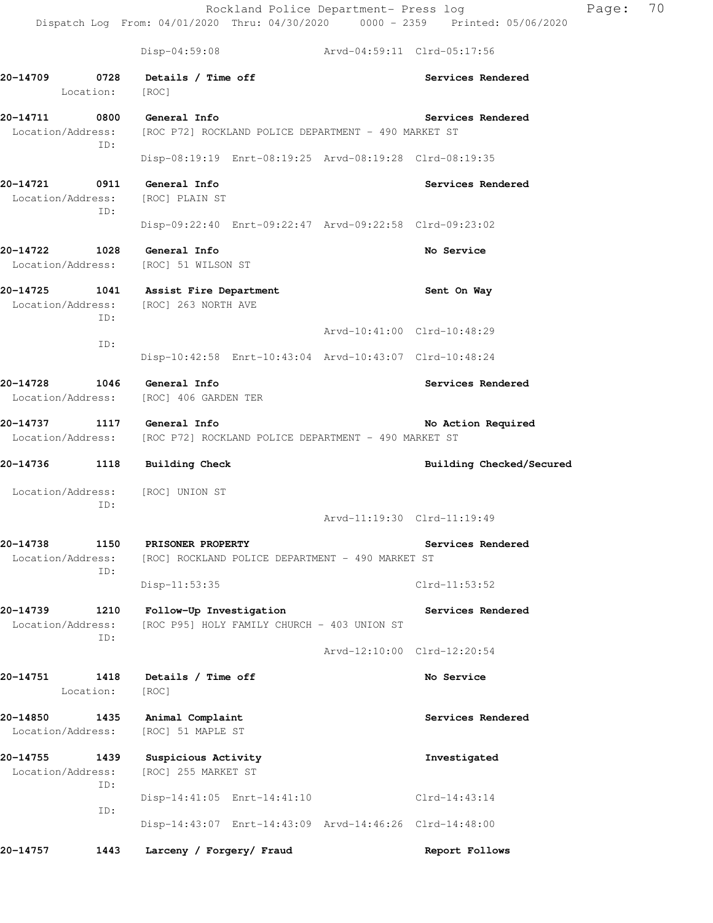Rockland Police Department- Press log Page: 70 Dispatch Log From: 04/01/2020 Thru: 04/30/2020 0000 - 2359 Printed: 05/06/2020 Disp-04:59:08 Arvd-04:59:11 Clrd-05:17:56 **20-14709 0728 Details / Time off Services Rendered**  Location: [ROC] **20-14711 0800 General Info Services Rendered**  Location/Address: [ROC P72] ROCKLAND POLICE DEPARTMENT - 490 MARKET ST ID: Disp-08:19:19 Enrt-08:19:25 Arvd-08:19:28 Clrd-08:19:35 **20-14721 0911 General Info Services Rendered**  Location/Address: [ROC] PLAIN ST ID: Disp-09:22:40 Enrt-09:22:47 Arvd-09:22:58 Clrd-09:23:02 **20-14722 1028 General Info No Service**  Location/Address: [ROC] 51 WILSON ST **20-14725 1041 Assist Fire Department Sent On Way**  Location/Address: [ROC] 263 NORTH AVE

 ID: Arvd-10:41:00 Clrd-10:48:29 ID: Disp-10:42:58 Enrt-10:43:04 Arvd-10:43:07 Clrd-10:48:24

**20-14728 1046 General Info Services Rendered**  Location/Address: [ROC] 406 GARDEN TER

20-14737 1117 General Info **No. 2016 12:33 No. Action Required** Location/Address: [ROC P72] ROCKLAND POLICE DEPARTMENT - 490 MARKET ST

20-14736 1118 Building Check **Building Check Building Checked/Secured** 

 Location/Address: [ROC] UNION ST ID:

Arvd-11:19:30 Clrd-11:19:49

**20-14738 1150 PRISONER PROPERTY Services Rendered**  Location/Address: [ROC] ROCKLAND POLICE DEPARTMENT - 490 MARKET ST ID: Disp-11:53:35 Clrd-11:53:52

**20-14739 1210 Follow-Up Investigation Services Rendered**  Location/Address: [ROC P95] HOLY FAMILY CHURCH - 403 UNION ST ID:

 Arvd-12:10:00 Clrd-12:20:54 **20-14751 1418 Details / Time off No Service** 

Location: [ROC]

**20-14850 1435 Animal Complaint Services Rendered**  Location/Address: [ROC] 51 MAPLE ST

**20-14755 1439 Suspicious Activity Investigated**  Location/Address: [ROC] 255 MARKET ST ID: Disp-14:41:05 Enrt-14:41:10 Clrd-14:43:14 ID: Disp-14:43:07 Enrt-14:43:09 Arvd-14:46:26 Clrd-14:48:00

**20-14757 1443 Larceny / Forgery/ Fraud Report Follows**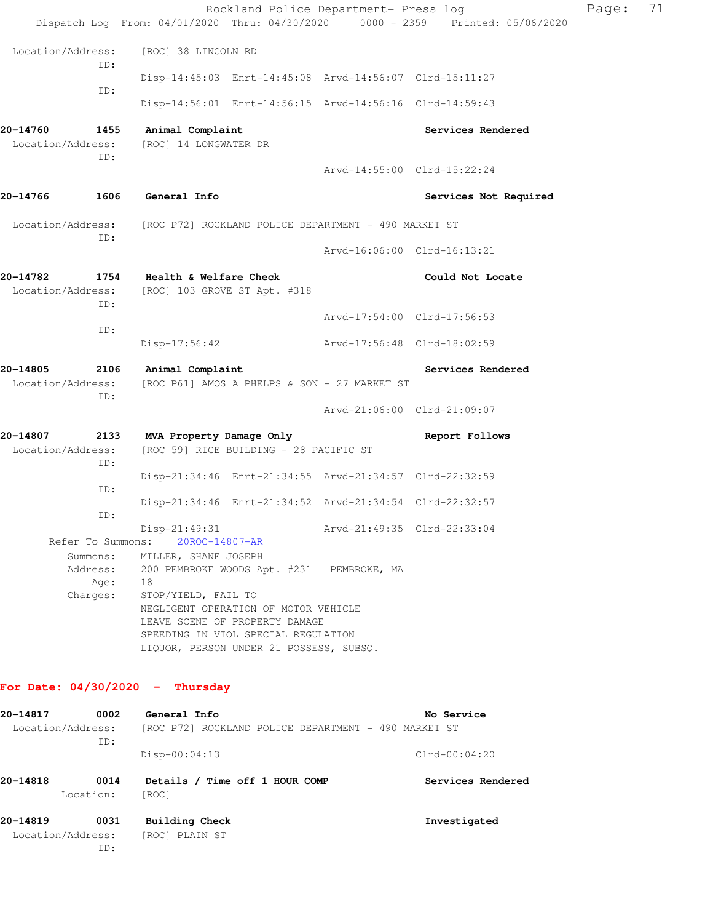|                                       |             |                                                        |                                                                                                                                                          | Rockland Police Department- Press log                   | Dispatch Log From: 04/01/2020 Thru: 04/30/2020 0000 - 2359 Printed: 05/06/2020 | Page: | 71 |
|---------------------------------------|-------------|--------------------------------------------------------|----------------------------------------------------------------------------------------------------------------------------------------------------------|---------------------------------------------------------|--------------------------------------------------------------------------------|-------|----|
| Location/Address:                     |             | [ROC] 38 LINCOLN RD                                    |                                                                                                                                                          |                                                         |                                                                                |       |    |
|                                       | ID:         |                                                        |                                                                                                                                                          |                                                         |                                                                                |       |    |
|                                       | ID:         |                                                        |                                                                                                                                                          | Disp-14:45:03 Enrt-14:45:08 Arvd-14:56:07 Clrd-15:11:27 |                                                                                |       |    |
|                                       |             |                                                        |                                                                                                                                                          | Disp-14:56:01 Enrt-14:56:15 Arvd-14:56:16 Clrd-14:59:43 |                                                                                |       |    |
| 20-14760<br>Location/Address:         | 1455<br>ID: | Animal Complaint<br>[ROC] 14 LONGWATER DR              |                                                                                                                                                          |                                                         | Services Rendered                                                              |       |    |
|                                       |             |                                                        |                                                                                                                                                          |                                                         | Arvd-14:55:00 Clrd-15:22:24                                                    |       |    |
| 1606<br>20-14766                      |             | <b>General Info</b>                                    |                                                                                                                                                          |                                                         | Services Not Required                                                          |       |    |
| Location/Address:                     |             |                                                        |                                                                                                                                                          | [ROC P72] ROCKLAND POLICE DEPARTMENT - 490 MARKET ST    |                                                                                |       |    |
|                                       | ID:         |                                                        |                                                                                                                                                          |                                                         | Arvd-16:06:00 Clrd-16:13:21                                                    |       |    |
| 20-14782<br>1754<br>Location/Address: | ID:         | Health & Welfare Check<br>[ROC] 103 GROVE ST Apt. #318 |                                                                                                                                                          |                                                         | Could Not Locate                                                               |       |    |
|                                       | ID:         |                                                        |                                                                                                                                                          |                                                         | Arvd-17:54:00 Clrd-17:56:53                                                    |       |    |
|                                       |             | $Disp-17:56:42$                                        |                                                                                                                                                          | Arvd-17:56:48 Clrd-18:02:59                             |                                                                                |       |    |
| 20-14805                              | 2106        | Animal Complaint                                       |                                                                                                                                                          |                                                         | Services Rendered                                                              |       |    |
| Location/Address:                     | ID:         |                                                        |                                                                                                                                                          | [ROC P61] AMOS A PHELPS & SON - 27 MARKET ST            |                                                                                |       |    |
|                                       |             |                                                        |                                                                                                                                                          |                                                         | Arvd-21:06:00 Clrd-21:09:07                                                    |       |    |
| 20-14807<br>Location/Address:         | 2133<br>ID: | MVA Property Damage Only                               | [ROC 59] RICE BUILDING - 28 PACIFIC ST                                                                                                                   |                                                         | Report Follows                                                                 |       |    |
|                                       | ID:         |                                                        |                                                                                                                                                          | Disp-21:34:46 Enrt-21:34:55 Arvd-21:34:57 Clrd-22:32:59 |                                                                                |       |    |
|                                       | ID:         |                                                        |                                                                                                                                                          | Disp-21:34:46 Enrt-21:34:52 Arvd-21:34:54 Clrd-22:32:57 |                                                                                |       |    |
|                                       |             | Disp-21:49:31<br>Refer To Summons: 20ROC-14807-AR      |                                                                                                                                                          |                                                         | Arvd-21:49:35 Clrd-22:33:04                                                    |       |    |
|                                       | Summons:    | MILLER, SHANE JOSEPH                                   |                                                                                                                                                          |                                                         |                                                                                |       |    |
|                                       | Age: 18     |                                                        | Address: 200 PEMBROKE WOODS Apt. #231 PEMBROKE, MA                                                                                                       |                                                         |                                                                                |       |    |
| Charges:                              |             | STOP/YIELD, FAIL TO                                    | NEGLIGENT OPERATION OF MOTOR VEHICLE<br>LEAVE SCENE OF PROPERTY DAMAGE<br>SPEEDING IN VIOL SPECIAL REGULATION<br>LIQUOR, PERSON UNDER 21 POSSESS, SUBSQ. |                                                         |                                                                                |       |    |
| For Date: $04/30/2020 -$ Thursday     |             |                                                        |                                                                                                                                                          |                                                         |                                                                                |       |    |
|                                       |             |                                                        |                                                                                                                                                          |                                                         |                                                                                |       |    |
| 20-14817<br>Location/Address:         | 0002        | General Info                                           |                                                                                                                                                          | [ROC P72] ROCKLAND POLICE DEPARTMENT - 490 MARKET ST    | No Service                                                                     |       |    |
|                                       | ID:         | $Disp-00:04:13$                                        |                                                                                                                                                          |                                                         | $Clrd-00:04:20$                                                                |       |    |
| 20-14818<br>Location:                 | 0014        | [ROC]                                                  | Details / Time off 1 HOUR COMP                                                                                                                           |                                                         | Services Rendered                                                              |       |    |

**20-14819 0031 Building Check Investigated**  Location/Address: [ROC] PLAIN ST ID: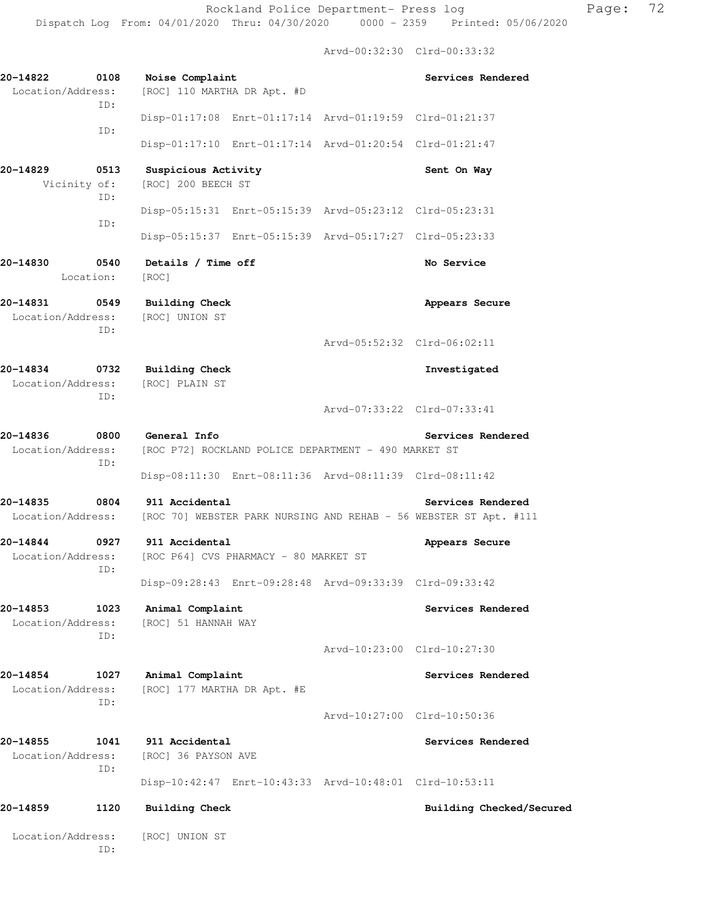Arvd-00:32:30 Clrd-00:33:32

| 20-14822<br>0108<br>Location/Address:<br>ID: | Noise Complaint<br>[ROC] 110 MARTHA DR Apt. #D                                                        |                             | Services Rendered        |
|----------------------------------------------|-------------------------------------------------------------------------------------------------------|-----------------------------|--------------------------|
|                                              | Disp-01:17:08 Enrt-01:17:14 Arvd-01:19:59 Clrd-01:21:37                                               |                             |                          |
| ID:                                          | Disp-01:17:10 Enrt-01:17:14 Arvd-01:20:54 Clrd-01:21:47                                               |                             |                          |
| 20-14829<br>0513<br>Vicinity of:             | Suspicious Activity<br>[ROC] 200 BEECH ST                                                             |                             | Sent On Way              |
| ID:                                          | Disp-05:15:31 Enrt-05:15:39 Arvd-05:23:12 Clrd-05:23:31                                               |                             |                          |
| ID:                                          | Disp-05:15:37 Enrt-05:15:39 Arvd-05:17:27 Clrd-05:23:33                                               |                             |                          |
| 20-14830<br>0540<br>Location:                | Details / Time off<br>[ROC]                                                                           |                             | No Service               |
| 20-14831 0549<br>ID:                         | <b>Building Check</b><br>Location/Address: [ROC] UNION ST                                             |                             | Appears Secure           |
|                                              |                                                                                                       | Arvd-05:52:32 Clrd-06:02:11 |                          |
| 20-14834<br>0732<br>ID:                      | <b>Building Check</b><br>Location/Address: [ROC] PLAIN ST                                             |                             | Investigated             |
|                                              |                                                                                                       | Arvd-07:33:22 Clrd-07:33:41 |                          |
| 20-14836<br>Location/Address:<br>ID:         | 0800 General Info<br>[ROC P72] ROCKLAND POLICE DEPARTMENT - 490 MARKET ST                             |                             | Services Rendered        |
|                                              | Disp-08:11:30 Enrt-08:11:36 Arvd-08:11:39 Clrd-08:11:42                                               |                             |                          |
| 20-14835<br>0804                             | 911 Accidental<br>Location/Address: [ROC 70] WEBSTER PARK NURSING AND REHAB - 56 WEBSTER ST Apt. #111 |                             | Services Rendered        |
| 20-14844<br>Location/Address:<br>ID:         | 0927 911 Accidental<br>[ROC P64] CVS PHARMACY - 80 MARKET ST                                          |                             | Appears Secure           |
|                                              | Disp-09:28:43 Enrt-09:28:48 Arvd-09:33:39 Clrd-09:33:42                                               |                             |                          |
| 20-14853<br>1023<br>Location/Address:<br>ID: | Animal Complaint<br>[ROC] 51 HANNAH WAY                                                               |                             | Services Rendered        |
|                                              |                                                                                                       | Arvd-10:23:00 Clrd-10:27:30 |                          |
| 20-14854<br>1027<br>Location/Address:        | Animal Complaint<br>[ROC] 177 MARTHA DR Apt. #E                                                       |                             | Services Rendered        |
| ID:                                          |                                                                                                       | Arvd-10:27:00 Clrd-10:50:36 |                          |
| 20-14855<br>1041<br>Location/Address:        | 911 Accidental<br>[ROC] 36 PAYSON AVE                                                                 |                             | Services Rendered        |
| ID:                                          | Disp-10:42:47 Enrt-10:43:33 Arvd-10:48:01 Clrd-10:53:11                                               |                             |                          |
| 20-14859<br>1120                             | <b>Building Check</b>                                                                                 |                             | Building Checked/Secured |
| Location/Address:<br>ID:                     | [ROC] UNION ST                                                                                        |                             |                          |